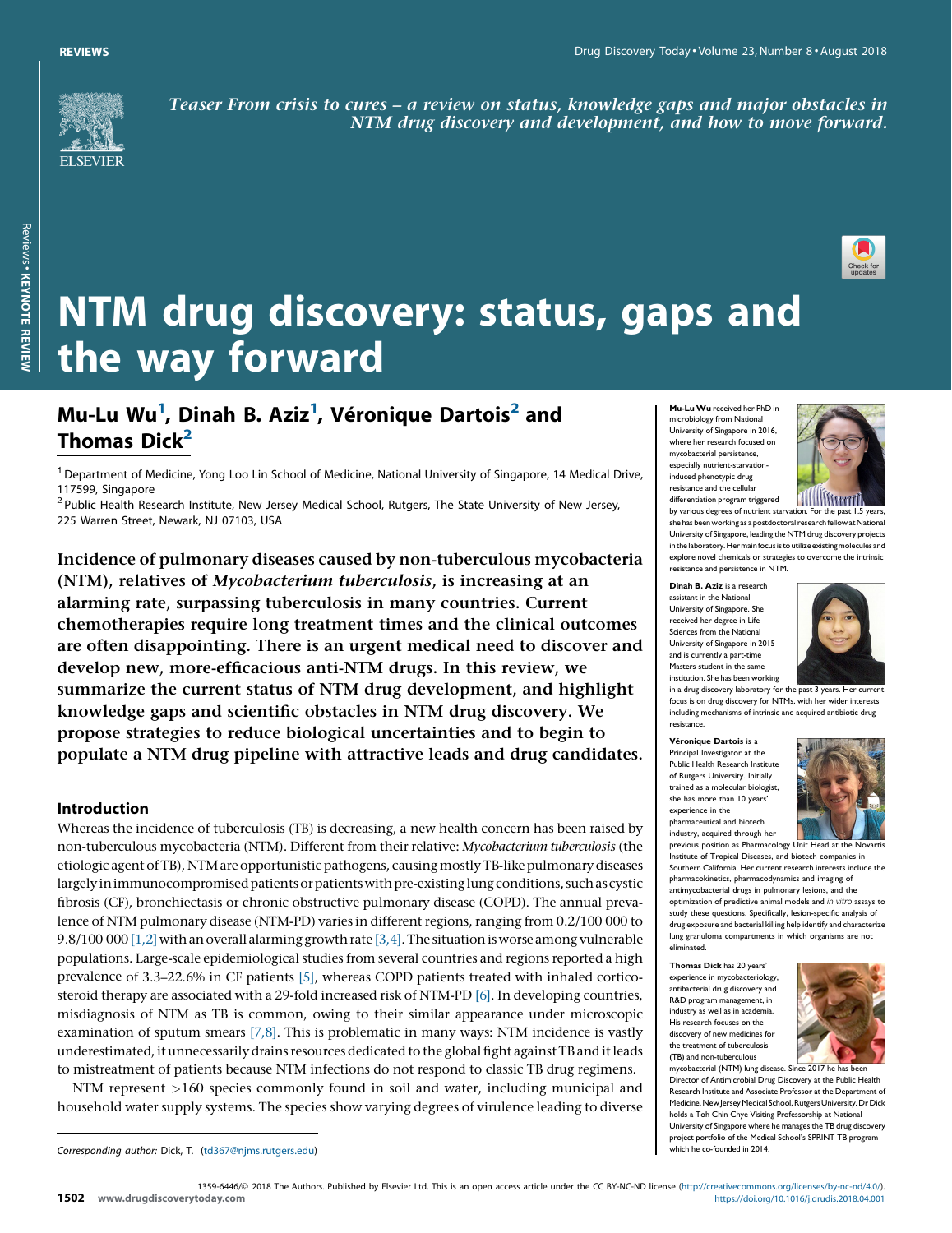

Teaser From crisis to cures – a review on status, knowledge gaps and major obstacles in NTM drug discovery and development, and how to move forward.



# NTM drug discovery: status, gaps and the way forward

# Mu-Lu Wu<sup>1</sup>, Dinah B. Aziz<sup>1</sup>, Véronique Dartois<sup>2</sup> and Thomas Dick $<sup>2</sup>$ </sup>

 $1$  Department of Medicine, Yong Loo Lin School of Medicine, National University of Singapore, 14 Medical Drive, 117599, Singapore<br><sup>2</sup> Public Health Research Institute, New Jersey Medical School, Rutgers, The State University of New Jersey,

225 Warren Street, Newark, NJ 07103, USA

Incidence of pulmonary diseases caused by non-tuberculous mycobacteria (NTM), relatives of Mycobacterium tuberculosis, is increasing at an alarming rate, surpassing tuberculosis in many countries. Current chemotherapies require long treatment times and the clinical outcomes are often disappointing. There is an urgent medical need to discover and develop new, more-efficacious anti-NTM drugs. In this review, we summarize the current status of NTM drug development, and highlight knowledge gaps and scientific obstacles in NTM drug discovery. We propose strategies to reduce biological uncertainties and to begin to populate a NTM drug pipeline with attractive leads and drug candidates.

# Introduction

Whereas the incidence of tuberculosis (TB) is decreasing, a new health concern has been raised by non-tuberculous mycobacteria (NTM). Different from their relative: Mycobacterium tuberculosis (the etiologic agent of TB), NTM are opportunistic pathogens, causing mostly TB-like pulmonary diseases largely in immunocompromised patients or patients with pre-existing lung conditions, such as cystic fibrosis (CF), bronchiectasis or chronic obstructive pulmonary disease (COPD). The annual prevalence of NTM pulmonary disease (NTM-PD) varies in different regions, ranging from 0.2/100 000 to 9.8/100 000 [\[1,2\]](#page-13-0) with an overall alarming growth rate [\[3,4\]](#page-13-0). The situation is worse among vulnerable populations. Large-scale epidemiological studies from several countries and regions reported a high prevalence of 3.3–22.6% in CF patients [\[5\]](#page-13-0), whereas COPD patients treated with inhaled corticosteroid therapy are associated with a 29-fold increased risk of NTM-PD [\[6\].](#page-13-0) In developing countries, misdiagnosis of NTM as TB is common, owing to their similar appearance under microscopic examination of sputum smears  $[7,8]$ . This is problematic in many ways: NTM incidence is vastly underestimated, itunnecessarilydrains resources dedicatedto the globalfight againstTBand itleads to mistreatment of patients because NTM infections do not respond to classic TB drug regimens.

NTM represent >160 species commonly found in soil and water, including municipal and household water supply systems. The species show varying degrees of virulence leading to diverse

Corresponding author: Dick, T. [\(td367@njms.rutgers.edu](mailto:td367@njms.rutgers.edu)) and the co-founded in 2014.

Mu-LuWu received her PhD in microbiology from National University of Singapore in 2016, where her research focused on mycobacterial persistence, especially nutrient-starvationinduced phenotypic drug resistance and the cellular differentiation program triggered



by various degrees of nutrient starvation. For the past 1.5 years<br>she has been working as a postdoctoral research fellow at Nationa University of Singapore, leading the NTM drug discovery projects in the laboratory. Her main focus is to utilize existing molecules and explore novel chemicals or strategies to overcome the intrinsic resistance and persistence in NTM.

Dinah B. Aziz is a research assistant in the National University of Singapore. She received her degree in Life Sciences from the National University of Singapore in 2015 and is currently a part-time Masters student in the same institution. She has been working



in a drug discovery laboratory for the past 3 years. Her current focus is on drug discovery for NTMs, with her wider interests including mechanisms of intrinsic and acquired antibiotic drug resistance.

Véronique Dartois is a Principal Investigator at the Public Health Research Instit of Rutgers University. Initially trained as a molecular biologist, she has more than 10 years' experience in the pharmaceutical and biotech



industry, acquired through her previous position as Pharmacology Unit Head at the Novartis Institute of Tropical Diseases, and biotech companies in Southern California. Her current research interests include the pharmacokinetics, pharmacodynamics and imaging of antimycobacterial drugs in pulmonary lesions, and the optimization of predictive animal models and in vitro assays to study these questions. Specifically, lesion-specific analysis of drug exposure and bacterial killing help identify and characterize lung granuloma compartments in which organisms are not eliminated.

Thomas Dick has 20 years' experience in mycobacteriology, antibacterial drug discovery and R&D program management, in industry as well as in academia. His research focuses on the discovery of new medicines for the treatment of tuberculosis (TB) and non-tuberculous



Director of Antimicrobial Drug Discovery at the Public Health Research Institute and Associate Professor at the Department of Medicine, New Jersey Medical School, Rutgers University. Dr Dick holds a Toh Chin Chye Visiting Professorship at National University of Singapore where he manages the TB drug discovery project portfolio of the Medical School's SPRINT TB program

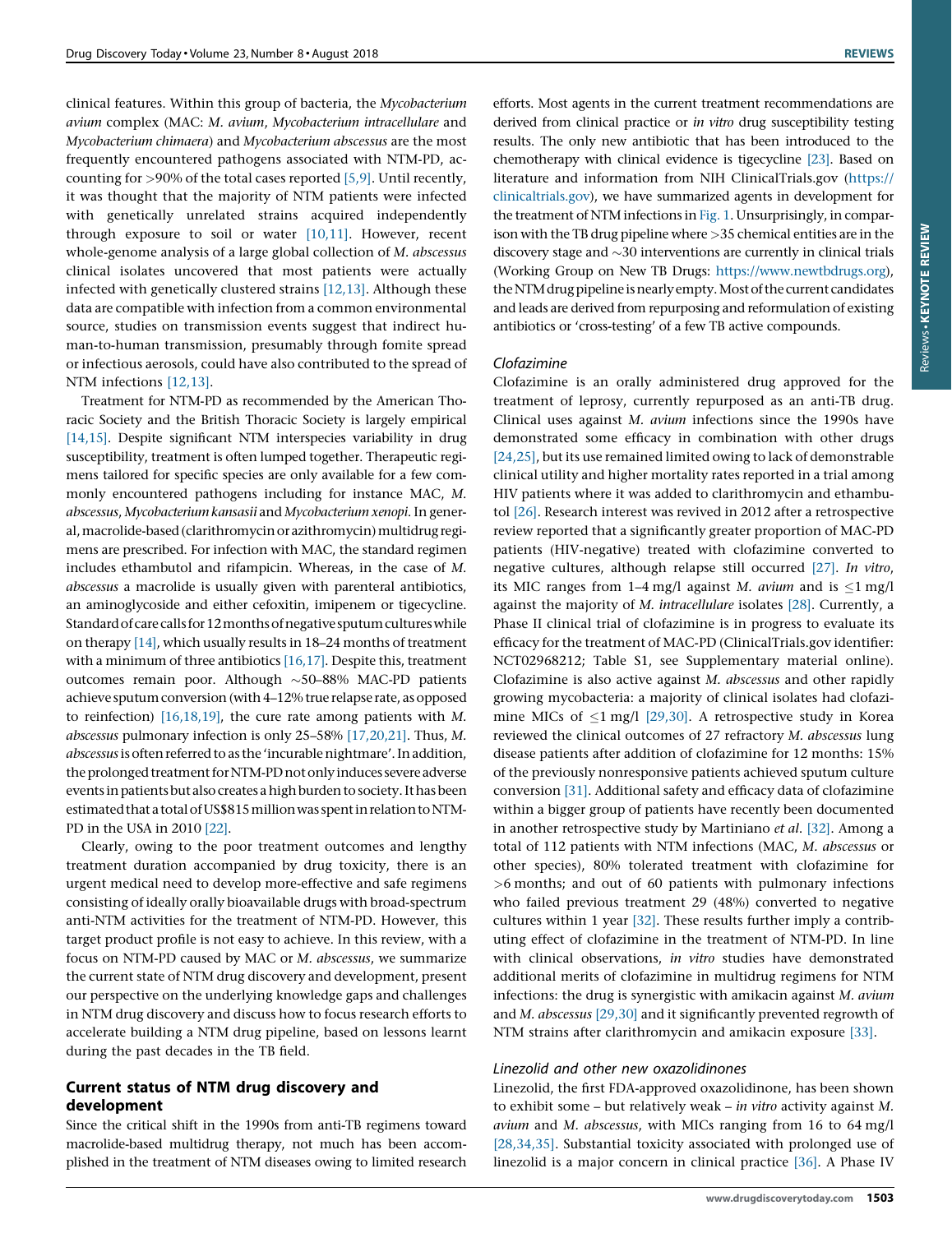clinical features. Within this group of bacteria, the Mycobacterium avium complex (MAC: M. avium, Mycobacterium intracellulare and Mycobacterium chimaera) and Mycobacterium abscessus are the most frequently encountered pathogens associated with NTM-PD, accounting for  $>90\%$  of the total cases reported [\[5,9\]](#page-13-0). Until recently, it was thought that the majority of NTM patients were infected with genetically unrelated strains acquired independently through exposure to soil or water [\[10,11\]](#page-13-0). However, recent whole-genome analysis of a large global collection of M. abscessus clinical isolates uncovered that most patients were actually infected with genetically clustered strains [\[12,13\]](#page-14-0). Although these data are compatible with infection from a common environmental source, studies on transmission events suggest that indirect human-to-human transmission, presumably through fomite spread or infectious aerosols, could have also contributed to the spread of NTM infections [\[12,13\]](#page-14-0).

Treatment for NTM-PD as recommended by the American Thoracic Society and the British Thoracic Society is largely empirical [\[14,15\]](#page-14-0). Despite significant NTM interspecies variability in drug susceptibility, treatment is often lumped together. Therapeutic regimens tailored for specific species are only available for a few commonly encountered pathogens including for instance MAC, M. abscessus, Mycobacterium kansasii and Mycobacterium xenopi. In general, macrolide-based (clarithromycin or azithromycin) multidrug regimens are prescribed. For infection with MAC, the standard regimen includes ethambutol and rifampicin. Whereas, in the case of M. abscessus a macrolide is usually given with parenteral antibiotics, an aminoglycoside and either cefoxitin, imipenem or tigecycline. Standard of care calls for 12 months of negative sputum cultures while on therapy [\[14\],](#page-14-0) which usually results in 18–24 months of treatment with a minimum of three antibiotics [\[16,17\]](#page-14-0). Despite this, treatment outcomes remain poor. Although  $\sim$  50–88% MAC-PD patients achieve sputum conversion (with 4–12% true relapse rate, as opposed to reinfection) [\[16,18,19\],](#page-14-0) the cure rate among patients with M. abscessus pulmonary infection is only 25–58% [\[17,20,21\].](#page-14-0) Thus, M. abscessus is often referred to as the 'incurable nightmare'. In addition, the prolonged treatment for NTM-PD not only induces severe adverse events in patients but also creates a high burden to society. It has been estimated that a total of US\$815 million was spent in relation to NTM-PD in the USA in 2010 [\[22\].](#page-14-0)

Clearly, owing to the poor treatment outcomes and lengthy treatment duration accompanied by drug toxicity, there is an urgent medical need to develop more-effective and safe regimens consisting of ideally orally bioavailable drugs with broad-spectrum anti-NTM activities for the treatment of NTM-PD. However, this target product profile is not easy to achieve. In this review, with a focus on NTM-PD caused by MAC or M. abscessus, we summarize the current state of NTM drug discovery and development, present our perspective on the underlying knowledge gaps and challenges in NTM drug discovery and discuss how to focus research efforts to accelerate building a NTM drug pipeline, based on lessons learnt during the past decades in the TB field.

# Current status of NTM drug discovery and development

Since the critical shift in the 1990s from anti-TB regimens toward macrolide-based multidrug therapy, not much has been accomplished in the treatment of NTM diseases owing to limited research

efforts. Most agents in the current treatment recommendations are derived from clinical practice or in vitro drug susceptibility testing results. The only new antibiotic that has been introduced to the chemotherapy with clinical evidence is tigecycline [\[23\]](#page-14-0). Based on literature and information from NIH ClinicalTrials.gov [\(https://](https://clinicaltrials.gov) [clinicaltrials.gov\)](https://clinicaltrials.gov), we have summarized agents in development for the treatment of NTM infections in [Fig.](#page-2-0) 1. Unsurprisingly, in comparison with the TB drug pipeline where >35 chemical entities are in the discovery stage and  $\sim$ 30 interventions are currently in clinical trials (Working Group on New TB Drugs: <https://www.newtbdrugs.org>), the NTM drug pipeline is nearly empty. Most of the current candidates and leads are derived from repurposing and reformulation of existing antibiotics or 'cross-testing' of a few TB active compounds.

# Clofazimine

Clofazimine is an orally administered drug approved for the treatment of leprosy, currently repurposed as an anti-TB drug. Clinical uses against M. avium infections since the 1990s have demonstrated some efficacy in combination with other drugs [\[24,25\]](#page-14-0), but its use remained limited owing to lack of demonstrable clinical utility and higher mortality rates reported in a trial among HIV patients where it was added to clarithromycin and ethambutol [\[26\].](#page-14-0) Research interest was revived in 2012 after a retrospective review reported that a significantly greater proportion of MAC-PD patients (HIV-negative) treated with clofazimine converted to negative cultures, although relapse still occurred [\[27\].](#page-14-0) In vitro, its MIC ranges from 1–4 mg/l against M. avium and is  $\leq 1$  mg/l against the majority of M. intracellulare isolates [\[28\]](#page-14-0). Currently, a Phase II clinical trial of clofazimine is in progress to evaluate its efficacy for the treatment of MAC-PD (ClinicalTrials.gov identifier: NCT02968212; Table S1, see Supplementary material online). Clofazimine is also active against M. abscessus and other rapidly growing mycobacteria: a majority of clinical isolates had clofazimine MICs of  $\leq$ 1 mg/l [\[29,30\]](#page-14-0). A retrospective study in Korea reviewed the clinical outcomes of 27 refractory M. abscessus lung disease patients after addition of clofazimine for 12 months: 15% of the previously nonresponsive patients achieved sputum culture conversion [\[31\]](#page-14-0). Additional safety and efficacy data of clofazimine within a bigger group of patients have recently been documented in another retrospective study by Martiniano et al. [\[32\].](#page-14-0) Among a total of 112 patients with NTM infections (MAC, M. abscessus or other species), 80% tolerated treatment with clofazimine for >6 months; and out of 60 patients with pulmonary infections who failed previous treatment 29 (48%) converted to negative cultures within 1 year [\[32\]](#page-14-0). These results further imply a contributing effect of clofazimine in the treatment of NTM-PD. In line with clinical observations, in vitro studies have demonstrated additional merits of clofazimine in multidrug regimens for NTM infections: the drug is synergistic with amikacin against M. avium and M. abscessus [\[29,30\]](#page-14-0) and it significantly prevented regrowth of NTM strains after clarithromycin and amikacin exposure [\[33\]](#page-14-0).

# Linezolid and other new oxazolidinones

Linezolid, the first FDA-approved oxazolidinone, has been shown to exhibit some – but relatively weak – in vitro activity against M. avium and M. abscessus, with MICs ranging from 16 to 64 mg/l [\[28,34,35\]](#page-14-0). Substantial toxicity associated with prolonged use of linezolid is a major concern in clinical practice [\[36\]](#page-14-0). A Phase IV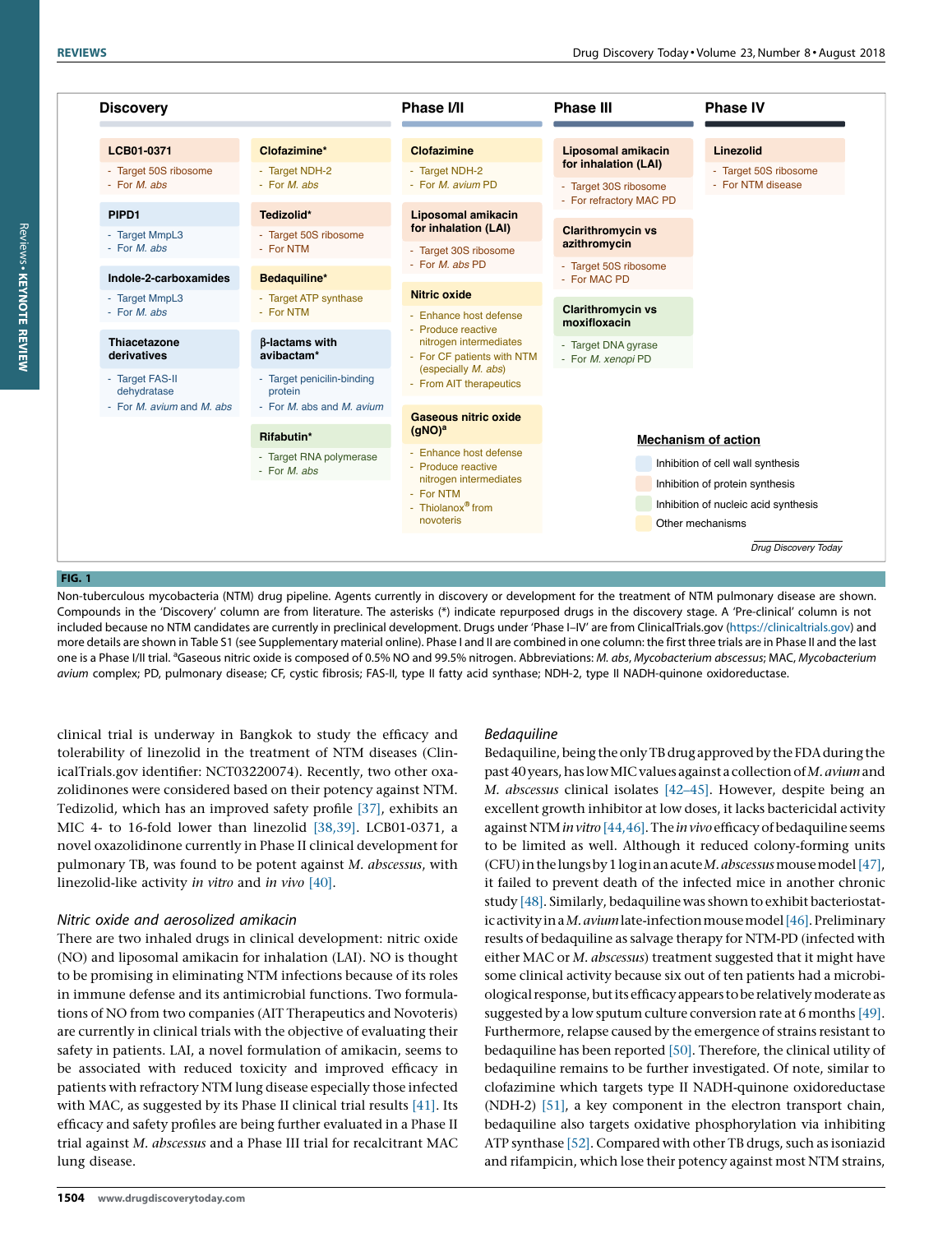<span id="page-2-0"></span>

# FIG. 1

Non-tuberculous mycobacteria (NTM) drug pipeline. Agents currently in discovery or development for the treatment of NTM pulmonary disease are shown. Compounds in the 'Discovery' column are from literature. The asterisks (\*) indicate repurposed drugs in the discovery stage. A 'Pre-clinical' column is not included because no NTM candidates are currently in preclinical development. Drugs under 'Phase I-IV' are from ClinicalTrials.gov (<https://clinicaltrials.gov>) and more details are shown in Table S1 (see Supplementary material online). Phase I and II are combined in one column: the first three trials are in Phase II and the last one is a Phase I/II trial. <sup>a</sup>Gaseous nitric oxide is composed of 0.5% NO and 99.5% nitrogen. Abbreviations: *M. abs, Mycobacterium abscessus; MAC, Mycobacterium* avium complex; PD, pulmonary disease; CF, cystic fibrosis; FAS-II, type II fatty acid synthase; NDH-2, type II NADH-quinone oxidoreductase.

clinical trial is underway in Bangkok to study the efficacy and tolerability of linezolid in the treatment of NTM diseases (ClinicalTrials.gov identifier: NCT03220074). Recently, two other oxazolidinones were considered based on their potency against NTM. Tedizolid, which has an improved safety profile [\[37\]](#page-14-0), exhibits an MIC 4- to 16-fold lower than linezolid [\[38,39\]](#page-14-0). LCB01-0371, a novel oxazolidinone currently in Phase II clinical development for pulmonary TB, was found to be potent against M. abscessus, with linezolid-like activity in vitro and in vivo [\[40\]](#page-14-0).

# Nitric oxide and aerosolized amikacin

There are two inhaled drugs in clinical development: nitric oxide (NO) and liposomal amikacin for inhalation (LAI). NO is thought to be promising in eliminating NTM infections because of its roles in immune defense and its antimicrobial functions. Two formulations of NO from two companies (AIT Therapeutics and Novoteris) are currently in clinical trials with the objective of evaluating their safety in patients. LAI, a novel formulation of amikacin, seems to be associated with reduced toxicity and improved efficacy in patients with refractory NTM lung disease especially those infected with MAC, as suggested by its Phase II clinical trial results [\[41\].](#page-14-0) Its efficacy and safety profiles are being further evaluated in a Phase II trial against M. abscessus and a Phase III trial for recalcitrant MAC lung disease.

# Bedaquiline

Bedaquiline, being the only TB drug approved by the FDA during the past 40 years, has low MIC values against a collection of M. avium and M. abscessus clinical isolates [\[42–45\]](#page-14-0). However, despite being an excellent growth inhibitor at low doses, it lacks bactericidal activity against NTM in vitro [\[44,46\]](#page-14-0). The in vivo efficacy of bedaquiline seems to be limited as well. Although it reduced colony-forming units (CFU) in the lungs by 1 log in an acute M. abscessus mouse model [\[47\]](#page-14-0), it failed to prevent death of the infected mice in another chronic study [\[48\].](#page-14-0) Similarly, bedaquiline was shown to exhibit bacteriostatic activity in a M. avium late-infection mouse model  $[46]$ . Preliminary results of bedaquiline as salvage therapy for NTM-PD (infected with either MAC or *M. abscessus*) treatment suggested that it might have some clinical activity because six out of ten patients had a microbiological response, but its efficacy appears to be relatively moderate as suggested by a low sputum culture conversion rate at 6 months [\[49\]](#page-14-0). Furthermore, relapse caused by the emergence of strains resistant to bedaquiline has been reported [\[50\]](#page-14-0). Therefore, the clinical utility of bedaquiline remains to be further investigated. Of note, similar to clofazimine which targets type II NADH-quinone oxidoreductase (NDH-2) [\[51\],](#page-14-0) a key component in the electron transport chain, bedaquiline also targets oxidative phosphorylation via inhibiting ATP synthase [\[52\].](#page-14-0) Compared with other TB drugs, such as isoniazid and rifampicin, which lose their potency against most NTM strains,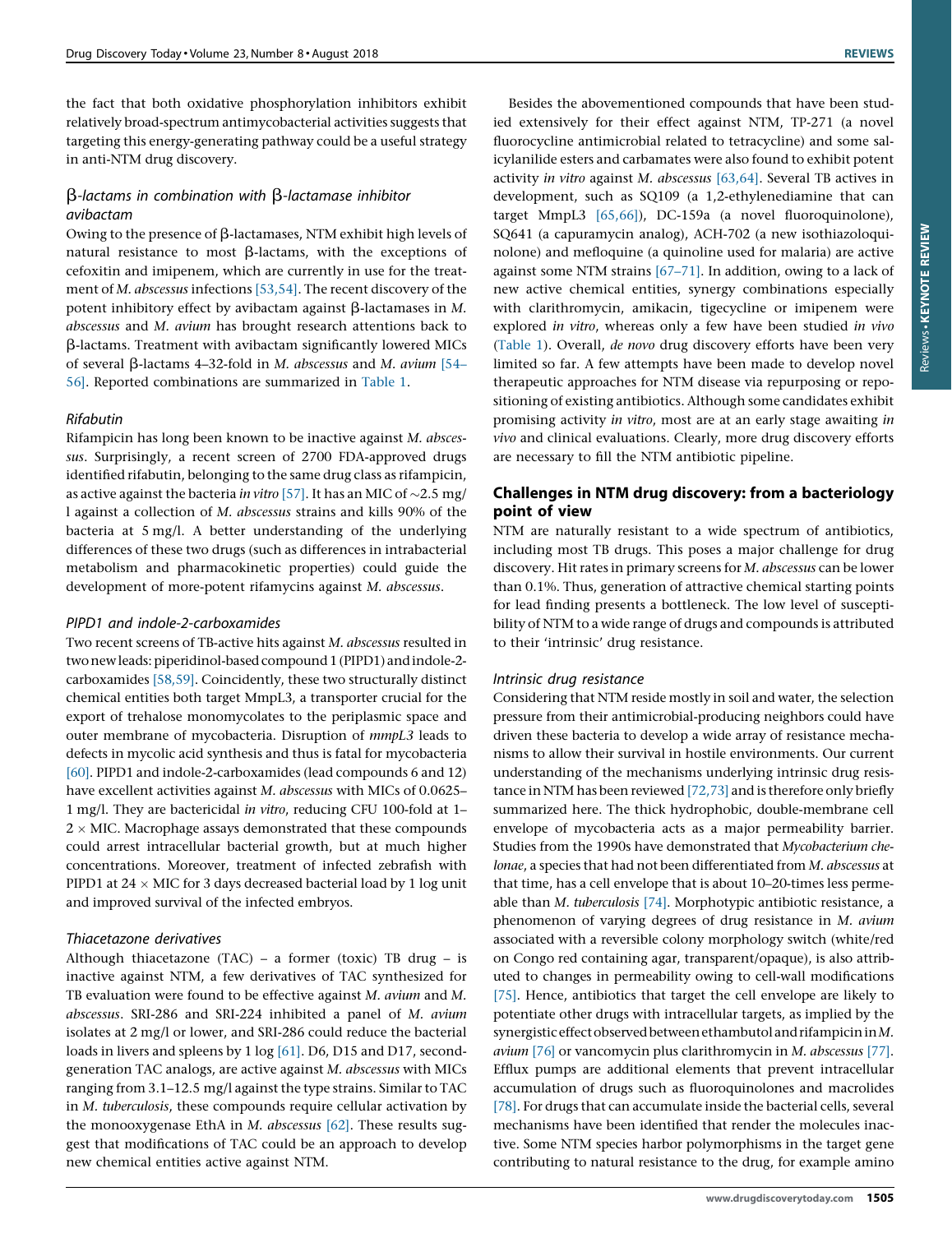the fact that both oxidative phosphorylation inhibitors exhibit relatively broad-spectrum antimycobacterial activities suggests that targeting this energy-generating pathway could be a useful strategy in anti-NTM drug discovery.

# b-lactams in combination with b-lactamase inhibitor avibactam

Owing to the presence of  $\beta$ -lactamases, NTM exhibit high levels of natural resistance to most  $\beta$ -lactams, with the exceptions of cefoxitin and imipenem, which are currently in use for the treatment of M. abscessus infections [\[53,54\].](#page-14-0) The recent discovery of the potent inhibitory effect by avibactam against  $\beta$ -lactamases in M. abscessus and M. avium has brought research attentions back to b-lactams. Treatment with avibactam significantly lowered MICs of several  $\beta$ -lactams 4–32-fold in M. abscessus and M. avium [\[54–](#page-14-0) [56\]](#page-14-0). Reported combinations are summarized in [Table](#page-4-0) 1.

# Rifabutin

Rifampicin has long been known to be inactive against M. abscessus. Surprisingly, a recent screen of 2700 FDA-approved drugs identified rifabutin, belonging to the same drug class as rifampicin, as active against the bacteria in vitro [\[57\].](#page-14-0) It has an MIC of  $\sim$ 2.5 mg/ l against a collection of M. abscessus strains and kills 90% of the bacteria at 5 mg/l. A better understanding of the underlying differences of these two drugs (such as differences in intrabacterial metabolism and pharmacokinetic properties) could guide the development of more-potent rifamycins against M. abscessus.

# PIPD1 and indole-2-carboxamides

Two recent screens of TB-active hits against M. abscessus resulted in two new leads: piperidinol-based compound 1 (PIPD1) and indole-2carboxamides [\[58,59\]](#page-14-0). Coincidently, these two structurally distinct chemical entities both target MmpL3, a transporter crucial for the export of trehalose monomycolates to the periplasmic space and outer membrane of mycobacteria. Disruption of mmpL3 leads to defects in mycolic acid synthesis and thus is fatal for mycobacteria [\[60\].](#page-14-0) PIPD1 and indole-2-carboxamides (lead compounds 6 and 12) have excellent activities against M. abscessus with MICs of 0.0625– 1 mg/l. They are bactericidal in vitro, reducing CFU 100-fold at 1–  $2 \times$  MIC. Macrophage assays demonstrated that these compounds could arrest intracellular bacterial growth, but at much higher concentrations. Moreover, treatment of infected zebrafish with PIPD1 at  $24 \times$  MIC for 3 days decreased bacterial load by 1 log unit and improved survival of the infected embryos.

# Thiacetazone derivatives

Although thiacetazone (TAC) – a former (toxic) TB drug – is inactive against NTM, a few derivatives of TAC synthesized for TB evaluation were found to be effective against M. avium and M. abscessus. SRI-286 and SRI-224 inhibited a panel of M. avium isolates at 2 mg/l or lower, and SRI-286 could reduce the bacterial loads in livers and spleens by 1 log [\[61\].](#page-14-0) D6, D15 and D17, secondgeneration TAC analogs, are active against M. abscessus with MICs ranging from 3.1–12.5 mg/l against the type strains. Similar to TAC in M. tuberculosis, these compounds require cellular activation by the monooxygenase EthA in M. abscessus [\[62\]](#page-14-0). These results suggest that modifications of TAC could be an approach to develop new chemical entities active against NTM.

Besides the abovementioned compounds that have been studied extensively for their effect against NTM, TP-271 (a novel fluorocycline antimicrobial related to tetracycline) and some salicylanilide esters and carbamates were also found to exhibit potent activity in vitro against M. abscessus  $[63, 64]$ . Several TB actives in development, such as SQ109 (a 1,2-ethylenediamine that can target MmpL3 [\[65,66\]](#page-14-0)), DC-159a (a novel fluoroquinolone), SQ641 (a capuramycin analog), ACH-702 (a new isothiazoloquinolone) and mefloquine (a quinoline used for malaria) are active against some NTM strains [\[67–71\].](#page-14-0) In addition, owing to a lack of new active chemical entities, synergy combinations especially with clarithromycin, amikacin, tigecycline or imipenem were explored in vitro, whereas only a few have been studied in vivo [\(Table](#page-4-0) 1). Overall, de novo drug discovery efforts have been very limited so far. A few attempts have been made to develop novel therapeutic approaches for NTM disease via repurposing or repositioning of existing antibiotics. Although some candidates exhibit promising activity in vitro, most are at an early stage awaiting in vivo and clinical evaluations. Clearly, more drug discovery efforts are necessary to fill the NTM antibiotic pipeline.

# Challenges in NTM drug discovery: from a bacteriology point of view

NTM are naturally resistant to a wide spectrum of antibiotics, including most TB drugs. This poses a major challenge for drug discovery. Hit rates in primary screens for M. abscessus can be lower than 0.1%. Thus, generation of attractive chemical starting points for lead finding presents a bottleneck. The low level of susceptibility of NTM to a wide range of drugs and compounds is attributed to their 'intrinsic' drug resistance.

# Intrinsic drug resistance

Considering that NTM reside mostly in soil and water, the selection pressure from their antimicrobial-producing neighbors could have driven these bacteria to develop a wide array of resistance mechanisms to allow their survival in hostile environments. Our current understanding of the mechanisms underlying intrinsic drug resistance in NTM has been reviewed [\[72,73\]](#page-15-0) and is therefore only briefly summarized here. The thick hydrophobic, double-membrane cell envelope of mycobacteria acts as a major permeability barrier. Studies from the 1990s have demonstrated that Mycobacterium chelonae, a species that had not been differentiated from M. abscessus at that time, has a cell envelope that is about 10–20-times less permeable than M. tuberculosis [\[74\]](#page-15-0). Morphotypic antibiotic resistance, a phenomenon of varying degrees of drug resistance in M. avium associated with a reversible colony morphology switch (white/red on Congo red containing agar, transparent/opaque), is also attributed to changes in permeability owing to cell-wall modifications [\[75\].](#page-15-0) Hence, antibiotics that target the cell envelope are likely to potentiate other drugs with intracellular targets, as implied by the synergistic effect observed between ethambutol and rifampicin in  $M$ . avium [\[76\]](#page-15-0) or vancomycin plus clarithromycin in M. abscessus [\[77\].](#page-15-0) Efflux pumps are additional elements that prevent intracellular accumulation of drugs such as fluoroquinolones and macrolides [\[78\].](#page-15-0) For drugs that can accumulate inside the bacterial cells, several mechanisms have been identified that render the molecules inactive. Some NTM species harbor polymorphisms in the target gene contributing to natural resistance to the drug, for example amino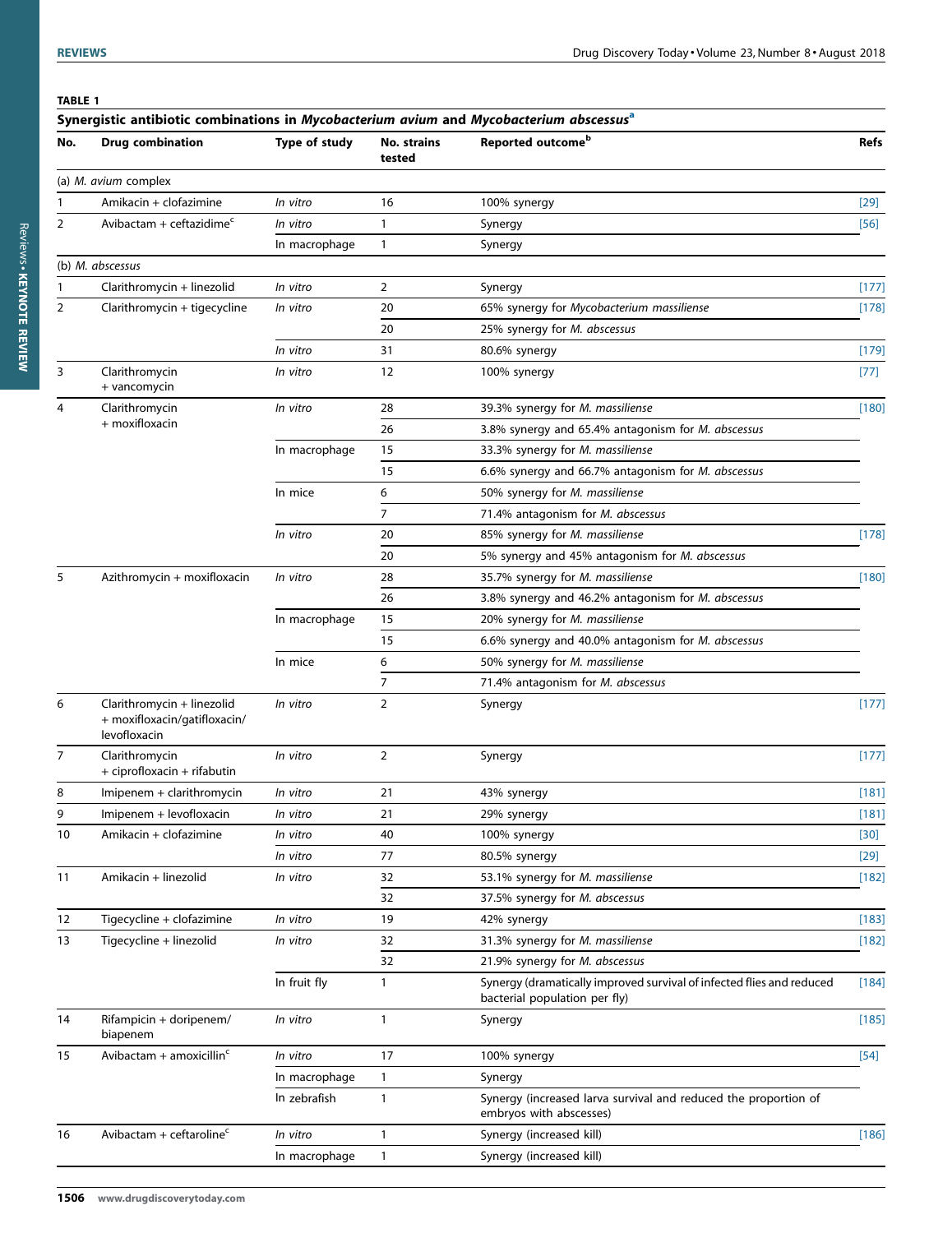# <span id="page-4-0"></span>TABLE 1

| Reported outcome <sup>b</sup><br>No. strains<br><b>Drug combination</b><br>Type of study<br>No.<br>tested<br>(a) M. avium complex<br>Amikacin + clofazimine<br>16<br>In vitro<br>100% synergy<br>Avibactam + ceftazidime $c$<br>In vitro<br>1<br>2<br>Synergy<br>In macrophage<br>1<br>Synergy<br>(b) M. abscessus<br>Clarithromycin + linezolid<br>In vitro<br>$\overline{2}$<br>Synergy<br>Clarithromycin + tigecycline<br>$\overline{2}$<br>In vitro<br>20<br>65% synergy for Mycobacterium massiliense<br>20<br>25% synergy for M. abscessus<br>In vitro<br>31<br>80.6% synergy<br>3<br>Clarithromycin<br>12<br>100% synergy<br>In vitro<br>+ vancomycin |             |
|--------------------------------------------------------------------------------------------------------------------------------------------------------------------------------------------------------------------------------------------------------------------------------------------------------------------------------------------------------------------------------------------------------------------------------------------------------------------------------------------------------------------------------------------------------------------------------------------------------------------------------------------------------------|-------------|
|                                                                                                                                                                                                                                                                                                                                                                                                                                                                                                                                                                                                                                                              | <b>Refs</b> |
|                                                                                                                                                                                                                                                                                                                                                                                                                                                                                                                                                                                                                                                              |             |
|                                                                                                                                                                                                                                                                                                                                                                                                                                                                                                                                                                                                                                                              | $[29]$      |
|                                                                                                                                                                                                                                                                                                                                                                                                                                                                                                                                                                                                                                                              | $[56]$      |
|                                                                                                                                                                                                                                                                                                                                                                                                                                                                                                                                                                                                                                                              |             |
|                                                                                                                                                                                                                                                                                                                                                                                                                                                                                                                                                                                                                                                              |             |
|                                                                                                                                                                                                                                                                                                                                                                                                                                                                                                                                                                                                                                                              | [177]       |
|                                                                                                                                                                                                                                                                                                                                                                                                                                                                                                                                                                                                                                                              | [178]       |
|                                                                                                                                                                                                                                                                                                                                                                                                                                                                                                                                                                                                                                                              |             |
|                                                                                                                                                                                                                                                                                                                                                                                                                                                                                                                                                                                                                                                              | $[179]$     |
|                                                                                                                                                                                                                                                                                                                                                                                                                                                                                                                                                                                                                                                              | $[77]$      |
| Clarithromycin<br>In vitro<br>28<br>39.3% synergy for M. massiliense<br>4                                                                                                                                                                                                                                                                                                                                                                                                                                                                                                                                                                                    | [180]       |
| + moxifloxacin<br>26<br>3.8% synergy and 65.4% antagonism for M. abscessus                                                                                                                                                                                                                                                                                                                                                                                                                                                                                                                                                                                   |             |
| In macrophage<br>15<br>33.3% synergy for M. massiliense                                                                                                                                                                                                                                                                                                                                                                                                                                                                                                                                                                                                      |             |
| 15<br>6.6% synergy and 66.7% antagonism for M. abscessus                                                                                                                                                                                                                                                                                                                                                                                                                                                                                                                                                                                                     |             |
| In mice<br>6<br>50% synergy for M. massiliense                                                                                                                                                                                                                                                                                                                                                                                                                                                                                                                                                                                                               |             |
| 7<br>71.4% antagonism for M. abscessus                                                                                                                                                                                                                                                                                                                                                                                                                                                                                                                                                                                                                       |             |
| In vitro<br>85% synergy for M. massiliense<br>20                                                                                                                                                                                                                                                                                                                                                                                                                                                                                                                                                                                                             | [178]       |
| 20<br>5% synergy and 45% antagonism for M. abscessus                                                                                                                                                                                                                                                                                                                                                                                                                                                                                                                                                                                                         |             |
| Azithromycin + moxifloxacin<br>5<br>In vitro<br>28<br>35.7% synergy for M. massiliense                                                                                                                                                                                                                                                                                                                                                                                                                                                                                                                                                                       | [180]       |
| 26<br>3.8% synergy and 46.2% antagonism for M. abscessus                                                                                                                                                                                                                                                                                                                                                                                                                                                                                                                                                                                                     |             |
| In macrophage<br>15<br>20% synergy for M. massiliense                                                                                                                                                                                                                                                                                                                                                                                                                                                                                                                                                                                                        |             |
| 15<br>6.6% synergy and 40.0% antagonism for M. abscessus                                                                                                                                                                                                                                                                                                                                                                                                                                                                                                                                                                                                     |             |
| In mice<br>6<br>50% synergy for M. massiliense                                                                                                                                                                                                                                                                                                                                                                                                                                                                                                                                                                                                               |             |
| 7<br>71.4% antagonism for M. abscessus                                                                                                                                                                                                                                                                                                                                                                                                                                                                                                                                                                                                                       |             |
| Clarithromycin + linezolid<br>In vitro<br>2<br>6<br>Synergy<br>+ moxifloxacin/gatifloxacin/<br>levofloxacin                                                                                                                                                                                                                                                                                                                                                                                                                                                                                                                                                  | $[177]$     |
| 2<br>Clarithromycin<br>In vitro<br>7<br>Synergy<br>+ ciprofloxacin + rifabutin                                                                                                                                                                                                                                                                                                                                                                                                                                                                                                                                                                               | $[177]$     |
| 21<br>Imipenem + clarithromycin<br>In vitro<br>43% synergy<br>8                                                                                                                                                                                                                                                                                                                                                                                                                                                                                                                                                                                              | [181]       |
| Imipenem + levofloxacin<br>9<br>In vitro<br>21<br>29% synergy                                                                                                                                                                                                                                                                                                                                                                                                                                                                                                                                                                                                | [181]       |
| Amikacin + clofazimine<br>40<br>10<br>In vitro<br>100% synergy                                                                                                                                                                                                                                                                                                                                                                                                                                                                                                                                                                                               | $[30]$      |
| In vitro<br>77<br>80.5% synergy                                                                                                                                                                                                                                                                                                                                                                                                                                                                                                                                                                                                                              | $[29]$      |
| Amikacin + linezolid<br>In vitro<br>32<br>53.1% synergy for M. massiliense<br>11                                                                                                                                                                                                                                                                                                                                                                                                                                                                                                                                                                             | [182]       |
| 32<br>37.5% synergy for M. abscessus                                                                                                                                                                                                                                                                                                                                                                                                                                                                                                                                                                                                                         |             |
| Tigecycline + clofazimine<br>In vitro<br>19<br>12<br>42% synergy                                                                                                                                                                                                                                                                                                                                                                                                                                                                                                                                                                                             | [183]       |
| Tigecycline + linezolid<br>31.3% synergy for M. massiliense<br>13<br>In vitro<br>32                                                                                                                                                                                                                                                                                                                                                                                                                                                                                                                                                                          | [182]       |
| 32<br>21.9% synergy for M. abscessus                                                                                                                                                                                                                                                                                                                                                                                                                                                                                                                                                                                                                         |             |
| In fruit fly<br>Synergy (dramatically improved survival of infected flies and reduced<br>1<br>bacterial population per fly)                                                                                                                                                                                                                                                                                                                                                                                                                                                                                                                                  | $[184]$     |
| $\mathbf{1}$<br>14<br>Rifampicin + doripenem/<br>In vitro<br>Synergy<br>biapenem                                                                                                                                                                                                                                                                                                                                                                                                                                                                                                                                                                             | [185]       |
| Avibactam + amoxicillin $c$<br>17<br>15<br>In vitro<br>100% synergy                                                                                                                                                                                                                                                                                                                                                                                                                                                                                                                                                                                          | $[54]$      |
| In macrophage<br>1<br>Synergy                                                                                                                                                                                                                                                                                                                                                                                                                                                                                                                                                                                                                                |             |
| In zebrafish<br>1<br>Synergy (increased larva survival and reduced the proportion of<br>embryos with abscesses)                                                                                                                                                                                                                                                                                                                                                                                                                                                                                                                                              |             |
| Avibactam + ceftaroline $c$<br>16<br>In vitro<br>1<br>Synergy (increased kill)                                                                                                                                                                                                                                                                                                                                                                                                                                                                                                                                                                               | $[186]$     |
| In macrophage<br>$\mathbf{1}$<br>Synergy (increased kill)                                                                                                                                                                                                                                                                                                                                                                                                                                                                                                                                                                                                    |             |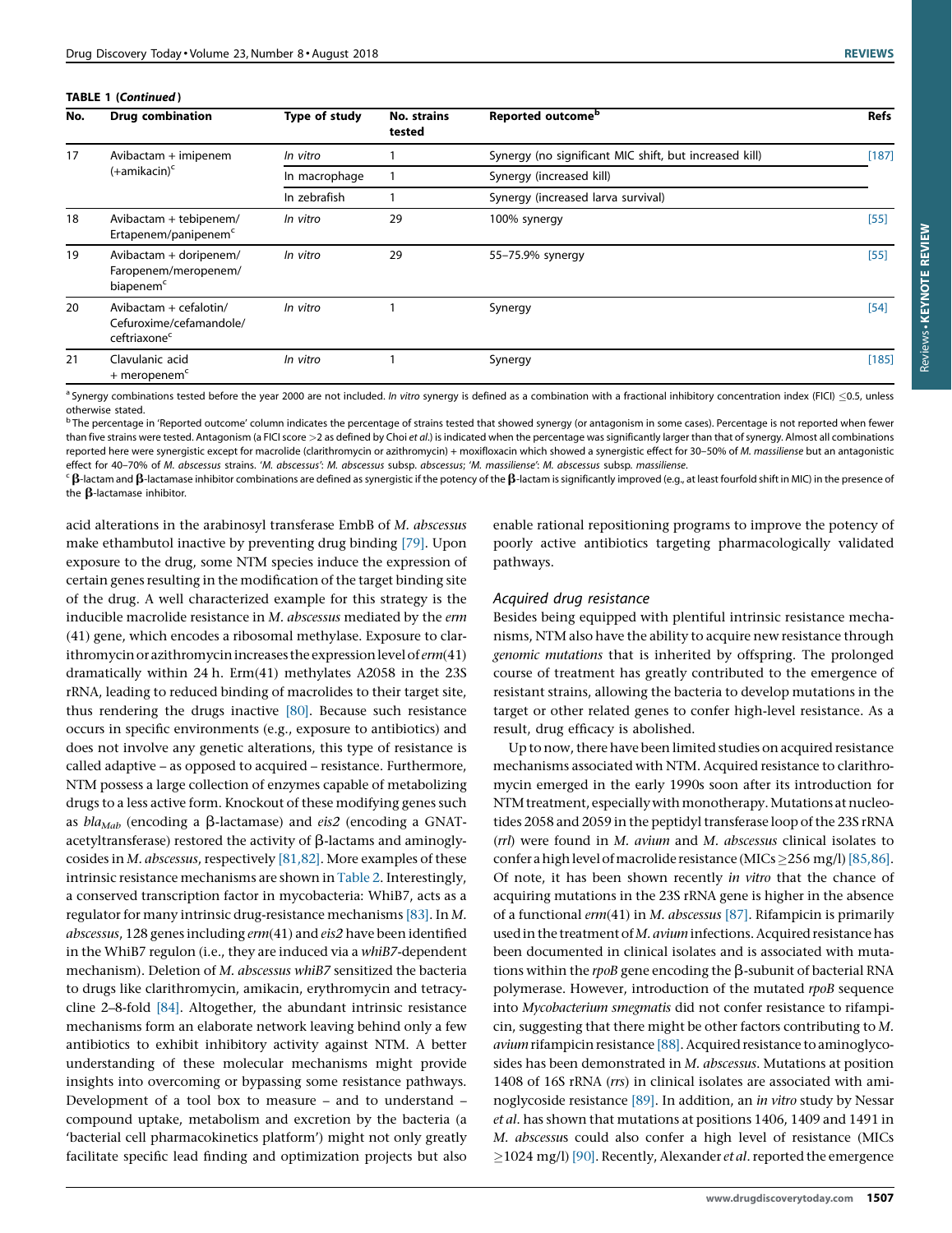<span id="page-5-0"></span>

|  | TABLE 1 (Continued) |
|--|---------------------|
|--|---------------------|

| No. | <b>Drug combination</b>                                                         | Type of study | <b>No. strains</b><br>tested | Reported outcome <sup>b</sup>                          | <b>Refs</b> |
|-----|---------------------------------------------------------------------------------|---------------|------------------------------|--------------------------------------------------------|-------------|
| 17  | Avibactam + imipenem<br>$(+amikacin)c$                                          | In vitro      |                              | Synergy (no significant MIC shift, but increased kill) | [187]       |
|     |                                                                                 | In macrophage |                              | Synergy (increased kill)                               |             |
|     |                                                                                 | In zebrafish  |                              | Synergy (increased larva survival)                     |             |
| 18  | Avibactam + tebipenem/<br>Ertapenem/panipenem <sup>c</sup>                      | In vitro      | 29                           | 100% synergy                                           | [55]        |
| 19  | Avibactam + doripenem/<br>Faropenem/meropenem/<br>biapenem <sup>c</sup>         | In vitro      | 29                           | 55-75.9% synergy                                       | $[55]$      |
| 20  | Avibactam $+$ cefalotin/<br>Cefuroxime/cefamandole/<br>ceftriaxone <sup>c</sup> | In vitro      |                              | Synergy                                                | [54]        |
| 21  | Clavulanic acid<br>$+$ meropenem <sup>c</sup>                                   | In vitro      |                              | Synergy                                                | [185]       |

<sup>a</sup> Synergy combinations tested before the year 2000 are not included. In vitro synergy is defined as a combination with a fractional inhibitory concentration index (FICI)  $\leq$ 0.5, unless otherwise stated.

<sup>b</sup> The percentage in 'Reported outcome' column indicates the percentage of strains tested that showed synergy (or antagonism in some cases). Percentage is not reported when fewer than five strains were tested. Antagonism (a FICI score >2 as defined by Choi et al.) is indicated when the percentage was significantly larger than that of synergy. Almost all combinations reported here were synergistic except for macrolide (clarithromycin or azithromycin) + moxifloxacin which showed a synergistic effect for 30-50% of M. massiliense but an antagonistic effect for 40–70% of M. abscessus strains. 'M. abscessus': M. abscessus subsp. abscessus; 'M. massiliense': M. abscessus subsp. massiliense.

 $\epsilon$   $\beta$ -lactamase inhibitor combinations are defined as synergistic if the potency of the  $\beta$ -lactam is significantly improved (e.g., at least fourfold shift in MIC) in the presence of the  $\beta$ -lactamase inhibitor.

acid alterations in the arabinosyl transferase EmbB of M. abscessus make ethambutol inactive by preventing drug binding [\[79\]](#page-15-0). Upon exposure to the drug, some NTM species induce the expression of certain genes resulting in the modification of the target binding site of the drug. A well characterized example for this strategy is the inducible macrolide resistance in M. abscessus mediated by the erm (41) gene, which encodes a ribosomal methylase. Exposure to clarithromycin or azithromycin increases the expression level of  $erm(41)$ dramatically within 24 h. Erm(41) methylates A2058 in the 23S rRNA, leading to reduced binding of macrolides to their target site, thus rendering the drugs inactive [\[80\].](#page-15-0) Because such resistance occurs in specific environments (e.g., exposure to antibiotics) and does not involve any genetic alterations, this type of resistance is called adaptive – as opposed to acquired – resistance. Furthermore, NTM possess a large collection of enzymes capable of metabolizing drugs to a less active form. Knockout of these modifying genes such as  $bla_{Mab}$  (encoding a  $\beta$ -lactamase) and eis2 (encoding a GNATacetyltransferase) restored the activity of  $\beta$ -lactams and aminoglycosides in M. abscessus, respectively [\[81,82\]](#page-15-0). More examples of these intrinsic resistance mechanisms are shown in [Table](#page-6-0) 2. Interestingly, a conserved transcription factor in mycobacteria: WhiB7, acts as a regulator for many intrinsic drug-resistance mechanisms [\[83\]](#page-15-0). In M. abscessus, 128 genes including erm(41) and eis2 have been identified in the WhiB7 regulon (i.e., they are induced via a whiB7-dependent mechanism). Deletion of M. abscessus whiB7 sensitized the bacteria to drugs like clarithromycin, amikacin, erythromycin and tetracycline 2–8-fold [\[84\].](#page-15-0) Altogether, the abundant intrinsic resistance mechanisms form an elaborate network leaving behind only a few antibiotics to exhibit inhibitory activity against NTM. A better understanding of these molecular mechanisms might provide insights into overcoming or bypassing some resistance pathways. Development of a tool box to measure – and to understand – compound uptake, metabolism and excretion by the bacteria (a 'bacterial cell pharmacokinetics platform') might not only greatly facilitate specific lead finding and optimization projects but also

enable rational repositioning programs to improve the potency of poorly active antibiotics targeting pharmacologically validated pathways.

# Acquired drug resistance

Besides being equipped with plentiful intrinsic resistance mechanisms, NTM also have the ability to acquire new resistance through genomic mutations that is inherited by offspring. The prolonged course of treatment has greatly contributed to the emergence of resistant strains, allowing the bacteria to develop mutations in the target or other related genes to confer high-level resistance. As a result, drug efficacy is abolished.

Up to now, there have been limited studies on acquired resistance mechanisms associated with NTM. Acquired resistance to clarithromycin emerged in the early 1990s soon after its introduction for NTM treatment, especially with monotherapy. Mutations at nucleotides 2058 and 2059 in the peptidyl transferase loop of the 23S rRNA (rrl) were found in M. avium and M. abscessus clinical isolates to confer a high level of macrolide resistance (MICs  $>$  256 mg/l) [\[85,86\].](#page-15-0) Of note, it has been shown recently in vitro that the chance of acquiring mutations in the 23S rRNA gene is higher in the absence of a functional  $erm(41)$  in M. abscessus [\[87\].](#page-15-0) Rifampicin is primarily used in the treatment of  $M$ . avium infections. Acquired resistance has been documented in clinical isolates and is associated with mutations within the  $rpoB$  gene encoding the  $\beta$ -subunit of bacterial RNA polymerase. However, introduction of the mutated rpoB sequence into Mycobacterium smegmatis did not confer resistance to rifampicin, suggesting that there might be other factors contributing to M.  $avium$  rifampicin resistance  $[88]$ . Acquired resistance to aminoglycosides has been demonstrated in M. abscessus. Mutations at position 1408 of 16S rRNA (rrs) in clinical isolates are associated with aminoglycoside resistance [\[89\].](#page-15-0) In addition, an in vitro study by Nessar et al. has shown that mutations at positions 1406, 1409 and 1491 in M. abscessus could also confer a high level of resistance (MICs  $\ge$ 1024 mg/l) [\[90\]](#page-15-0). Recently, Alexander *et al*. reported the emergence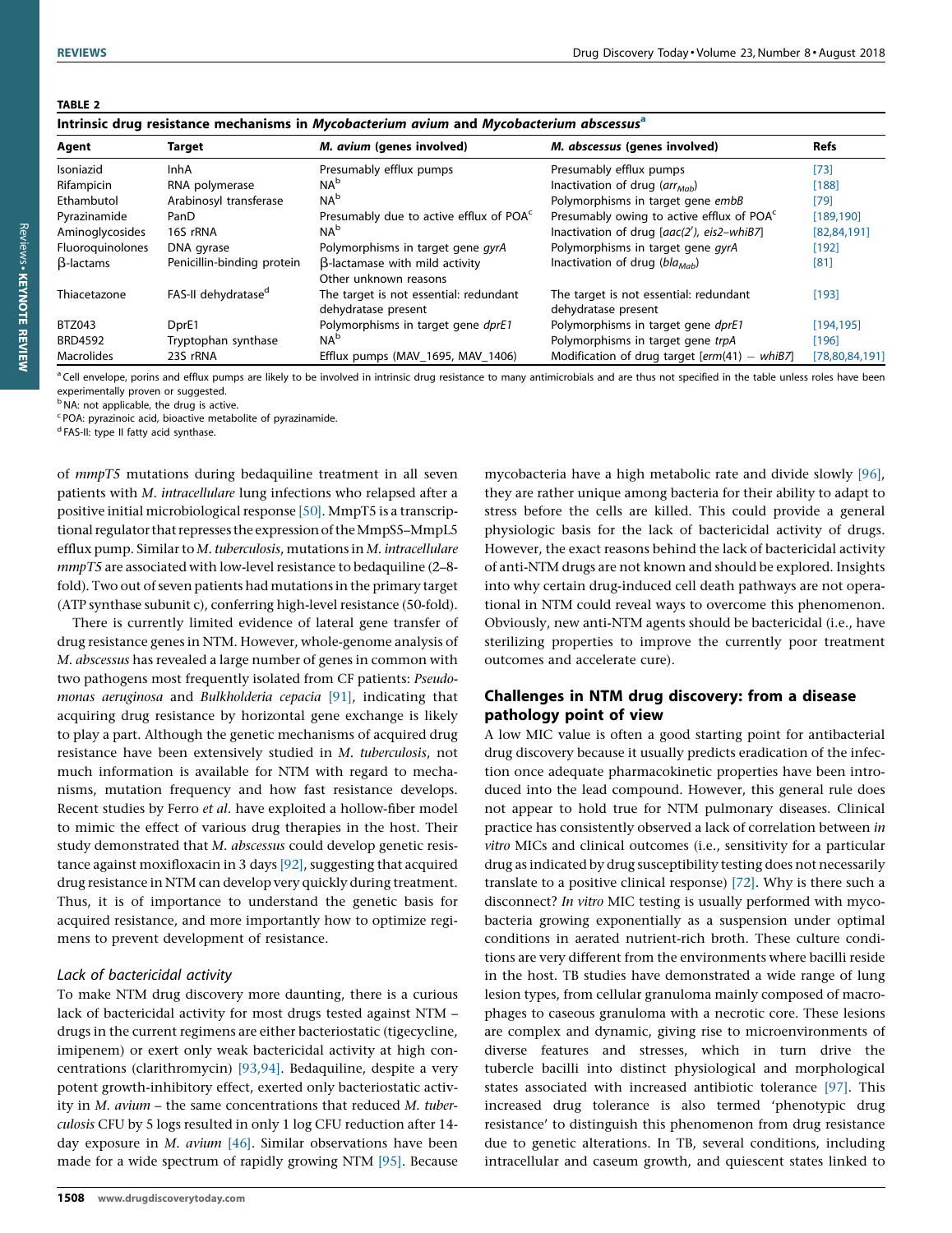# <span id="page-6-0"></span>TABLE 2

| Intrinsic drug resistance mechanisms in Mycobacterium avium and Mycobacterium abscessus <sup>a</sup> |  |  |  |
|------------------------------------------------------------------------------------------------------|--|--|--|

| Target<br>Agent   |                                 | M. avium (genes involved)                                     | M. abscessus (genes involved)                                 | <b>Refs</b>    |  |
|-------------------|---------------------------------|---------------------------------------------------------------|---------------------------------------------------------------|----------------|--|
| Isoniazid         | InhA                            | Presumably efflux pumps                                       | Presumably efflux pumps                                       | $[73]$         |  |
| Rifampicin        | RNA polymerase                  | NA <sup>b</sup>                                               | Inactivation of drug $(\text{arr}_{\text{M}ab})$              | [188]          |  |
| Ethambutol        | Arabinosyl transferase          | NA <sup>b</sup>                                               | Polymorphisms in target gene embB                             | $[79]$         |  |
| Pyrazinamide      | PanD                            | Presumably due to active efflux of POA <sup>c</sup>           | Presumably owing to active efflux of POA <sup>c</sup>         | [189, 190]     |  |
| Aminoglycosides   | 16S rRNA                        | NA <sup>b</sup>                                               | Inactivation of drug [aac(2'), eis2-whiB7]                    | [82, 84, 191]  |  |
| Fluoroguinolones  | DNA gyrase                      | Polymorphisms in target gene gyrA                             | Polymorphisms in target gene gyrA                             | [192]          |  |
| $\beta$ -lactams  | Penicillin-binding protein      | B-lactamase with mild activity<br>Other unknown reasons       | Inactivation of drug ( $bla_{Mab}$ )                          | [81]           |  |
| Thiacetazone      | FAS-II dehvdratase <sup>d</sup> | The target is not essential: redundant<br>dehydratase present | The target is not essential: redundant<br>dehydratase present | [193]          |  |
| <b>BTZ043</b>     | DprE1                           | Polymorphisms in target gene dprE1                            | Polymorphisms in target gene dprE1                            | [194, 195]     |  |
| <b>BRD4592</b>    | Tryptophan synthase             | NA <sup>b</sup>                                               | Polymorphisms in target gene trpA                             | [196]          |  |
| <b>Macrolides</b> | 23S rRNA                        | Efflux pumps (MAV 1695, MAV 1406)                             | Modification of drug target $[erm(41) - whiB7]$               | [78,80,84,191] |  |

<sup>a</sup> Cell envelope, porins and efflux pumps are likely to be involved in intrinsic drug resistance to many antimicrobials and are thus not specified in the table unless roles have been experimentally proven or suggested.

<sup>b</sup> NA: not applicable, the drug is active.

<sup>c</sup> POA: pyrazinoic acid, bioactive metabolite of pyrazinamide.

d FAS-II: type II fatty acid synthase.

of mmpT5 mutations during bedaquiline treatment in all seven patients with M. intracellulare lung infections who relapsed after a positive initial microbiological response  $[50]$ . MmpT5 is a transcriptional regulator that represses the expression of the MmpS5–MmpL5 efflux pump. Similar to M. tuberculosis, mutations in M. intracellulare mmpT5 are associated with low-level resistance to bedaquiline (2-8fold). Two out of seven patients had mutations in the primary target (ATP synthase subunit c), conferring high-level resistance (50-fold).

There is currently limited evidence of lateral gene transfer of drug resistance genes in NTM. However, whole-genome analysis of M. abscessus has revealed a large number of genes in common with two pathogens most frequently isolated from CF patients: Pseudomonas aeruginosa and Bulkholderia cepacia [\[91\],](#page-15-0) indicating that acquiring drug resistance by horizontal gene exchange is likely to play a part. Although the genetic mechanisms of acquired drug resistance have been extensively studied in M. tuberculosis, not much information is available for NTM with regard to mechanisms, mutation frequency and how fast resistance develops. Recent studies by Ferro et al. have exploited a hollow-fiber model to mimic the effect of various drug therapies in the host. Their study demonstrated that M. abscessus could develop genetic resistance against moxifloxacin in 3 days [\[92\]](#page-15-0), suggesting that acquired drug resistance in NTM can develop very quickly during treatment. Thus, it is of importance to understand the genetic basis for acquired resistance, and more importantly how to optimize regimens to prevent development of resistance.

# Lack of bactericidal activity

To make NTM drug discovery more daunting, there is a curious lack of bactericidal activity for most drugs tested against NTM – drugs in the current regimens are either bacteriostatic (tigecycline, imipenem) or exert only weak bactericidal activity at high concentrations (clarithromycin) [\[93,94\].](#page-15-0) Bedaquiline, despite a very potent growth-inhibitory effect, exerted only bacteriostatic activity in M. avium – the same concentrations that reduced M. tuberculosis CFU by 5 logs resulted in only 1 log CFU reduction after 14 day exposure in  $M$ . avium [\[46\].](#page-14-0) Similar observations have been made for a wide spectrum of rapidly growing NTM [\[95\].](#page-15-0) Because

mycobacteria have a high metabolic rate and divide slowly [\[96\]](#page-15-0), they are rather unique among bacteria for their ability to adapt to stress before the cells are killed. This could provide a general physiologic basis for the lack of bactericidal activity of drugs. However, the exact reasons behind the lack of bactericidal activity of anti-NTM drugs are not known and should be explored. Insights into why certain drug-induced cell death pathways are not operational in NTM could reveal ways to overcome this phenomenon. Obviously, new anti-NTM agents should be bactericidal (i.e., have sterilizing properties to improve the currently poor treatment outcomes and accelerate cure).

# Challenges in NTM drug discovery: from a disease pathology point of view

A low MIC value is often a good starting point for antibacterial drug discovery because it usually predicts eradication of the infection once adequate pharmacokinetic properties have been introduced into the lead compound. However, this general rule does not appear to hold true for NTM pulmonary diseases. Clinical practice has consistently observed a lack of correlation between in vitro MICs and clinical outcomes (i.e., sensitivity for a particular drug as indicated by drug susceptibility testing does not necessarily translate to a positive clinical response) [\[72\]](#page-15-0). Why is there such a disconnect? In vitro MIC testing is usually performed with mycobacteria growing exponentially as a suspension under optimal conditions in aerated nutrient-rich broth. These culture conditions are very different from the environments where bacilli reside in the host. TB studies have demonstrated a wide range of lung lesion types, from cellular granuloma mainly composed of macrophages to caseous granuloma with a necrotic core. These lesions are complex and dynamic, giving rise to microenvironments of diverse features and stresses, which in turn drive the tubercle bacilli into distinct physiological and morphological states associated with increased antibiotic tolerance [\[97\].](#page-15-0) This increased drug tolerance is also termed 'phenotypic drug resistance' to distinguish this phenomenon from drug resistance due to genetic alterations. In TB, several conditions, including intracellular and caseum growth, and quiescent states linked to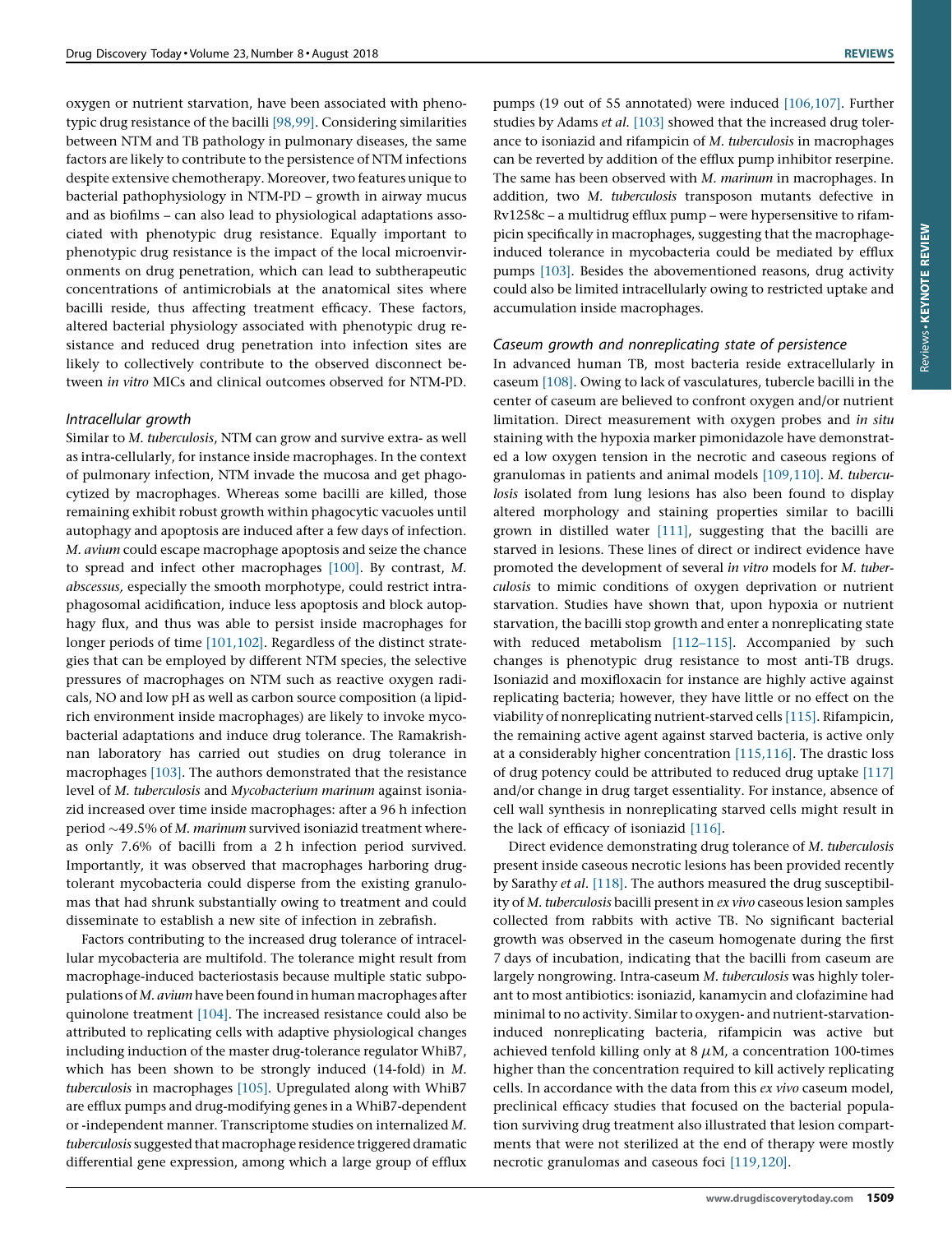oxygen or nutrient starvation, have been associated with phenotypic drug resistance of the bacilli [\[98,99\].](#page-15-0) Considering similarities between NTM and TB pathology in pulmonary diseases, the same factors are likely to contribute to the persistence of NTM infections despite extensive chemotherapy. Moreover, two features unique to bacterial pathophysiology in NTM-PD – growth in airway mucus and as biofilms – can also lead to physiological adaptations associated with phenotypic drug resistance. Equally important to phenotypic drug resistance is the impact of the local microenvironments on drug penetration, which can lead to subtherapeutic concentrations of antimicrobials at the anatomical sites where bacilli reside, thus affecting treatment efficacy. These factors, altered bacterial physiology associated with phenotypic drug resistance and reduced drug penetration into infection sites are likely to collectively contribute to the observed disconnect between in vitro MICs and clinical outcomes observed for NTM-PD.

# Intracellular growth

Similar to M. tuberculosis, NTM can grow and survive extra- as well as intra-cellularly, for instance inside macrophages. In the context of pulmonary infection, NTM invade the mucosa and get phagocytized by macrophages. Whereas some bacilli are killed, those remaining exhibit robust growth within phagocytic vacuoles until autophagy and apoptosis are induced after a few days of infection. M. avium could escape macrophage apoptosis and seize the chance to spread and infect other macrophages [\[100\].](#page-15-0) By contrast, M. abscessus, especially the smooth morphotype, could restrict intraphagosomal acidification, induce less apoptosis and block autophagy flux, and thus was able to persist inside macrophages for longer periods of time [\[101,102\].](#page-15-0) Regardless of the distinct strategies that can be employed by different NTM species, the selective pressures of macrophages on NTM such as reactive oxygen radicals, NO and low pH as well as carbon source composition (a lipidrich environment inside macrophages) are likely to invoke mycobacterial adaptations and induce drug tolerance. The Ramakrishnan laboratory has carried out studies on drug tolerance in macrophages [\[103\]](#page-15-0). The authors demonstrated that the resistance level of M. tuberculosis and Mycobacterium marinum against isoniazid increased over time inside macrophages: after a 96 h infection period  $\sim$  49.5% of M. marinum survived isoniazid treatment whereas only 7.6% of bacilli from a 2 h infection period survived. Importantly, it was observed that macrophages harboring drugtolerant mycobacteria could disperse from the existing granulomas that had shrunk substantially owing to treatment and could disseminate to establish a new site of infection in zebrafish.

Factors contributing to the increased drug tolerance of intracellular mycobacteria are multifold. The tolerance might result from macrophage-induced bacteriostasis because multiple static subpopulations of  $M$ . avium have been found in human macrophages after quinolone treatment [\[104\].](#page-15-0) The increased resistance could also be attributed to replicating cells with adaptive physiological changes including induction of the master drug-tolerance regulator WhiB7, which has been shown to be strongly induced (14-fold) in M. tuberculosis in macrophages [\[105\]](#page-15-0). Upregulated along with WhiB7 are efflux pumps and drug-modifying genes in a WhiB7-dependent or -independent manner. Transcriptome studies on internalized M. tuberculosis suggested that macrophage residence triggered dramatic differential gene expression, among which a large group of efflux

studies by Adams et al. [\[103\]](#page-15-0) showed that the increased drug tolerance to isoniazid and rifampicin of M. tuberculosis in macrophages can be reverted by addition of the efflux pump inhibitor reserpine. The same has been observed with M. marinum in macrophages. In addition, two M. tuberculosis transposon mutants defective in Rv1258c – a multidrug efflux pump – were hypersensitive to rifampicin specifically in macrophages, suggesting that the macrophage-Reviews KEYNOTE REVIEWReviews . KEYNOTE REVIEW induced tolerance in mycobacteria could be mediated by efflux pumps [\[103\]](#page-15-0). Besides the abovementioned reasons, drug activity

## Caseum growth and nonreplicating state of persistence

accumulation inside macrophages.

could also be limited intracellularly owing to restricted uptake and

pumps (19 out of 55 annotated) were induced [\[106,107\]](#page-15-0). Further

In advanced human TB, most bacteria reside extracellularly in caseum [\[108\]](#page-15-0). Owing to lack of vasculatures, tubercle bacilli in the center of caseum are believed to confront oxygen and/or nutrient limitation. Direct measurement with oxygen probes and in situ staining with the hypoxia marker pimonidazole have demonstrated a low oxygen tension in the necrotic and caseous regions of granulomas in patients and animal models [\[109,110\].](#page-15-0) M. tuberculosis isolated from lung lesions has also been found to display altered morphology and staining properties similar to bacilli grown in distilled water [\[111\]](#page-15-0), suggesting that the bacilli are starved in lesions. These lines of direct or indirect evidence have promoted the development of several in vitro models for M. tuberculosis to mimic conditions of oxygen deprivation or nutrient starvation. Studies have shown that, upon hypoxia or nutrient starvation, the bacilli stop growth and enter a nonreplicating state with reduced metabolism [112-115]. Accompanied by such changes is phenotypic drug resistance to most anti-TB drugs. Isoniazid and moxifloxacin for instance are highly active against replicating bacteria; however, they have little or no effect on the viability of nonreplicating nutrient-starved cells [\[115\]](#page-15-0). Rifampicin, the remaining active agent against starved bacteria, is active only at a considerably higher concentration [\[115,116\]](#page-15-0). The drastic loss of drug potency could be attributed to reduced drug uptake [\[117\]](#page-15-0) and/or change in drug target essentiality. For instance, absence of cell wall synthesis in nonreplicating starved cells might result in the lack of efficacy of isoniazid [\[116\]](#page-15-0).

Direct evidence demonstrating drug tolerance of M. tuberculosis present inside caseous necrotic lesions has been provided recently by Sarathy et al. [\[118\]](#page-15-0). The authors measured the drug susceptibility of M. tuberculosis bacilli present in ex vivo caseous lesion samples collected from rabbits with active TB. No significant bacterial growth was observed in the caseum homogenate during the first 7 days of incubation, indicating that the bacilli from caseum are largely nongrowing. Intra-caseum M. tuberculosis was highly tolerant to most antibiotics: isoniazid, kanamycin and clofazimine had minimal to no activity. Similar to oxygen- and nutrient-starvationinduced nonreplicating bacteria, rifampicin was active but achieved tenfold killing only at 8  $\mu$ M, a concentration 100-times higher than the concentration required to kill actively replicating cells. In accordance with the data from this ex vivo caseum model, preclinical efficacy studies that focused on the bacterial population surviving drug treatment also illustrated that lesion compartments that were not sterilized at the end of therapy were mostly necrotic granulomas and caseous foci [\[119,120\]](#page-15-0).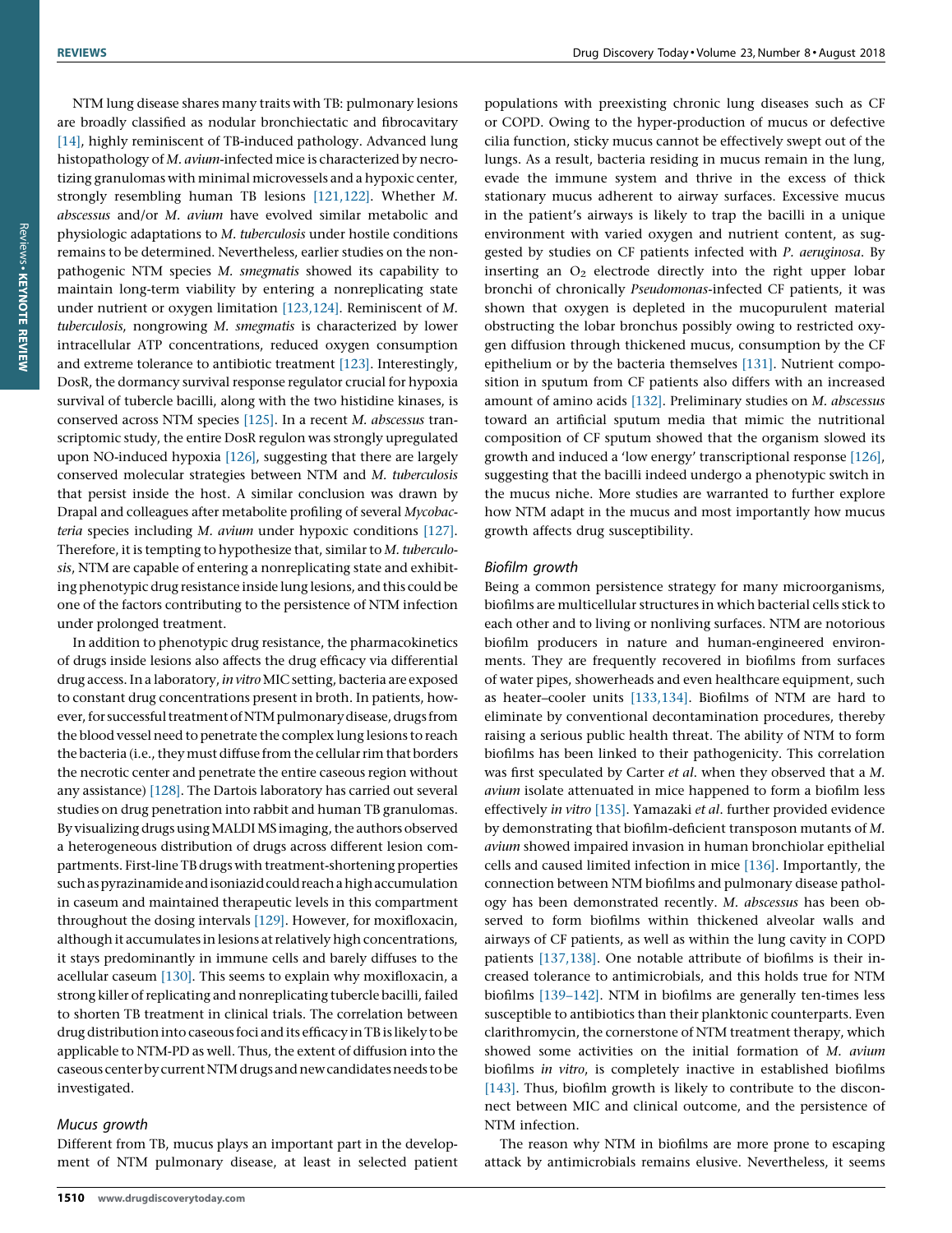NTM lung disease shares many traits with TB: pulmonary lesions are broadly classified as nodular bronchiectatic and fibrocavitary [\[14\],](#page-14-0) highly reminiscent of TB-induced pathology. Advanced lung histopathology of M. avium-infected mice is characterized by necrotizing granulomas with minimal microvessels and a hypoxic center, strongly resembling human TB lesions [\[121,122\]](#page-15-0). Whether M. abscessus and/or M. avium have evolved similar metabolic and physiologic adaptations to M. tuberculosis under hostile conditions remains to be determined. Nevertheless, earlier studies on the nonpathogenic NTM species M. smegmatis showed its capability to maintain long-term viability by entering a nonreplicating state under nutrient or oxygen limitation [\[123,124\]](#page-15-0). Reminiscent of M. tuberculosis, nongrowing M. smegmatis is characterized by lower intracellular ATP concentrations, reduced oxygen consumption and extreme tolerance to antibiotic treatment [\[123\]](#page-15-0). Interestingly, DosR, the dormancy survival response regulator crucial for hypoxia survival of tubercle bacilli, along with the two histidine kinases, is conserved across NTM species [\[125\].](#page-15-0) In a recent M. abscessus transcriptomic study, the entire DosR regulon was strongly upregulated upon NO-induced hypoxia [\[126\],](#page-15-0) suggesting that there are largely conserved molecular strategies between NTM and M. tuberculosis that persist inside the host. A similar conclusion was drawn by Drapal and colleagues after metabolite profiling of several Mycobacteria species including M. avium under hypoxic conditions [\[127\]](#page-15-0). Therefore, it is tempting to hypothesize that, similar to M. tuberculosis, NTM are capable of entering a nonreplicating state and exhibiting phenotypic drug resistance inside lung lesions, and this could be one of the factors contributing to the persistence of NTM infection under prolonged treatment.

In addition to phenotypic drug resistance, the pharmacokinetics of drugs inside lesions also affects the drug efficacy via differential drug access. In a laboratory, in vitro MIC setting, bacteria are exposed to constant drug concentrations present in broth. In patients, however, for successful treatment of NTM pulmonary disease, drugs from the blood vessel need to penetrate the complex lung lesions to reach the bacteria (i.e., they must diffuse from the cellular rim that borders the necrotic center and penetrate the entire caseous region without any assistance) [\[128\]](#page-15-0). The Dartois laboratory has carried out several studies on drug penetration into rabbit and human TB granulomas. By visualizing drugs using MALDIMS imaging, the authors observed a heterogeneous distribution of drugs across different lesion compartments. First-line TB drugs with treatment-shortening properties such as pyrazinamide and isoniazid could reach a high accumulation in caseum and maintained therapeutic levels in this compartment throughout the dosing intervals [\[129\]](#page-15-0). However, for moxifloxacin, although it accumulates in lesions at relatively high concentrations, it stays predominantly in immune cells and barely diffuses to the acellular caseum [\[130\]](#page-16-0). This seems to explain why moxifloxacin, a strong killer ofreplicating and nonreplicating tubercle bacilli, failed to shorten TB treatment in clinical trials. The correlation between drug distribution into caseous foci and its efficacy in TB is likely to be applicable to NTM-PD as well. Thus, the extent of diffusion into the caseous center by current NTM drugs and new candidates needs to be investigated.

# Mucus growth

Different from TB, mucus plays an important part in the development of NTM pulmonary disease, at least in selected patient populations with preexisting chronic lung diseases such as CF or COPD. Owing to the hyper-production of mucus or defective cilia function, sticky mucus cannot be effectively swept out of the lungs. As a result, bacteria residing in mucus remain in the lung, evade the immune system and thrive in the excess of thick stationary mucus adherent to airway surfaces. Excessive mucus in the patient's airways is likely to trap the bacilli in a unique environment with varied oxygen and nutrient content, as suggested by studies on CF patients infected with P. aeruginosa. By inserting an  $O_2$  electrode directly into the right upper lobar bronchi of chronically Pseudomonas-infected CF patients, it was shown that oxygen is depleted in the mucopurulent material obstructing the lobar bronchus possibly owing to restricted oxygen diffusion through thickened mucus, consumption by the CF epithelium or by the bacteria themselves [\[131\].](#page-16-0) Nutrient composition in sputum from CF patients also differs with an increased amount of amino acids [\[132\]](#page-16-0). Preliminary studies on M. abscessus toward an artificial sputum media that mimic the nutritional composition of CF sputum showed that the organism slowed its growth and induced a 'low energy' transcriptional response [\[126\]](#page-15-0), suggesting that the bacilli indeed undergo a phenotypic switch in the mucus niche. More studies are warranted to further explore how NTM adapt in the mucus and most importantly how mucus growth affects drug susceptibility.

# Biofilm growth

Being a common persistence strategy for many microorganisms, biofilms are multicellular structures in which bacterial cells stick to each other and to living or nonliving surfaces. NTM are notorious biofilm producers in nature and human-engineered environments. They are frequently recovered in biofilms from surfaces of water pipes, showerheads and even healthcare equipment, such as heater–cooler units [\[133,134\]](#page-16-0). Biofilms of NTM are hard to eliminate by conventional decontamination procedures, thereby raising a serious public health threat. The ability of NTM to form biofilms has been linked to their pathogenicity. This correlation was first speculated by Carter et al. when they observed that a M. avium isolate attenuated in mice happened to form a biofilm less effectively in vitro [\[135\].](#page-16-0) Yamazaki et al. further provided evidence by demonstrating that biofilm-deficient transposon mutants of M. avium showed impaired invasion in human bronchiolar epithelial cells and caused limited infection in mice [\[136\]](#page-16-0). Importantly, the connection between NTM biofilms and pulmonary disease pathology has been demonstrated recently. M. abscessus has been observed to form biofilms within thickened alveolar walls and airways of CF patients, as well as within the lung cavity in COPD patients [\[137,138\]](#page-16-0). One notable attribute of biofilms is their increased tolerance to antimicrobials, and this holds true for NTM biofilms [\[139–142\].](#page-16-0) NTM in biofilms are generally ten-times less susceptible to antibiotics than their planktonic counterparts. Even clarithromycin, the cornerstone of NTM treatment therapy, which showed some activities on the initial formation of M. avium biofilms in vitro, is completely inactive in established biofilms [\[143\].](#page-16-0) Thus, biofilm growth is likely to contribute to the disconnect between MIC and clinical outcome, and the persistence of NTM infection.

The reason why NTM in biofilms are more prone to escaping attack by antimicrobials remains elusive. Nevertheless, it seems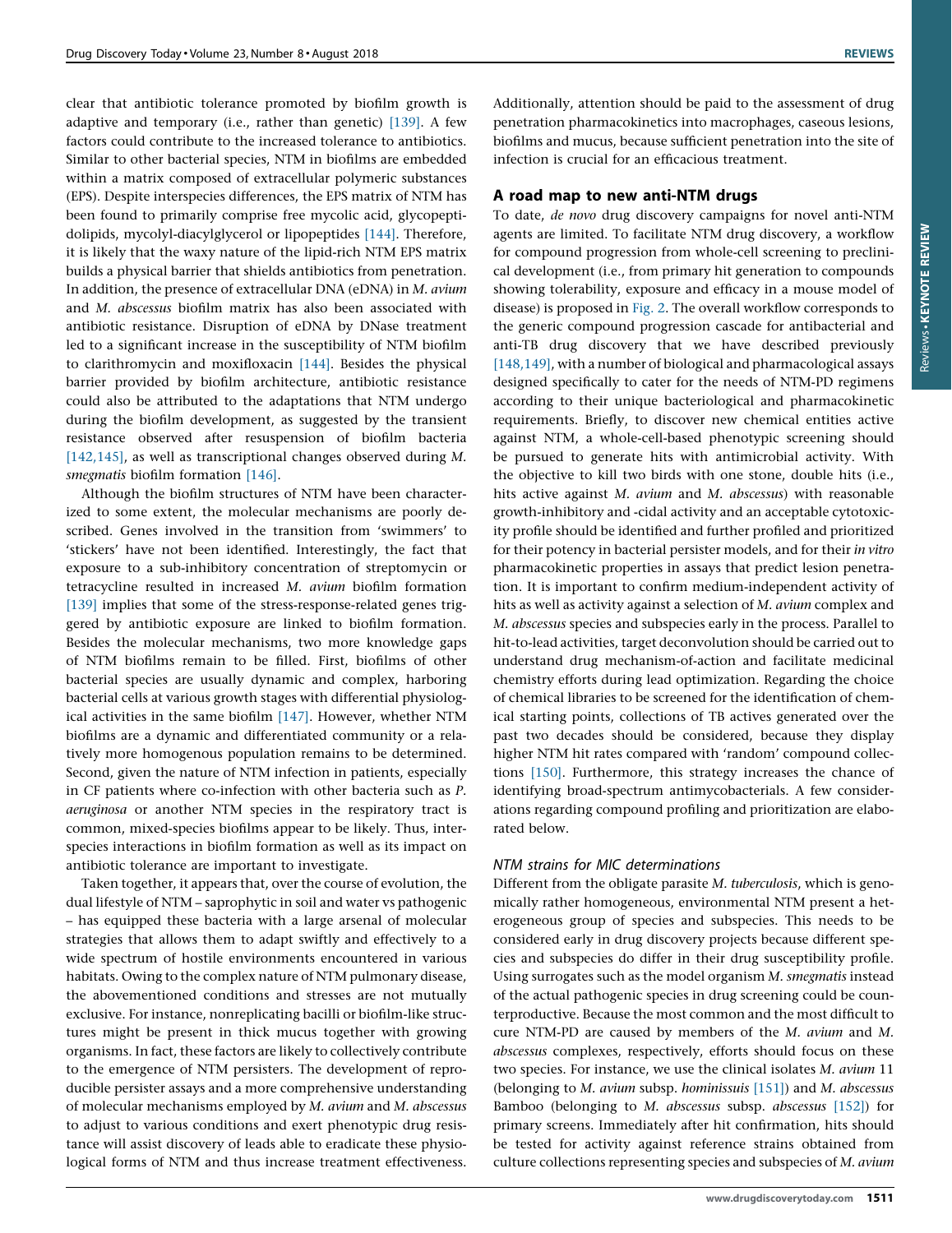clear that antibiotic tolerance promoted by biofilm growth is adaptive and temporary (i.e., rather than genetic) [\[139\].](#page-16-0) A few factors could contribute to the increased tolerance to antibiotics. Similar to other bacterial species, NTM in biofilms are embedded within a matrix composed of extracellular polymeric substances (EPS). Despite interspecies differences, the EPS matrix of NTM has been found to primarily comprise free mycolic acid, glycopeptidolipids, mycolyl-diacylglycerol or lipopeptides [\[144\].](#page-16-0) Therefore, it is likely that the waxy nature of the lipid-rich NTM EPS matrix builds a physical barrier that shields antibiotics from penetration. In addition, the presence of extracellular DNA (eDNA) in M. avium and M. abscessus biofilm matrix has also been associated with antibiotic resistance. Disruption of eDNA by DNase treatment led to a significant increase in the susceptibility of NTM biofilm to clarithromycin and moxifloxacin [\[144\].](#page-16-0) Besides the physical barrier provided by biofilm architecture, antibiotic resistance could also be attributed to the adaptations that NTM undergo during the biofilm development, as suggested by the transient resistance observed after resuspension of biofilm bacteria [\[142,145\],](#page-16-0) as well as transcriptional changes observed during M. smegmatis biofilm formation [\[146\]](#page-16-0).

Although the biofilm structures of NTM have been characterized to some extent, the molecular mechanisms are poorly described. Genes involved in the transition from 'swimmers' to 'stickers' have not been identified. Interestingly, the fact that exposure to a sub-inhibitory concentration of streptomycin or tetracycline resulted in increased M. avium biofilm formation [\[139\]](#page-16-0) implies that some of the stress-response-related genes triggered by antibiotic exposure are linked to biofilm formation. Besides the molecular mechanisms, two more knowledge gaps of NTM biofilms remain to be filled. First, biofilms of other bacterial species are usually dynamic and complex, harboring bacterial cells at various growth stages with differential physiological activities in the same biofilm [\[147\].](#page-16-0) However, whether NTM biofilms are a dynamic and differentiated community or a relatively more homogenous population remains to be determined. Second, given the nature of NTM infection in patients, especially in CF patients where co-infection with other bacteria such as P. aeruginosa or another NTM species in the respiratory tract is common, mixed-species biofilms appear to be likely. Thus, interspecies interactions in biofilm formation as well as its impact on antibiotic tolerance are important to investigate.

Taken together, it appears that, over the course of evolution, the dual lifestyle of NTM – saprophytic in soil and water vs pathogenic – has equipped these bacteria with a large arsenal of molecular strategies that allows them to adapt swiftly and effectively to a wide spectrum of hostile environments encountered in various habitats. Owing to the complex nature of NTM pulmonary disease, the abovementioned conditions and stresses are not mutually exclusive. For instance, nonreplicating bacilli or biofilm-like structures might be present in thick mucus together with growing organisms. In fact, these factors are likely to collectively contribute to the emergence of NTM persisters. The development of reproducible persister assays and a more comprehensive understanding of molecular mechanisms employed by M. avium and M. abscessus to adjust to various conditions and exert phenotypic drug resistance will assist discovery of leads able to eradicate these physiological forms of NTM and thus increase treatment effectiveness.

Additionally, attention should be paid to the assessment of drug penetration pharmacokinetics into macrophages, caseous lesions, biofilms and mucus, because sufficient penetration into the site of infection is crucial for an efficacious treatment.

# A road map to new anti-NTM drugs

To date, de novo drug discovery campaigns for novel anti-NTM agents are limited. To facilitate NTM drug discovery, a workflow for compound progression from whole-cell screening to preclinical development (i.e., from primary hit generation to compounds showing tolerability, exposure and efficacy in a mouse model of disease) is proposed in [Fig.](#page-10-0) 2. The overall workflow corresponds to the generic compound progression cascade for antibacterial and anti-TB drug discovery that we have described previously [\[148,149\],](#page-16-0) with a number of biological and pharmacological assays designed specifically to cater for the needs of NTM-PD regimens according to their unique bacteriological and pharmacokinetic requirements. Briefly, to discover new chemical entities active against NTM, a whole-cell-based phenotypic screening should be pursued to generate hits with antimicrobial activity. With the objective to kill two birds with one stone, double hits (i.e., hits active against *M. avium* and *M. abscessus*) with reasonable growth-inhibitory and -cidal activity and an acceptable cytotoxicity profile should be identified and further profiled and prioritized for their potency in bacterial persister models, and for their in vitro pharmacokinetic properties in assays that predict lesion penetration. It is important to confirm medium-independent activity of hits as well as activity against a selection of M. avium complex and M. abscessus species and subspecies early in the process. Parallel to hit-to-lead activities, target deconvolution should be carried out to understand drug mechanism-of-action and facilitate medicinal chemistry efforts during lead optimization. Regarding the choice of chemical libraries to be screened for the identification of chemical starting points, collections of TB actives generated over the past two decades should be considered, because they display higher NTM hit rates compared with 'random' compound collections [\[150\].](#page-16-0) Furthermore, this strategy increases the chance of identifying broad-spectrum antimycobacterials. A few considerations regarding compound profiling and prioritization are elaborated below.

# NTM strains for MIC determinations

Different from the obligate parasite M. tuberculosis, which is genomically rather homogeneous, environmental NTM present a heterogeneous group of species and subspecies. This needs to be considered early in drug discovery projects because different species and subspecies do differ in their drug susceptibility profile. Using surrogates such as the model organism M. smegmatis instead of the actual pathogenic species in drug screening could be counterproductive. Because the most common and the most difficult to cure NTM-PD are caused by members of the M. avium and M. abscessus complexes, respectively, efforts should focus on these two species. For instance, we use the clinical isolates M. avium 11 (belonging to *M. avium* subsp. *hominissuis*  $[151]$ ) and *M. abscessus* Bamboo (belonging to M. abscessus subsp. abscessus [\[152\]\)](#page-16-0) for primary screens. Immediately after hit confirmation, hits should be tested for activity against reference strains obtained from culture collections representing species and subspecies of M. avium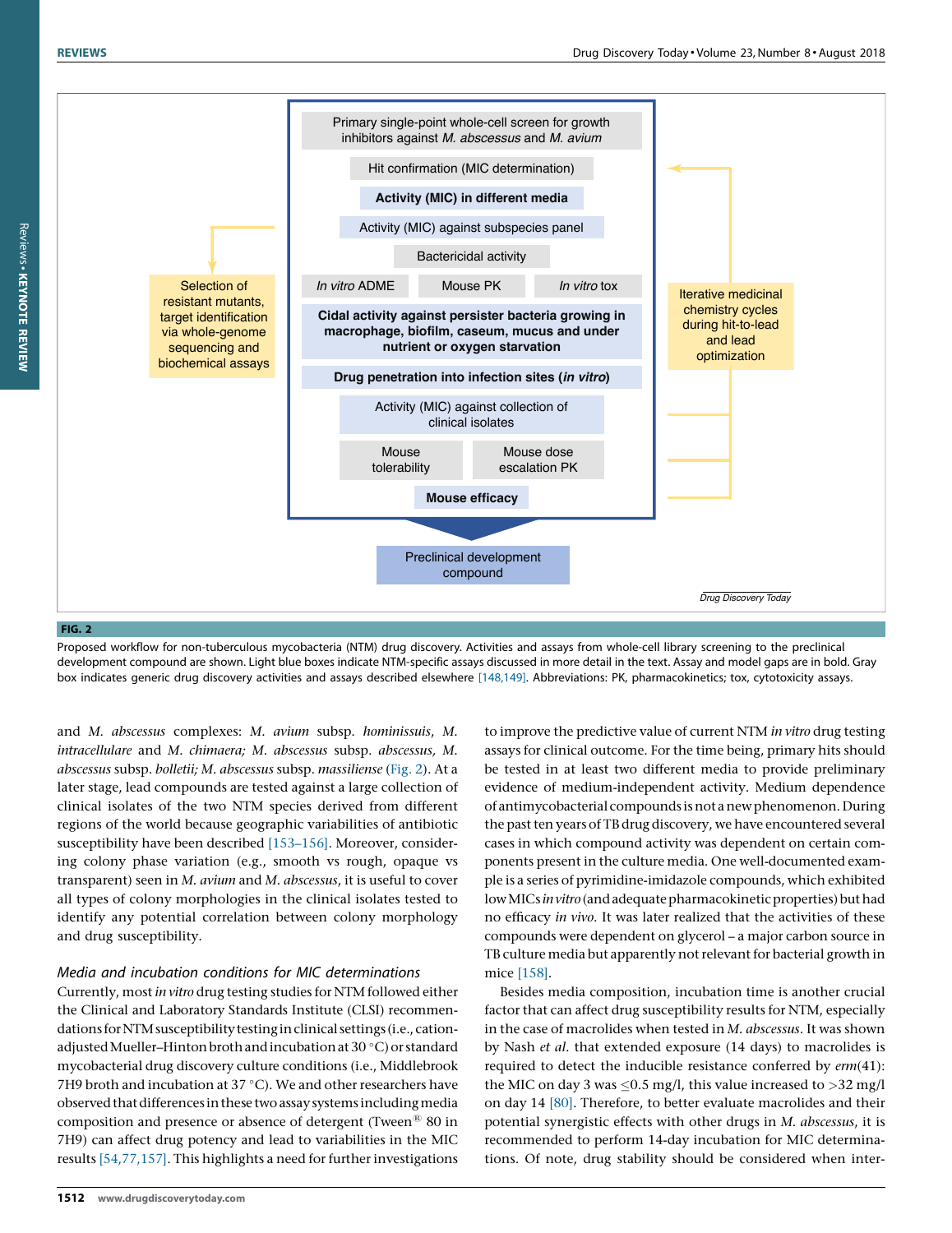<span id="page-10-0"></span>

Proposed workflow for non-tuberculous mycobacteria (NTM) drug discovery. Activities and assays from whole-cell library screening to the preclinical development compound are shown. Light blue boxes indicate NTM-specific assays discussed in more detail in the text. Assay and model gaps are in bold. Gray box indicates generic drug discovery activities and assays described elsewhere [\[148,149\].](#page-16-0) Abbreviations: PK, pharmacokinetics; tox, cytotoxicity assays.

and M. abscessus complexes: M. avium subsp. hominissuis, M. intracellulare and M. chimaera; M. abscessus subsp. abscessus, M. abscessus subsp. bolletii; M. abscessus subsp. massiliense (Fig. 2). At a later stage, lead compounds are tested against a large collection of clinical isolates of the two NTM species derived from different regions of the world because geographic variabilities of antibiotic susceptibility have been described [\[153–156\]](#page-16-0). Moreover, considering colony phase variation (e.g., smooth vs rough, opaque vs transparent) seen in M. avium and M. abscessus, it is useful to cover all types of colony morphologies in the clinical isolates tested to identify any potential correlation between colony morphology and drug susceptibility.

# Media and incubation conditions for MIC determinations

Currently, most in vitro drug testing studies for NTM followed either the Clinical and Laboratory Standards Institute (CLSI) recommendations for NTM susceptibility testing in clinical settings (i.e., cationadjusted Mueller-Hinton broth and incubation at 30 °C) or standard mycobacterial drug discovery culture conditions (i.e., Middlebrook 7H9 broth and incubation at 37 °C). We and other researchers have observed that differences in these two assay systems including media composition and presence or absence of detergent (Tween $^{\circledR}$  80 in 7H9) can affect drug potency and lead to variabilities in the MIC results [\[54,77,157\].](#page-14-0) This highlights a need for further investigations

to improve the predictive value of current NTM in vitro drug testing assays for clinical outcome. For the time being, primary hits should be tested in at least two different media to provide preliminary evidence of medium-independent activity. Medium dependence of antimycobacterial compounds isnot anewphenomenon.During the past ten years of TB drug discovery, we have encountered several cases in which compound activity was dependent on certain components present in the culture media. One well-documented example is a series of pyrimidine-imidazole compounds, which exhibited low MICs in vitro (and adequate pharmacokinetic properties) but had no efficacy in vivo. It was later realized that the activities of these compounds were dependent on glycerol – a major carbon source in TB culture media but apparently not relevant for bacterial growth in mice [\[158\].](#page-16-0)

Besides media composition, incubation time is another crucial factor that can affect drug susceptibility results for NTM, especially in the case of macrolides when tested in M. abscessus. It was shown by Nash et al. that extended exposure (14 days) to macrolides is required to detect the inducible resistance conferred by erm(41): the MIC on day 3 was  $\leq$ 0.5 mg/l, this value increased to >32 mg/l on day 14 [\[80\].](#page-15-0) Therefore, to better evaluate macrolides and their potential synergistic effects with other drugs in M. abscessus, it is recommended to perform 14-day incubation for MIC determinations. Of note, drug stability should be considered when inter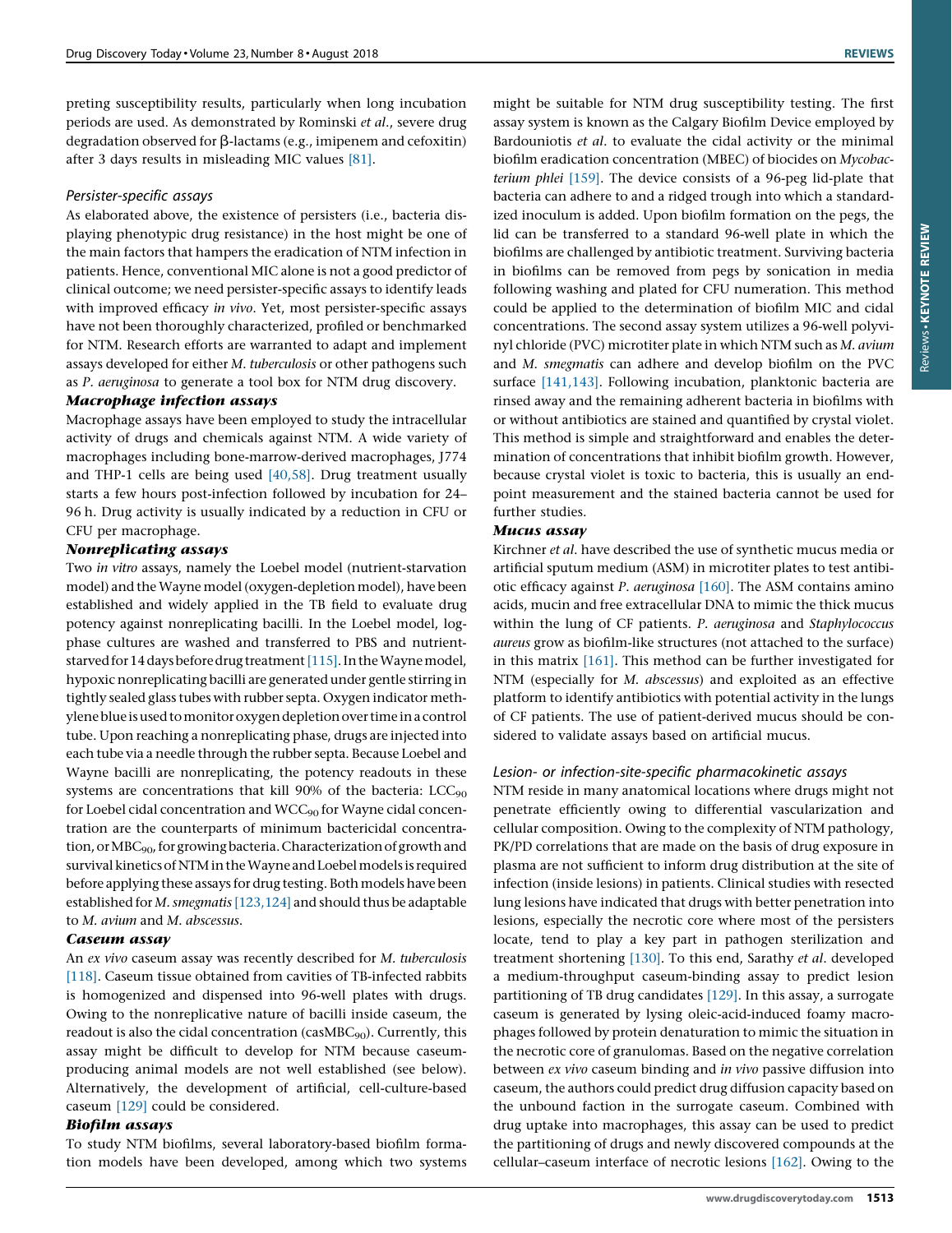preting susceptibility results, particularly when long incubation periods are used. As demonstrated by Rominski et al., severe drug degradation observed for  $\beta$ -lactams (e.g., imipenem and cefoxitin) after 3 days results in misleading MIC values [\[81\].](#page-15-0)

# Persister-specific assays

As elaborated above, the existence of persisters (i.e., bacteria displaying phenotypic drug resistance) in the host might be one of the main factors that hampers the eradication of NTM infection in patients. Hence, conventional MIC alone is not a good predictor of clinical outcome; we need persister-specific assays to identify leads with improved efficacy in vivo. Yet, most persister-specific assays have not been thoroughly characterized, profiled or benchmarked for NTM. Research efforts are warranted to adapt and implement assays developed for either M. tuberculosis or other pathogens such as P. aeruginosa to generate a tool box for NTM drug discovery.

Macrophage assays have been employed to study the intracellular activity of drugs and chemicals against NTM. A wide variety of macrophages including bone-marrow-derived macrophages, J774 and THP-1 cells are being used [\[40,58\]](#page-14-0). Drug treatment usually starts a few hours post-infection followed by incubation for 24– 96 h. Drug activity is usually indicated by a reduction in CFU or CFU per macrophage.

Two *in vitro* assays, namely the Loebel model (nutrient-starvation model) and the Wayne model (oxygen-depletion model), have been established and widely applied in the TB field to evaluate drug potency against nonreplicating bacilli. In the Loebel model, logphase cultures are washed and transferred to PBS and nutrient-starved for 14 days before drug treatment [\[115\]](#page-15-0). In the Wayne model, hypoxic nonreplicating bacilli are generated under gentle stirring in tightly sealed glass tubes with rubber septa. Oxygen indicator methylene blue is used to monitor oxygen depletion over time in a control tube. Upon reaching a nonreplicating phase, drugs are injected into each tube via a needle through the rubber septa. Because Loebel and Wayne bacilli are nonreplicating, the potency readouts in these systems are concentrations that kill 90% of the bacteria:  $LCC_{90}$ for Loebel cidal concentration and  $WCC_{90}$  for Wayne cidal concentration are the counterparts of minimum bactericidal concentration, or MBC<sub>90</sub>, for growing bacteria. Characterization of growth and survival kinetics of NTM in the Wayne and Loebel models is required before applying these assays for drug testing. Both models have been established for M. smegmatis [\[123,124\]](#page-15-0) and should thus be adaptable to M. avium and M. abscessus.

An ex vivo caseum assay was recently described for M. tuberculosis [\[118\].](#page-15-0) Caseum tissue obtained from cavities of TB-infected rabbits is homogenized and dispensed into 96-well plates with drugs. Owing to the nonreplicative nature of bacilli inside caseum, the readout is also the cidal concentration (casMBC<sub>90</sub>). Currently, this assay might be difficult to develop for NTM because caseumproducing animal models are not well established (see below). Alternatively, the development of artificial, cell-culture-based caseum [\[129\]](#page-15-0) could be considered.

Biofilm assays To study NTM biofilms, several laboratory-based biofilm formation models have been developed, among which two systems

might be suitable for NTM drug susceptibility testing. The first assay system is known as the Calgary Biofilm Device employed by Bardouniotis et al. to evaluate the cidal activity or the minimal biofilm eradication concentration (MBEC) of biocides on Mycobacterium phlei [\[159\]](#page-16-0). The device consists of a 96-peg lid-plate that bacteria can adhere to and a ridged trough into which a standardized inoculum is added. Upon biofilm formation on the pegs, the lid can be transferred to a standard 96-well plate in which the biofilms are challenged by antibiotic treatment. Surviving bacteria in biofilms can be removed from pegs by sonication in media following washing and plated for CFU numeration. This method could be applied to the determination of biofilm MIC and cidal concentrations. The second assay system utilizes a 96-well polyvinyl chloride (PVC) microtiter plate in which NTM such as M. avium and M. smegmatis can adhere and develop biofilm on the PVC surface [\[141,143\].](#page-16-0) Following incubation, planktonic bacteria are rinsed away and the remaining adherent bacteria in biofilms with or without antibiotics are stained and quantified by crystal violet. This method is simple and straightforward and enables the determination of concentrations that inhibit biofilm growth. However, because crystal violet is toxic to bacteria, this is usually an endpoint measurement and the stained bacteria cannot be used for further studies.

xerrice mean,<br>Kirchner *et al*. have described the use of synthetic mucus media or artificial sputum medium (ASM) in microtiter plates to test antibiotic efficacy against P. aeruginosa [\[160\]](#page-16-0). The ASM contains amino acids, mucin and free extracellular DNA to mimic the thick mucus within the lung of CF patients. P. aeruginosa and Staphylococcus aureus grow as biofilm-like structures (not attached to the surface) in this matrix [\[161\]](#page-16-0). This method can be further investigated for NTM (especially for M. abscessus) and exploited as an effective platform to identify antibiotics with potential activity in the lungs of CF patients. The use of patient-derived mucus should be considered to validate assays based on artificial mucus.

# Lesion- or infection-site-specific pharmacokinetic assays

NTM reside in many anatomical locations where drugs might not penetrate efficiently owing to differential vascularization and cellular composition. Owing to the complexity of NTM pathology, PK/PD correlations that are made on the basis of drug exposure in plasma are not sufficient to inform drug distribution at the site of infection (inside lesions) in patients. Clinical studies with resected lung lesions have indicated that drugs with better penetration into lesions, especially the necrotic core where most of the persisters locate, tend to play a key part in pathogen sterilization and treatment shortening [\[130\]](#page-16-0). To this end, Sarathy et al. developed a medium-throughput caseum-binding assay to predict lesion partitioning of TB drug candidates [\[129\]](#page-15-0). In this assay, a surrogate caseum is generated by lysing oleic-acid-induced foamy macrophages followed by protein denaturation to mimic the situation in the necrotic core of granulomas. Based on the negative correlation between ex vivo caseum binding and in vivo passive diffusion into caseum, the authors could predict drug diffusion capacity based on the unbound faction in the surrogate caseum. Combined with drug uptake into macrophages, this assay can be used to predict the partitioning of drugs and newly discovered compounds at the cellular–caseum interface of necrotic lesions [\[162\].](#page-16-0) Owing to the

Reviews KEYNOTE REVIEWReviews - KEYNOTE REVIEW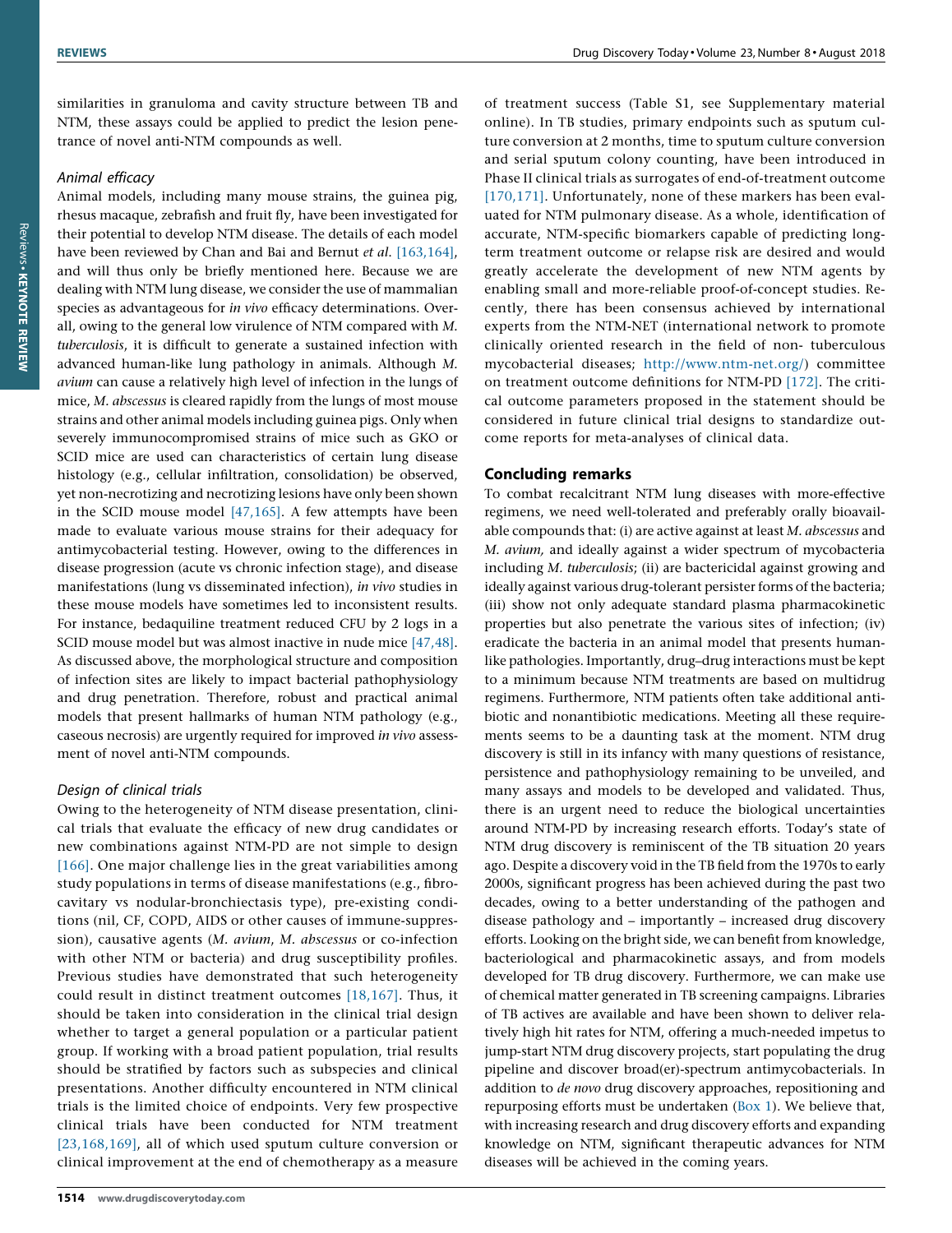similarities in granuloma and cavity structure between TB and NTM, these assays could be applied to predict the lesion penetrance of novel anti-NTM compounds as well.

# Animal efficacy

Animal models, including many mouse strains, the guinea pig, rhesus macaque, zebrafish and fruit fly, have been investigated for their potential to develop NTM disease. The details of each model have been reviewed by Chan and Bai and Bernut et al. [\[163,164\]](#page-16-0), and will thus only be briefly mentioned here. Because we are dealing with NTM lung disease, we consider the use of mammalian species as advantageous for in vivo efficacy determinations. Overall, owing to the general low virulence of NTM compared with M. tuberculosis, it is difficult to generate a sustained infection with advanced human-like lung pathology in animals. Although M. avium can cause a relatively high level of infection in the lungs of mice, M. abscessus is cleared rapidly from the lungs of most mouse strains and other animal models including guinea pigs. Only when severely immunocompromised strains of mice such as GKO or SCID mice are used can characteristics of certain lung disease histology (e.g., cellular infiltration, consolidation) be observed, yet non-necrotizing and necrotizing lesions have only been shown in the SCID mouse model [\[47,165\].](#page-14-0) A few attempts have been made to evaluate various mouse strains for their adequacy for antimycobacterial testing. However, owing to the differences in disease progression (acute vs chronic infection stage), and disease manifestations (lung vs disseminated infection), in vivo studies in these mouse models have sometimes led to inconsistent results. For instance, bedaquiline treatment reduced CFU by 2 logs in a SCID mouse model but was almost inactive in nude mice [\[47,48\]](#page-14-0). As discussed above, the morphological structure and composition of infection sites are likely to impact bacterial pathophysiology and drug penetration. Therefore, robust and practical animal models that present hallmarks of human NTM pathology (e.g., caseous necrosis) are urgently required for improved in vivo assessment of novel anti-NTM compounds.

# Design of clinical trials

Owing to the heterogeneity of NTM disease presentation, clinical trials that evaluate the efficacy of new drug candidates or new combinations against NTM-PD are not simple to design [\[166\].](#page-16-0) One major challenge lies in the great variabilities among study populations in terms of disease manifestations (e.g., fibrocavitary vs nodular-bronchiectasis type), pre-existing conditions (nil, CF, COPD, AIDS or other causes of immune-suppression), causative agents (M. avium, M. abscessus or co-infection with other NTM or bacteria) and drug susceptibility profiles. Previous studies have demonstrated that such heterogeneity could result in distinct treatment outcomes [\[18,167\].](#page-14-0) Thus, it should be taken into consideration in the clinical trial design whether to target a general population or a particular patient group. If working with a broad patient population, trial results should be stratified by factors such as subspecies and clinical presentations. Another difficulty encountered in NTM clinical trials is the limited choice of endpoints. Very few prospective clinical trials have been conducted for NTM treatment [\[23,168,169\]](#page-14-0), all of which used sputum culture conversion or clinical improvement at the end of chemotherapy as a measure

of treatment success (Table S1, see Supplementary material online). In TB studies, primary endpoints such as sputum culture conversion at 2 months, time to sputum culture conversion and serial sputum colony counting, have been introduced in Phase II clinical trials as surrogates of end-of-treatment outcome [\[170,171\]](#page-16-0). Unfortunately, none of these markers has been evaluated for NTM pulmonary disease. As a whole, identification of accurate, NTM-specific biomarkers capable of predicting longterm treatment outcome or relapse risk are desired and would greatly accelerate the development of new NTM agents by enabling small and more-reliable proof-of-concept studies. Recently, there has been consensus achieved by international experts from the NTM-NET (international network to promote clinically oriented research in the field of non- tuberculous mycobacterial diseases; [http://www.ntm-net.org/\)](http://www.ntm-net.org/) committee on treatment outcome definitions for NTM-PD [\[172\]](#page-16-0). The critical outcome parameters proposed in the statement should be considered in future clinical trial designs to standardize outcome reports for meta-analyses of clinical data.

# Concluding remarks

To combat recalcitrant NTM lung diseases with more-effective regimens, we need well-tolerated and preferably orally bioavailable compounds that: (i) are active against at least M. abscessus and M. avium, and ideally against a wider spectrum of mycobacteria including M. tuberculosis; (ii) are bactericidal against growing and ideally against various drug-tolerant persister forms of the bacteria; (iii) show not only adequate standard plasma pharmacokinetic properties but also penetrate the various sites of infection; (iv) eradicate the bacteria in an animal model that presents humanlike pathologies. Importantly, drug–drug interactions must be kept to a minimum because NTM treatments are based on multidrug regimens. Furthermore, NTM patients often take additional antibiotic and nonantibiotic medications. Meeting all these requirements seems to be a daunting task at the moment. NTM drug discovery is still in its infancy with many questions of resistance, persistence and pathophysiology remaining to be unveiled, and many assays and models to be developed and validated. Thus, there is an urgent need to reduce the biological uncertainties around NTM-PD by increasing research efforts. Today's state of NTM drug discovery is reminiscent of the TB situation 20 years ago. Despite a discovery void in the TB field from the 1970s to early 2000s, significant progress has been achieved during the past two decades, owing to a better understanding of the pathogen and disease pathology and – importantly – increased drug discovery efforts. Looking on the bright side, we can benefit from knowledge, bacteriological and pharmacokinetic assays, and from models developed for TB drug discovery. Furthermore, we can make use of chemical matter generated in TB screening campaigns. Libraries of TB actives are available and have been shown to deliver relatively high hit rates for NTM, offering a much-needed impetus to jump-start NTM drug discovery projects, start populating the drug pipeline and discover broad(er)-spectrum antimycobacterials. In addition to *de novo* drug discovery approaches, repositioning and repurposing efforts must be undertaken ([Box](#page-13-0) 1). We believe that, with increasing research and drug discovery efforts and expanding knowledge on NTM, significant therapeutic advances for NTM diseases will be achieved in the coming years.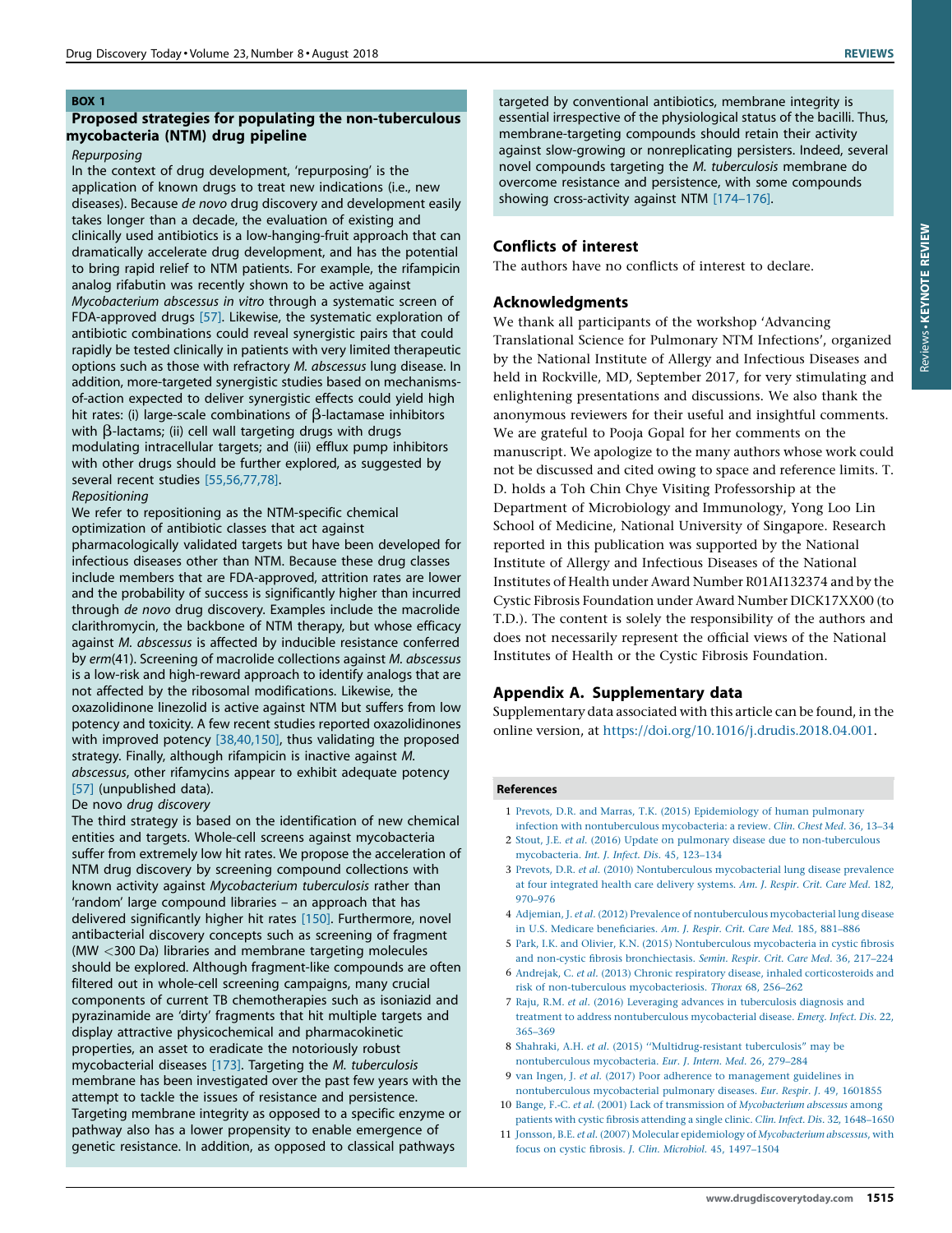# <span id="page-13-0"></span>BOX 1

# Proposed strategies for populating the non-tuberculous mycobacteria (NTM) drug pipeline

# Repurposing

In the context of drug development, 'repurposing' is the application of known drugs to treat new indications (i.e., new diseases). Because de novo drug discovery and development easily takes longer than a decade, the evaluation of existing and clinically used antibiotics is a low-hanging-fruit approach that can dramatically accelerate drug development, and has the potential to bring rapid relief to NTM patients. For example, the rifampicin analog rifabutin was recently shown to be active against Mycobacterium abscessus in vitro through a systematic screen of FDA-approved drugs [\[57\].](#page-14-0) Likewise, the systematic exploration of antibiotic combinations could reveal synergistic pairs that could rapidly be tested clinically in patients with very limited therapeutic options such as those with refractory M. abscessus lung disease. In addition, more-targeted synergistic studies based on mechanismsof-action expected to deliver synergistic effects could yield high hit rates: (i) large-scale combinations of  $\beta$ -lactamase inhibitors with  $\beta$ -lactams; (ii) cell wall targeting drugs with drugs modulating intracellular targets; and (iii) efflux pump inhibitors with other drugs should be further explored, as suggested by several recent studies [\[55,56,77,78\]](#page-14-0).

# Repositioning

We refer to repositioning as the NTM-specific chemical optimization of antibiotic classes that act against

pharmacologically validated targets but have been developed for infectious diseases other than NTM. Because these drug classes include members that are FDA-approved, attrition rates are lower and the probability of success is significantly higher than incurred through de novo drug discovery. Examples include the macrolide clarithromycin, the backbone of NTM therapy, but whose efficacy against M. abscessus is affected by inducible resistance conferred by erm(41). Screening of macrolide collections against M. abscessus is a low-risk and high-reward approach to identify analogs that are not affected by the ribosomal modifications. Likewise, the oxazolidinone linezolid is active against NTM but suffers from low potency and toxicity. A few recent studies reported oxazolidinones with improved potency [\[38,40,150\],](#page-14-0) thus validating the proposed strategy. Finally, although rifampicin is inactive against M. abscessus, other rifamycins appear to exhibit adequate potency [\[57\]](#page-14-0) (unpublished data).

# De novo drug discovery

The third strategy is based on the identification of new chemical entities and targets. Whole-cell screens against mycobacteria suffer from extremely low hit rates. We propose the acceleration of NTM drug discovery by screening compound collections with known activity against Mycobacterium tuberculosis rather than 'random' large compound libraries – an approach that has delivered significantly higher hit rates [\[150\].](#page-16-0) Furthermore, novel antibacterial discovery concepts such as screening of fragment (MW <300 Da) libraries and membrane targeting molecules should be explored. Although fragment-like compounds are often filtered out in whole-cell screening campaigns, many crucial components of current TB chemotherapies such as isoniazid and pyrazinamide are 'dirty' fragments that hit multiple targets and display attractive physicochemical and pharmacokinetic properties, an asset to eradicate the notoriously robust mycobacterial diseases [\[173\]](#page-16-0). Targeting the M. tuberculosis membrane has been investigated over the past few years with the attempt to tackle the issues of resistance and persistence. Targeting membrane integrity as opposed to a specific enzyme or pathway also has a lower propensity to enable emergence of genetic resistance. In addition, as opposed to classical pathways

targeted by conventional antibiotics, membrane integrity is essential irrespective of the physiological status of the bacilli. Thus, membrane-targeting compounds should retain their activity against slow-growing or nonreplicating persisters. Indeed, several novel compounds targeting the M. tuberculosis membrane do overcome resistance and persistence, with some compounds showing cross-activity against NTM [\[174](#page-16-0)–176].

# Conflicts of interest

The authors have no conflicts of interest to declare.

# Acknowledgments

We thank all participants of the workshop 'Advancing Translational Science for Pulmonary NTM Infections', organized by the National Institute of Allergy and Infectious Diseases and held in Rockville, MD, September 2017, for very stimulating and enlightening presentations and discussions. We also thank the anonymous reviewers for their useful and insightful comments. We are grateful to Pooja Gopal for her comments on the manuscript. We apologize to the many authors whose work could not be discussed and cited owing to space and reference limits. T. D. holds a Toh Chin Chye Visiting Professorship at the Department of Microbiology and Immunology, Yong Loo Lin School of Medicine, National University of Singapore. Research reported in this publication was supported by the National Institute of Allergy and Infectious Diseases of the National Institutes of Health under Award Number R01AI132374 and by the Cystic Fibrosis Foundation under Award Number DICK17XX00 (to T.D.). The content is solely the responsibility of the authors and does not necessarily represent the official views of the National Institutes of Health or the Cystic Fibrosis Foundation.

# Appendix A. Supplementary data

Supplementary data associated with this article can be found, in the online version, at <https://doi.org/10.1016/j.drudis.2018.04.001>.

# References

- 1 Prevots, D.R. and Marras, T.K. (2015) [Epidemiology](http://refhub.elsevier.com/S1359-6446(18)30045-X/sbref0005) of human pulmonary infection with [nontuberculous](http://refhub.elsevier.com/S1359-6446(18)30045-X/sbref0005) mycobacteria: a review. Clin. Chest Med. 36, 13–34
- 2 Stout, J.E. et al. (2016) Update on pulmonary disease due to [non-tuberculous](http://refhub.elsevier.com/S1359-6446(18)30045-X/sbref0010) [mycobacteria.](http://refhub.elsevier.com/S1359-6446(18)30045-X/sbref0010) Int. J. Infect. Dis. 45, 123–134
- 3 Prevots, D.R. et al. (2010) [Nontuberculous](http://refhub.elsevier.com/S1359-6446(18)30045-X/sbref0015) mycobacterial lung disease prevalence at four [integrated](http://refhub.elsevier.com/S1359-6446(18)30045-X/sbref0015) health care delivery systems. Am. J. Respir. Crit. Care Med. 182, [970–976](http://refhub.elsevier.com/S1359-6446(18)30045-X/sbref0015)
- 4 Adjemian, J. et al. (2012) Prevalence of [nontuberculous](http://refhub.elsevier.com/S1359-6446(18)30045-X/sbref0020) mycobacterial lung disease in U.S. Medicare [beneficiaries.](http://refhub.elsevier.com/S1359-6446(18)30045-X/sbref0020) Am. J. Respir. Crit. Care Med. 185, 881–886
- 5 Park, I.K. and Olivier, K.N. (2015) [Nontuberculous](http://refhub.elsevier.com/S1359-6446(18)30045-X/sbref0025) mycobacteria in cystic fibrosis and non-cystic fibrosis [bronchiectasis.](http://refhub.elsevier.com/S1359-6446(18)30045-X/sbref0025) Semin. Respir. Crit. Care Med. 36, 217–224
- 6 Andrejak, C. et al. (2013) Chronic respiratory disease, inhaled [corticosteroids](http://refhub.elsevier.com/S1359-6446(18)30045-X/sbref0030) and risk of non-tuberculous [mycobacteriosis.](http://refhub.elsevier.com/S1359-6446(18)30045-X/sbref0030) Thorax 68, 256–262
- 7 Raju, R.M. et al. (2016) Leveraging advances in [tuberculosis](http://refhub.elsevier.com/S1359-6446(18)30045-X/sbref0035) diagnosis and treatment to address [nontuberculous](http://refhub.elsevier.com/S1359-6446(18)30045-X/sbref0035) mycobacterial disease. Emerg. Infect. Dis. 22, [365–369](http://refhub.elsevier.com/S1359-6446(18)30045-X/sbref0035)
- 8 Shahraki, A.H. et al. (2015) [''Multidrug-resistant](http://refhub.elsevier.com/S1359-6446(18)30045-X/sbref0040) tuberculosis" may be [nontuberculous](http://refhub.elsevier.com/S1359-6446(18)30045-X/sbref0040) mycobacteria. Eur. J. Intern. Med. 26, 279–284
- 9 van Ingen, J. et al. (2017) Poor adherence to [management](http://refhub.elsevier.com/S1359-6446(18)30045-X/sbref0045) guidelines in [nontuberculous](http://refhub.elsevier.com/S1359-6446(18)30045-X/sbref0045) mycobacterial pulmonary diseases. Eur. Respir. J. 49, 1601855
- 10 Bange, F.-C. et al. (2001) Lack of transmission of [Mycobacterium](http://refhub.elsevier.com/S1359-6446(18)30045-X/sbref0050) abscessus among patients with cystic fibrosis attending a single clinic. Clin. Infect. Dis. 32, [1648–1650](http://refhub.elsevier.com/S1359-6446(18)30045-X/sbref0050)
- 11 Jonsson, B.E. et al. (2007) Molecular epidemiology of [Mycobacterium](http://refhub.elsevier.com/S1359-6446(18)30045-X/sbref0055) abscessus, with focus on cystic fibrosis. J. Clin. Microbiol. 45, [1497–1504](http://refhub.elsevier.com/S1359-6446(18)30045-X/sbref0055)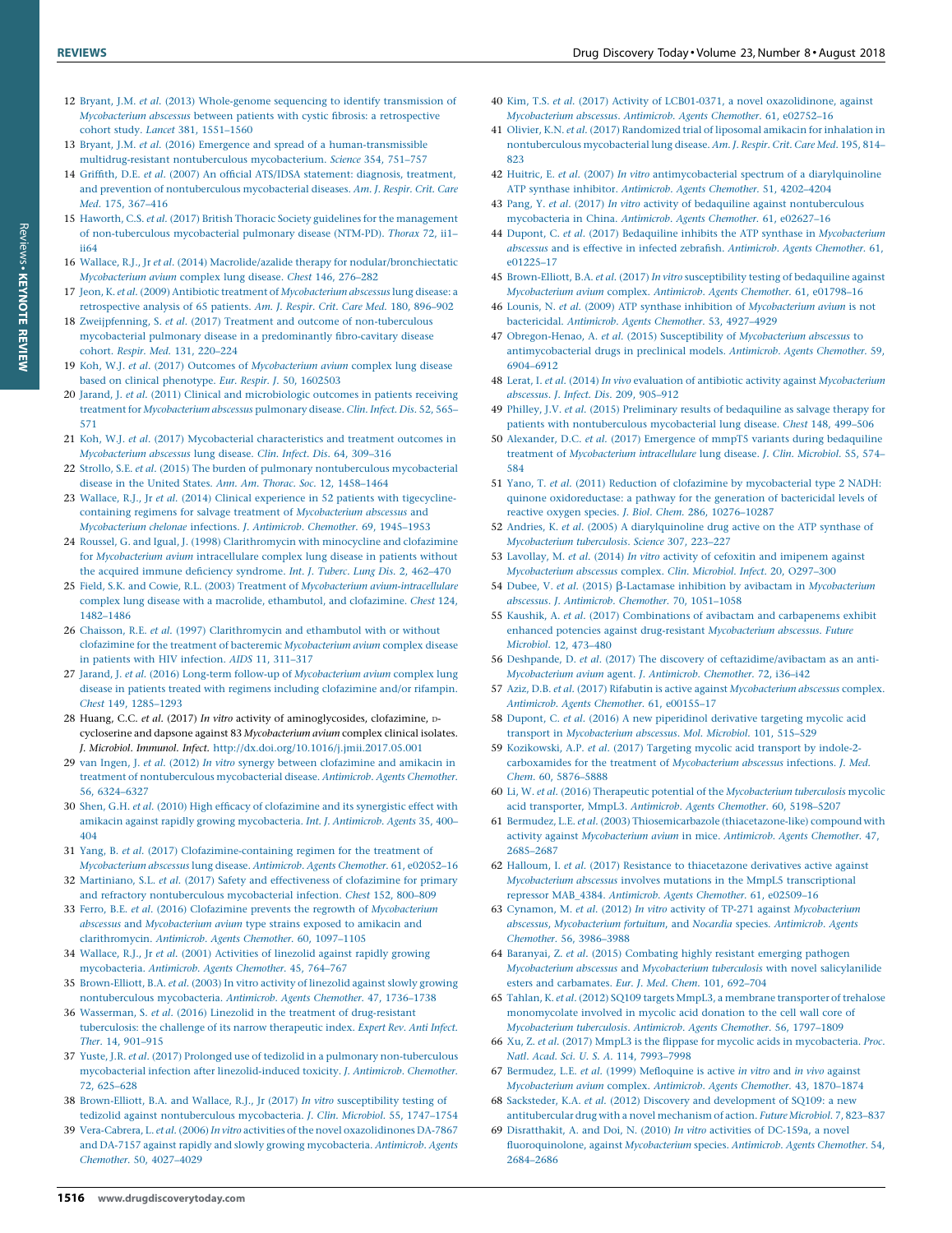1516 www.drugdiscoverytoday.com

- <span id="page-14-0"></span>12 Bryant, J.M. et al. (2013) [Whole-genome](http://refhub.elsevier.com/S1359-6446(18)30045-X/sbref0060) sequencing to identify transmission of [Mycobacterium](http://refhub.elsevier.com/S1359-6446(18)30045-X/sbref0060) abscessus between patients with cystic fibrosis: a retrospective cohort study. Lancet 381, [1551–1560](http://refhub.elsevier.com/S1359-6446(18)30045-X/sbref0060)
- 13 Bryant, J.M. et al. (2016) Emergence and spread of a [human-transmissible](http://refhub.elsevier.com/S1359-6446(18)30045-X/sbref0065) [multidrug-resistant](http://refhub.elsevier.com/S1359-6446(18)30045-X/sbref0065) nontuberculous mycobacterium. Science 354, 751–757
- 14 Griffith, D.E. et al. (2007) An official ATS/IDSA [statement:](http://refhub.elsevier.com/S1359-6446(18)30045-X/sbref0070) diagnosis, treatment, and prevention of [nontuberculous](http://refhub.elsevier.com/S1359-6446(18)30045-X/sbref0070) mycobacterial diseases. Am. J. Respir. Crit. Care Med. 175, [367–416](http://refhub.elsevier.com/S1359-6446(18)30045-X/sbref0070)
- 15 Haworth, C.S. et al. (2017) British Thoracic Society guidelines for the [management](http://refhub.elsevier.com/S1359-6446(18)30045-X/sbref0075) of [non-tuberculous](http://refhub.elsevier.com/S1359-6446(18)30045-X/sbref0075) mycobacterial pulmonary disease (NTM-PD). Thorax 72, ii1– [ii64](http://refhub.elsevier.com/S1359-6446(18)30045-X/sbref0075)
- 16 Wallace, R.J., Jr et al. (2014) Macrolide/azalide therapy for [nodular/bronchiectatic](http://refhub.elsevier.com/S1359-6446(18)30045-X/sbref0080) [Mycobacterium](http://refhub.elsevier.com/S1359-6446(18)30045-X/sbref0080) avium complex lung disease. Chest 146, 276–282
- 17 Jeon, K. et al. (2009) Antibiotic treatment of [Mycobacterium](http://refhub.elsevier.com/S1359-6446(18)30045-X/sbref0085) abscessus lung disease: a [retrospective](http://refhub.elsevier.com/S1359-6446(18)30045-X/sbref0085) analysis of 65 patients. Am. J. Respir. Crit. Care Med. 180, 896–902
- 18 Zweijpfenning, S. et al. (2017) Treatment and outcome of [non-tuberculous](http://refhub.elsevier.com/S1359-6446(18)30045-X/sbref0090) mycobacterial pulmonary disease in a [predominantly](http://refhub.elsevier.com/S1359-6446(18)30045-X/sbref0090) fibro-cavitary disease cohort. Respir. Med. 131, [220–224](http://refhub.elsevier.com/S1359-6446(18)30045-X/sbref0090)
- 19 Koh, W.J. et al. (2017) Outcomes of [Mycobacterium](http://refhub.elsevier.com/S1359-6446(18)30045-X/sbref0095) avium complex lung disease based on clinical [phenotype.](http://refhub.elsevier.com/S1359-6446(18)30045-X/sbref0095) Eur. Respir. J. 50, 1602503
- 20 Jarand, J. et al. (2011) Clinical and [microbiologic](http://refhub.elsevier.com/S1359-6446(18)30045-X/sbref0100) outcomes in patients receiving treatment for [Mycobacterium](http://refhub.elsevier.com/S1359-6446(18)30045-X/sbref0100) abscessus pulmonary disease. Clin. Infect. Dis. 52, 565– [571](http://refhub.elsevier.com/S1359-6446(18)30045-X/sbref0100)
- 21 Koh, W.J. et al. (2017) Mycobacterial [characteristics](http://refhub.elsevier.com/S1359-6446(18)30045-X/sbref0105) and treatment outcomes in [Mycobacterium](http://refhub.elsevier.com/S1359-6446(18)30045-X/sbref0105) abscessus lung disease. Clin. Infect. Dis. 64, 309–316
- 22 Strollo, S.E. et al. (2015) The burden of pulmonary [nontuberculous](http://refhub.elsevier.com/S1359-6446(18)30045-X/sbref0110) mycobacterial disease in the United States. Ann. Am. Thorac. Soc. 12, [1458–1464](http://refhub.elsevier.com/S1359-6446(18)30045-X/sbref0110)
- 23 Wallace, R.J., Jr et al. (2014) Clinical experience in 52 patients with [tigecycline](http://refhub.elsevier.com/S1359-6446(18)30045-X/sbref0115)containing regimens for salvage treatment of [Mycobacterium](http://refhub.elsevier.com/S1359-6446(18)30045-X/sbref0115) abscessus and [Mycobacterium](http://refhub.elsevier.com/S1359-6446(18)30045-X/sbref0115) chelonae infections. J. Antimicrob. Chemother. 69, 1945–1953
- 24 Roussel, G. and Igual, J. (1998) [Clarithromycin](http://refhub.elsevier.com/S1359-6446(18)30045-X/sbref0120) with minocycline and clofazimine for [Mycobacterium](http://refhub.elsevier.com/S1359-6446(18)30045-X/sbref0120) avium intracellulare complex lung disease in patients without the acquired immune deficiency [syndrome.](http://refhub.elsevier.com/S1359-6446(18)30045-X/sbref0120) Int. J. Tuberc. Lung Dis. 2, 462–470
- 25 Field, S.K. and Cowie, R.L. (2003) Treatment of [Mycobacterium](http://refhub.elsevier.com/S1359-6446(18)30045-X/sbref0125) avium-intracellulare complex lung disease with a macrolide, [ethambutol,](http://refhub.elsevier.com/S1359-6446(18)30045-X/sbref0125) and clofazimine. Chest 124, [1482–1486](http://refhub.elsevier.com/S1359-6446(18)30045-X/sbref0125)
- 26 Chaisson, R.E. et al. (1997) [Clarithromycin](http://refhub.elsevier.com/S1359-6446(18)30045-X/sbref0130) and ethambutol with or without clofazimine for the treatment of bacteremic [Mycobacterium](http://refhub.elsevier.com/S1359-6446(18)30045-X/sbref0130) avium complex disease in patients with HIV [infection.](http://refhub.elsevier.com/S1359-6446(18)30045-X/sbref0130) AIDS 11, 311–317
- 27 Jarand, J. et al. (2016) Long-term follow-up of [Mycobacterium](http://refhub.elsevier.com/S1359-6446(18)30045-X/sbref0135) avium complex lung disease in patients treated with regimens including [clofazimine](http://refhub.elsevier.com/S1359-6446(18)30045-X/sbref0135) and/or rifampin. Chest 149, [1285–1293](http://refhub.elsevier.com/S1359-6446(18)30045-X/sbref0135)
- 28 Huang, C.C. et al. (2017) In vitro activity of aminoglycosides, clofazimine, Dcycloserine and dapsone against 83 Mycobacterium avium complex clinical isolates. J. Microbiol. Immunol. Infect. <http://dx.doi.org/10.1016/j.jmii.2017.05.001>
- 29 van Ingen, J. et al. (2012) In vitro synergy between [clofazimine](http://refhub.elsevier.com/S1359-6446(18)30045-X/sbref0145) and amikacin in treatment of [nontuberculous](http://refhub.elsevier.com/S1359-6446(18)30045-X/sbref0145) mycobacterial disease. Antimicrob. Agents Chemother. 56, [6324–6327](http://refhub.elsevier.com/S1359-6446(18)30045-X/sbref0145)
- 30 Shen, G.H. et al. (2010) High efficacy of [clofazimine](http://refhub.elsevier.com/S1359-6446(18)30045-X/sbref0150) and its synergistic effect with amikacin against rapidly growing [mycobacteria.](http://refhub.elsevier.com/S1359-6446(18)30045-X/sbref0150) Int. J. Antimicrob. Agents 35, 400– [404](http://refhub.elsevier.com/S1359-6446(18)30045-X/sbref0150)
- 31 Yang, B. et al. (2017) [Clofazimine-containing](http://refhub.elsevier.com/S1359-6446(18)30045-X/sbref0155) regimen for the treatment of [Mycobacterium](http://refhub.elsevier.com/S1359-6446(18)30045-X/sbref0155) abscessus lung disease. Antimicrob. Agents Chemother. 61, e02052–16
- 32 Martiniano, S.L. et al. (2017) Safety and [effectiveness](http://refhub.elsevier.com/S1359-6446(18)30045-X/sbref0160) of clofazimine for primary and refractory [nontuberculous](http://refhub.elsevier.com/S1359-6446(18)30045-X/sbref0160) mycobacterial infection. Chest 152, 800–809
- 33 Ferro, B.E. et al. (2016) Clofazimine prevents the regrowth of [Mycobacterium](http://refhub.elsevier.com/S1359-6446(18)30045-X/sbref0165) abscessus and [Mycobacterium](http://refhub.elsevier.com/S1359-6446(18)30045-X/sbref0165) avium type strains exposed to amikacin and [clarithromycin.](http://refhub.elsevier.com/S1359-6446(18)30045-X/sbref0165) Antimicrob. Agents Chemother. 60, 1097–1105
- 34 Wallace, R.J., Jr et al. (2001) [Activities](http://refhub.elsevier.com/S1359-6446(18)30045-X/sbref0170) of linezolid against rapidly growing [mycobacteria.](http://refhub.elsevier.com/S1359-6446(18)30045-X/sbref0170) Antimicrob. Agents Chemother. 45, 764–767
- 35 [Brown-Elliott,](http://refhub.elsevier.com/S1359-6446(18)30045-X/sbref0175) B.A. et al. (2003) In vitro activity of linezolid against slowly growing [nontuberculous](http://refhub.elsevier.com/S1359-6446(18)30045-X/sbref0175) mycobacteria. Antimicrob. Agents Chemother. 47, 1736–1738
- 36 Wasserman, S. et al. (2016) Linezolid in the treatment of [drug-resistant](http://refhub.elsevier.com/S1359-6446(18)30045-X/sbref0180) [tuberculosis:](http://refhub.elsevier.com/S1359-6446(18)30045-X/sbref0180) the challenge of its narrow therapeutic index. Expert Rev. Anti Infect. Ther. 14, [901–915](http://refhub.elsevier.com/S1359-6446(18)30045-X/sbref0180)
- 37 Yuste, J.R. et al. (2017) Prolonged use of tedizolid in a pulmonary [non-tuberculous](http://refhub.elsevier.com/S1359-6446(18)30045-X/sbref0185) mycobacterial infection after [linezolid-induced](http://refhub.elsevier.com/S1359-6446(18)30045-X/sbref0185) toxicity. J. Antimicrob. Chemother. 72, [625–628](http://refhub.elsevier.com/S1359-6446(18)30045-X/sbref0185)
- 38 [Brown-Elliott,](http://refhub.elsevier.com/S1359-6446(18)30045-X/sbref0190) B.A. and Wallace, R.J., Jr (2017) In vitro susceptibility testing of tedizolid against [nontuberculous](http://refhub.elsevier.com/S1359-6446(18)30045-X/sbref0190) mycobacteria. J. Clin. Microbiol. 55, 1747–1754
- 39 Vera-Cabrera, L. et al. (2006) In vitro activities of the novel [oxazolidinones](http://refhub.elsevier.com/S1359-6446(18)30045-X/sbref0195) DA-7867 and DA-7157 against rapidly and slowly growing [mycobacteria.](http://refhub.elsevier.com/S1359-6446(18)30045-X/sbref0195) Antimicrob. Agents [Chemother.](http://refhub.elsevier.com/S1359-6446(18)30045-X/sbref0195) 50, 4027–4029
- 40 Kim, T.S. et al. (2017) Activity of LCB01-0371, a novel [oxazolidinone,](http://refhub.elsevier.com/S1359-6446(18)30045-X/sbref0200) against [Mycobacterium](http://refhub.elsevier.com/S1359-6446(18)30045-X/sbref0200) abscessus. Antimicrob. Agents Chemother. 61, e02752–16
- 41 Olivier, K.N. et al. (2017) [Randomized](http://refhub.elsevier.com/S1359-6446(18)30045-X/sbref0205) trial of liposomal amikacin for inhalation in [nontuberculous](http://refhub.elsevier.com/S1359-6446(18)30045-X/sbref0205) mycobacterial lung disease. Am. J. Respir. Crit. Care Med. 195, 814– [823](http://refhub.elsevier.com/S1359-6446(18)30045-X/sbref0205)
- 42 Huitric, E. et al. (2007) In vitro [antimycobacterial](http://refhub.elsevier.com/S1359-6446(18)30045-X/sbref0210) spectrum of a diarylquinoline ATP synthase inhibitor. [Antimicrob.](http://refhub.elsevier.com/S1359-6446(18)30045-X/sbref0210) Agents Chemother. 51, 4202–4204
- 43 Pang, Y. et al. (2017) In vitro activity of bedaquiline against [nontuberculous](http://refhub.elsevier.com/S1359-6446(18)30045-X/sbref0215) [mycobacteria](http://refhub.elsevier.com/S1359-6446(18)30045-X/sbref0215) in China. Antimicrob. Agents Chemother. 61, e02627–16
- 44 Dupont, C. et al. (2017) Bedaquiline inhibits the ATP synthase in [Mycobacterium](http://refhub.elsevier.com/S1359-6446(18)30045-X/sbref0220) abscessus and is effective in infected zebrafish. [Antimicrob.](http://refhub.elsevier.com/S1359-6446(18)30045-X/sbref0220) Agents Chemother. 61, [e01225–17](http://refhub.elsevier.com/S1359-6446(18)30045-X/sbref0220)
- 45 [Brown-Elliott,](http://refhub.elsevier.com/S1359-6446(18)30045-X/sbref0225) B.A. et al. (2017) In vitro susceptibility testing of bedaquiline against [Mycobacterium](http://refhub.elsevier.com/S1359-6446(18)30045-X/sbref0225) avium complex. Antimicrob. Agents Chemother. 61, e01798–16
- 46 Lounis, N. et al. (2009) ATP synthase inhibition of [Mycobacterium](http://refhub.elsevier.com/S1359-6446(18)30045-X/sbref0230) avium is not [bactericidal.](http://refhub.elsevier.com/S1359-6446(18)30045-X/sbref0230) Antimicrob. Agents Chemother. 53, 4927–4929
- 47 [Obregon-Henao,](http://refhub.elsevier.com/S1359-6446(18)30045-X/sbref0235) A. et al. (2015) Susceptibility of Mycobacterium abscessus to [antimycobacterial](http://refhub.elsevier.com/S1359-6446(18)30045-X/sbref0235) drugs in preclinical models. Antimicrob. Agents Chemother. 59, [6904–6912](http://refhub.elsevier.com/S1359-6446(18)30045-X/sbref0235)
- 48 Lerat, I. et al. (2014) In vivo evaluation of antibiotic activity against [Mycobacterium](http://refhub.elsevier.com/S1359-6446(18)30045-X/sbref0240) [abscessus](http://refhub.elsevier.com/S1359-6446(18)30045-X/sbref0240). J. Infect. Dis. 209, 905–912
- 49 Philley, J.V. et al. (2015) Preliminary results of [bedaquiline](http://refhub.elsevier.com/S1359-6446(18)30045-X/sbref0245) as salvage therapy for patients with [nontuberculous](http://refhub.elsevier.com/S1359-6446(18)30045-X/sbref0245) mycobacterial lung disease. Chest 148, 499–506
- 50 Alexander, D.C. et al. (2017) Emergence of mmpT5 variants during [bedaquiline](http://refhub.elsevier.com/S1359-6446(18)30045-X/sbref0250) treatment of [Mycobacterium](http://refhub.elsevier.com/S1359-6446(18)30045-X/sbref0250) intracellulare lung disease. J. Clin. Microbiol. 55, 574– [584](http://refhub.elsevier.com/S1359-6446(18)30045-X/sbref0250)
- 51 Yano, T. et al. (2011) Reduction of clofazimine by [mycobacterial](http://refhub.elsevier.com/S1359-6446(18)30045-X/sbref0255) type 2 NADH: quinone [oxidoreductase:](http://refhub.elsevier.com/S1359-6446(18)30045-X/sbref0255) a pathway for the generation of bactericidal levels of reactive oxygen species. J. Biol. Chem. 286, [10276–10287](http://refhub.elsevier.com/S1359-6446(18)30045-X/sbref0255)
- 52 Andries, K. et al. (2005) A [diarylquinoline](http://refhub.elsevier.com/S1359-6446(18)30045-X/sbref0260) drug active on the ATP synthase of [Mycobacterium](http://refhub.elsevier.com/S1359-6446(18)30045-X/sbref0260) tuberculosis. Science 307, 223–227
- 53 Lavollay, M. et al. (2014) In vitro activity of cefoxitin and [imipenem](http://refhub.elsevier.com/S1359-6446(18)30045-X/sbref0265) against [Mycobacterium](http://refhub.elsevier.com/S1359-6446(18)30045-X/sbref0265) abscessus complex. Clin. Microbiol. Infect. 20, O297–300
- 54 Dubee, V. et al. (2015)  $\beta$ -Lactamase inhibition by avibactam in [Mycobacterium](http://refhub.elsevier.com/S1359-6446(18)30045-X/sbref0270) abscessus. J. [Antimicrob.](http://refhub.elsevier.com/S1359-6446(18)30045-X/sbref0270) Chemother. 70, 1051–1058
- 55 Kaushik, A. et al. (2017) [Combinations](http://refhub.elsevier.com/S1359-6446(18)30045-X/sbref0275) of avibactam and carbapenems exhibit enhanced potencies against drug-resistant [Mycobacterium](http://refhub.elsevier.com/S1359-6446(18)30045-X/sbref0275) abscessus. Future [Microbiol.](http://refhub.elsevier.com/S1359-6446(18)30045-X/sbref0275) 12, 473–480
- 56 Deshpande, D. et al. (2017) The discovery of [ceftazidime/avibactam](http://refhub.elsevier.com/S1359-6446(18)30045-X/sbref0280) as an anti-[Mycobacterium](http://refhub.elsevier.com/S1359-6446(18)30045-X/sbref0280) avium agent. J. Antimicrob. Chemother. 72, i36–i42
- 57 Aziz, D.B. et al. (2017) Rifabutin is active against [Mycobacterium](http://refhub.elsevier.com/S1359-6446(18)30045-X/sbref0285) abscessus complex. [Antimicrob.](http://refhub.elsevier.com/S1359-6446(18)30045-X/sbref0285) Agents Chemother. 61, e00155–17
- 58 Dupont, C. et al. (2016) A new [piperidinol](http://refhub.elsevier.com/S1359-6446(18)30045-X/sbref0290) derivative targeting mycolic acid transport in [Mycobacterium](http://refhub.elsevier.com/S1359-6446(18)30045-X/sbref0290) abscessus. Mol. Microbiol. 101, 515–529
- 59 [Kozikowski,](http://refhub.elsevier.com/S1359-6446(18)30045-X/sbref0295) A.P. et al. (2017) Targeting mycolic acid transport by indole-2 carboxamides for the treatment of [Mycobacterium](http://refhub.elsevier.com/S1359-6446(18)30045-X/sbref0295) abscessus infections. J. Med. Chem. 60, [5876–5888](http://refhub.elsevier.com/S1359-6446(18)30045-X/sbref0295)
- 60 Li, W. et al. (2016) Therapeutic potential of the [Mycobacterium](http://refhub.elsevier.com/S1359-6446(18)30045-X/sbref0300) tuberculosis mycolic acid [transporter,](http://refhub.elsevier.com/S1359-6446(18)30045-X/sbref0300) MmpL3. Antimicrob. Agents Chemother. 60, 5198–5207
- 61 Bermudez, L.E. et al. (2003) [Thiosemicarbazole](http://refhub.elsevier.com/S1359-6446(18)30045-X/sbref0305) (thiacetazone-like) compound with activity against [Mycobacterium](http://refhub.elsevier.com/S1359-6446(18)30045-X/sbref0305) avium in mice. Antimicrob. Agents Chemother. 47, [2685–2687](http://refhub.elsevier.com/S1359-6446(18)30045-X/sbref0305)
- 62 Halloum, I. et al. (2017) Resistance to [thiacetazone](http://refhub.elsevier.com/S1359-6446(18)30045-X/sbref0310) derivatives active against Mycobacterium abscessus involves mutations in the MmpL5 [transcriptional](http://refhub.elsevier.com/S1359-6446(18)30045-X/sbref0310) repressor [MAB\\_4384.](http://refhub.elsevier.com/S1359-6446(18)30045-X/sbref0310) Antimicrob. Agents Chemother. 61, e02509–16
- 63 Cynamon, M. et al. (2012) In vitro activity of TP-271 against [Mycobacterium](http://refhub.elsevier.com/S1359-6446(18)30045-X/sbref0315) abscessus, [Mycobacterium](http://refhub.elsevier.com/S1359-6446(18)30045-X/sbref0315) fortuitum, and Nocardia species. Antimicrob. Agents [Chemother.](http://refhub.elsevier.com/S1359-6446(18)30045-X/sbref0315) 56, 3986–3988
- 64 Baranyai, Z. et al. (2015) [Combating](http://refhub.elsevier.com/S1359-6446(18)30045-X/sbref0320) highly resistant emerging pathogen [Mycobacterium](http://refhub.elsevier.com/S1359-6446(18)30045-X/sbref0320) abscessus and Mycobacterium tuberculosis with novel salicylanilide esters and [carbamates.](http://refhub.elsevier.com/S1359-6446(18)30045-X/sbref0320) Eur. J. Med. Chem. 101, 692–704
- 65 Tahlan, K. et al. (2012) SQ109 targets MmpL3, a membrane [transporter](http://refhub.elsevier.com/S1359-6446(18)30045-X/sbref0325) of trehalose [monomycolate](http://refhub.elsevier.com/S1359-6446(18)30045-X/sbref0325) involved in mycolic acid donation to the cell wall core of [Mycobacterium](http://refhub.elsevier.com/S1359-6446(18)30045-X/sbref0325) tuberculosis. Antimicrob. Agents Chemother. 56, 1797–1809
- 66 Xu, Z. et al. (2017) MmpL3 is the flippase for mycolic acids in [mycobacteria.](http://refhub.elsevier.com/S1359-6446(18)30045-X/sbref0330) Proc. Natl. Acad. Sci. U. S. A. 114, [7993–7998](http://refhub.elsevier.com/S1359-6446(18)30045-X/sbref0330)
- 67 Bermudez, L.E. et al. (1999) [Mefloquine](http://refhub.elsevier.com/S1359-6446(18)30045-X/sbref0335) is active in vitro and in vivo against [Mycobacterium](http://refhub.elsevier.com/S1359-6446(18)30045-X/sbref0335) avium complex. Antimicrob. Agents Chemother. 43, 1870–1874
- 68 Sacksteder, K.A. et al. (2012) Discovery and [development](http://refhub.elsevier.com/S1359-6446(18)30045-X/sbref0340) of SQ109: a new [antitubercular](http://refhub.elsevier.com/S1359-6446(18)30045-X/sbref0340) drug with a novel mechanism of action. Future Microbiol. 7, 823–837
- 69 [Disratthakit,](http://refhub.elsevier.com/S1359-6446(18)30045-X/sbref0345) A. and Doi, N. (2010) In vitro activities of DC-159a, a novel [fluoroquinolone,](http://refhub.elsevier.com/S1359-6446(18)30045-X/sbref0345) against Mycobacterium species. Antimicrob. Agents Chemother. 54, [2684–2686](http://refhub.elsevier.com/S1359-6446(18)30045-X/sbref0345)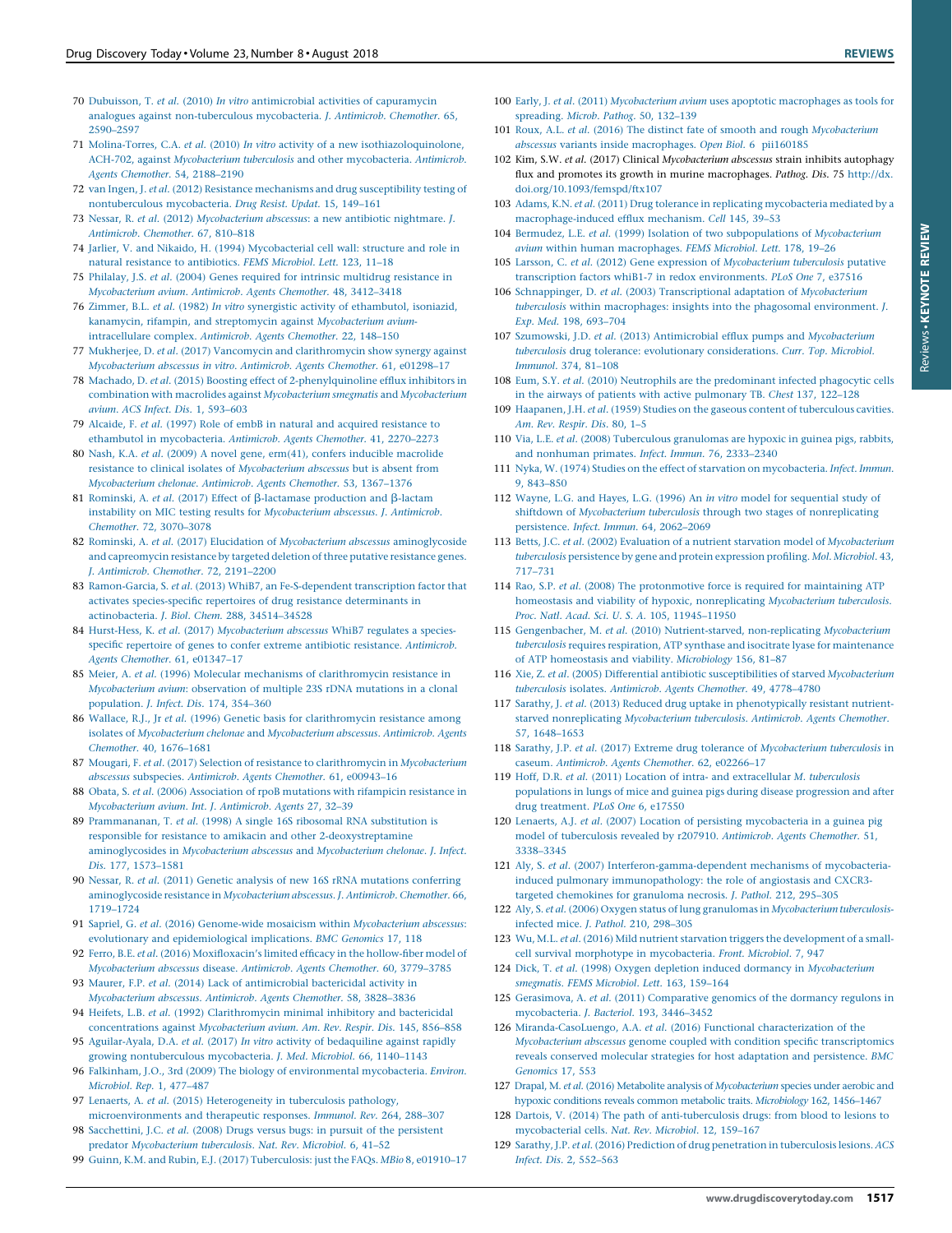- <span id="page-15-0"></span>70 Dubuisson, T. et al. (2010) In vitro [antimicrobial](http://refhub.elsevier.com/S1359-6446(18)30045-X/sbref0350) activities of capuramycin analogues against [non-tuberculous](http://refhub.elsevier.com/S1359-6446(18)30045-X/sbref0350) mycobacteria. J. Antimicrob. Chemother. 65, [2590–2597](http://refhub.elsevier.com/S1359-6446(18)30045-X/sbref0350)
- 71 Molina-Torres, C.A. et al. (2010) In vitro activity of a new [isothiazoloquinolone,](http://refhub.elsevier.com/S1359-6446(18)30045-X/sbref0355) ACH-702, against [Mycobacterium](http://refhub.elsevier.com/S1359-6446(18)30045-X/sbref0355) tuberculosis and other mycobacteria. Antimicrob. Agents Chemother. 54, [2188–2190](http://refhub.elsevier.com/S1359-6446(18)30045-X/sbref0355)
- 72 van Ingen, J. et al. (2012) Resistance mechanisms and drug [susceptibility](http://refhub.elsevier.com/S1359-6446(18)30045-X/sbref0360) testing of [nontuberculous](http://refhub.elsevier.com/S1359-6446(18)30045-X/sbref0360) mycobacteria. Drug Resist. Updat. 15, 149–161
- 73 Nessar, R. et al. (2012) [Mycobacterium](http://refhub.elsevier.com/S1359-6446(18)30045-X/sbref0365) abscessus: a new antibiotic nightmare. J. [Antimicrob.](http://refhub.elsevier.com/S1359-6446(18)30045-X/sbref0365) Chemother. 67, 810–818
- 74 Jarlier, V. and Nikaido, H. (1994) [Mycobacterial](http://refhub.elsevier.com/S1359-6446(18)30045-X/sbref0370) cell wall: structure and role in natural resistance to [antibiotics.](http://refhub.elsevier.com/S1359-6446(18)30045-X/sbref0370) FEMS Microbiol. Lett. 123, 11–18
- 75 Philalay, J.S. et al. (2004) Genes required for intrinsic [multidrug](http://refhub.elsevier.com/S1359-6446(18)30045-X/sbref0375) resistance in [Mycobacterium](http://refhub.elsevier.com/S1359-6446(18)30045-X/sbref0375) avium. Antimicrob. Agents Chemother. 48, 3412–3418
- 76 Zimmer, B.L. et al. (1982) In vitro synergistic activity of [ethambutol,](http://refhub.elsevier.com/S1359-6446(18)30045-X/sbref0380) isoniazid, kanamycin, rifampin, and streptomycin against [Mycobacterium](http://refhub.elsevier.com/S1359-6446(18)30045-X/sbref0380) avium[intracellulare](http://refhub.elsevier.com/S1359-6446(18)30045-X/sbref0380) complex. Antimicrob. Agents Chemother. 22, 148–150
- 77 Mukherjee, D. et al. (2017) Vancomycin and [clarithromycin](http://refhub.elsevier.com/S1359-6446(18)30045-X/sbref0385) show synergy against [Mycobacterium](http://refhub.elsevier.com/S1359-6446(18)30045-X/sbref0385) abscessus in vitro. Antimicrob. Agents Chemother. 61, e01298–17
- 78 Machado, D. et al. (2015) Boosting effect of [2-phenylquinoline](http://refhub.elsevier.com/S1359-6446(18)30045-X/sbref0390) efflux inhibitors in combination with macrolides against [Mycobacterium](http://refhub.elsevier.com/S1359-6446(18)30045-X/sbref0390) smegmatis and Mycobacterium avium. ACS Infect. Dis. 1, [593–603](http://refhub.elsevier.com/S1359-6446(18)30045-X/sbref0390)
- 79 Alcaide, F. et al. (1997) Role of embB in natural and acquired [resistance](http://refhub.elsevier.com/S1359-6446(18)30045-X/sbref0395) to ethambutol in [mycobacteria.](http://refhub.elsevier.com/S1359-6446(18)30045-X/sbref0395) Antimicrob. Agents Chemother. 41, 2270–2273
- 80 Nash, K.A. et al. (2009) A novel gene, erm(41), confers inducible [macrolide](http://refhub.elsevier.com/S1359-6446(18)30045-X/sbref0400) resistance to clinical isolates of [Mycobacterium](http://refhub.elsevier.com/S1359-6446(18)30045-X/sbref0400) abscessus but is absent from [Mycobacterium](http://refhub.elsevier.com/S1359-6446(18)30045-X/sbref0400) chelonae. Antimicrob. Agents Chemother. 53, 1367–1376
- 81 Rominski, A. et al. (2017) Effect of  $\beta$ -lactamase [production](http://refhub.elsevier.com/S1359-6446(18)30045-X/sbref0405) and  $\beta$ -lactam instability on MIC testing results for [Mycobacterium](http://refhub.elsevier.com/S1359-6446(18)30045-X/sbref0405) abscessus. J. Antimicrob. Chemother. 72, [3070–3078](http://refhub.elsevier.com/S1359-6446(18)30045-X/sbref0405)
- 82 Rominski, A. et al. (2017) Elucidation of Mycobacterium abscessus [aminoglycoside](http://refhub.elsevier.com/S1359-6446(18)30045-X/sbref0410) and [capreomycin](http://refhub.elsevier.com/S1359-6446(18)30045-X/sbref0410) resistance by targeted deletion of three putative resistance genes. J. [Antimicrob.](http://refhub.elsevier.com/S1359-6446(18)30045-X/sbref0410) Chemother. 72, 2191–2200
- 83 Ramon-Garcia, S. et al. (2013) WhiB7, an [Fe-S-dependent](http://refhub.elsevier.com/S1359-6446(18)30045-X/sbref0415) transcription factor that activates [species-specific](http://refhub.elsevier.com/S1359-6446(18)30045-X/sbref0415) repertoires of drug resistance determinants in [actinobacteria.](http://refhub.elsevier.com/S1359-6446(18)30045-X/sbref0415) J. Biol. Chem. 288, 34514–34528
- 84 Hurst-Hess, K. et al. (2017) [Mycobacterium](http://refhub.elsevier.com/S1359-6446(18)30045-X/sbref0420) abscessus WhiB7 regulates a speciesspecific repertoire of genes to confer extreme antibiotic resistance. [Antimicrob.](http://refhub.elsevier.com/S1359-6446(18)30045-X/sbref0420) Agents [Chemother.](http://refhub.elsevier.com/S1359-6446(18)30045-X/sbref0420) 61, e01347–17
- 85 Meier, A. et al. (1996) Molecular mechanisms of [clarithromycin](http://refhub.elsevier.com/S1359-6446(18)30045-X/sbref0425) resistance in [Mycobacterium](http://refhub.elsevier.com/S1359-6446(18)30045-X/sbref0425) avium: observation of multiple 23S rDNA mutations in a clonal [population.](http://refhub.elsevier.com/S1359-6446(18)30045-X/sbref0425) J. Infect. Dis. 174, 354–360
- 86 Wallace, R.J., Jr et al. (1996) Genetic basis for [clarithromycin](http://refhub.elsevier.com/S1359-6446(18)30045-X/sbref0430) resistance among isolates of [Mycobacterium](http://refhub.elsevier.com/S1359-6446(18)30045-X/sbref0430) chelonae and Mycobacterium abscessus. Antimicrob. Agents Chemother. 40, [1676–1681](http://refhub.elsevier.com/S1359-6446(18)30045-X/sbref0430)
- 87 Mougari, F. et al. (2017) Selection of resistance to [clarithromycin](http://refhub.elsevier.com/S1359-6446(18)30045-X/sbref0435) in Mycobacterium abscessus [subspecies.](http://refhub.elsevier.com/S1359-6446(18)30045-X/sbref0435) Antimicrob. Agents Chemother. 61, e00943–16
- 88 Obata, S. et al. (2006) [Association](http://refhub.elsevier.com/S1359-6446(18)30045-X/sbref0440) of rpoB mutations with rifampicin resistance in [Mycobacterium](http://refhub.elsevier.com/S1359-6446(18)30045-X/sbref0440) avium. Int. J. Antimicrob. Agents 27, 32–39
- 89 [Prammananan,](http://refhub.elsevier.com/S1359-6446(18)30045-X/sbref0445) T. et al. (1998) A single 16S ribosomal RNA substitution is responsible for resistance to amikacin and other [2-deoxystreptamine](http://refhub.elsevier.com/S1359-6446(18)30045-X/sbref0445) [aminoglycosides](http://refhub.elsevier.com/S1359-6446(18)30045-X/sbref0445) in Mycobacterium abscessus and Mycobacterium chelonae. J. Infect. Dis. 177, [1573–1581](http://refhub.elsevier.com/S1359-6446(18)30045-X/sbref0445)
- 90 Nessar, R. et al. (2011) Genetic analysis of new 16S rRNA mutations [conferring](http://refhub.elsevier.com/S1359-6446(18)30045-X/sbref0450) [aminoglycoside](http://refhub.elsevier.com/S1359-6446(18)30045-X/sbref0450) resistance in Mycobacterium abscessus. J. Antimicrob. Chemother. 66, [1719–1724](http://refhub.elsevier.com/S1359-6446(18)30045-X/sbref0450)
- 91 Sapriel, G. et al. (2016) Genome-wide mosaicism within [Mycobacterium](http://refhub.elsevier.com/S1359-6446(18)30045-X/sbref0455) abscessus: evolutionary and [epidemiological](http://refhub.elsevier.com/S1359-6446(18)30045-X/sbref0455) implications. BMC Genomics 17, 118
- 92 Ferro, B.E. et al. (2016) [Moxifloxacin's](http://refhub.elsevier.com/S1359-6446(18)30045-X/sbref0460) limited efficacy in the hollow-fiber model of [Mycobacterium](http://refhub.elsevier.com/S1359-6446(18)30045-X/sbref0460) abscessus disease. Antimicrob. Agents Chemother. 60, 3779–3785
- 93 Maurer, F.P. et al. (2014) Lack of [antimicrobial](http://refhub.elsevier.com/S1359-6446(18)30045-X/sbref0465) bactericidal activity in [Mycobacterium](http://refhub.elsevier.com/S1359-6446(18)30045-X/sbref0465) abscessus. Antimicrob. Agents Chemother. 58, 3828–3836
- 94 Heifets, L.B. et al. (1992) [Clarithromycin](http://refhub.elsevier.com/S1359-6446(18)30045-X/sbref0470) minimal inhibitory and bactericidal [concentrations](http://refhub.elsevier.com/S1359-6446(18)30045-X/sbref0470) against Mycobacterium avium. Am. Rev. Respir. Dis. 145, 856–858
- 95 [Aguilar-Ayala,](http://refhub.elsevier.com/S1359-6446(18)30045-X/sbref0475) D.A. et al. (2017) In vitro activity of bedaquiline against rapidly growing [nontuberculous](http://refhub.elsevier.com/S1359-6446(18)30045-X/sbref0475) mycobacteria. J. Med. Microbiol. 66, 1140–1143
- 96 Falkinham, J.O., 3rd (2009) The biology of [environmental](http://refhub.elsevier.com/S1359-6446(18)30045-X/sbref0480) mycobacteria. Environ. [Microbiol.](http://refhub.elsevier.com/S1359-6446(18)30045-X/sbref0480) Rep. 1, 477–487
- 97 Lenaerts, A. et al. (2015) [Heterogeneity](http://refhub.elsevier.com/S1359-6446(18)30045-X/sbref0485) in tuberculosis pathology, [microenvironments](http://refhub.elsevier.com/S1359-6446(18)30045-X/sbref0485) and therapeutic responses. Immunol. Rev. 264, 288–307
- 98 [Sacchettini,](http://refhub.elsevier.com/S1359-6446(18)30045-X/sbref0490) J.C. et al. (2008) Drugs versus bugs: in pursuit of the persistent predator [Mycobacterium](http://refhub.elsevier.com/S1359-6446(18)30045-X/sbref0490) tuberculosis. Nat. Rev. Microbiol. 6, 41–52
- 99 Guinn, K.M. and Rubin, E.J. (2017) [Tuberculosis:](http://refhub.elsevier.com/S1359-6446(18)30045-X/sbref0495) just the FAQs. MBio 8, e01910–17
- 100 Early, J. et al. (2011) [Mycobacterium](http://refhub.elsevier.com/S1359-6446(18)30045-X/sbref0500) avium uses apoptotic macrophages as tools for [spreading.](http://refhub.elsevier.com/S1359-6446(18)30045-X/sbref0500) Microb. Pathog. 50, 132–139
- 101 Roux, A.L. et al. (2016) The distinct fate of smooth and rough [Mycobacterium](http://refhub.elsevier.com/S1359-6446(18)30045-X/sbref0505) abscessus variants inside [macrophages.](http://refhub.elsevier.com/S1359-6446(18)30045-X/sbref0505) Open Biol. 6 pii160185
- 102 Kim, S.W. et al. (2017) Clinical Mycobacterium abscessus strain inhibits autophagy flux and promotes its growth in murine macrophages. Pathog. Dis. 75 [http://dx.](http://dx.doi.org/10.1093/femspd/ftx107) [doi.org/10.1093/femspd/ftx107](http://dx.doi.org/10.1093/femspd/ftx107)
- 103 Adams, K.N. et al. (2011) Drug tolerance in replicating [mycobacteria](http://refhub.elsevier.com/S1359-6446(18)30045-X/sbref0515) mediated by a [macrophage-induced](http://refhub.elsevier.com/S1359-6446(18)30045-X/sbref0515) efflux mechanism. Cell 145, 39–53
- 104 Bermudez, L.E. et al. (1999) Isolation of two [subpopulations](http://refhub.elsevier.com/S1359-6446(18)30045-X/sbref0520) of Mycobacterium avium within human [macrophages.](http://refhub.elsevier.com/S1359-6446(18)30045-X/sbref0520) FEMS Microbiol. Lett. 178, 19–26
- 105 Larsson, C. et al. (2012) Gene expression of [Mycobacterium](http://refhub.elsevier.com/S1359-6446(18)30045-X/sbref0525) tuberculosis putative transcription factors whiB1-7 in redox [environments.](http://refhub.elsevier.com/S1359-6446(18)30045-X/sbref0525) PLoS One 7, e37516
- 106 Schnappinger, D. et al. (2003) [Transcriptional](http://refhub.elsevier.com/S1359-6446(18)30045-X/sbref0530) adaptation of Mycobacterium tuberculosis within [macrophages:](http://refhub.elsevier.com/S1359-6446(18)30045-X/sbref0530) insights into the phagosomal environment. J. Exp. Med. 198, [693–704](http://refhub.elsevier.com/S1359-6446(18)30045-X/sbref0530)
- 107 Szumowski, J.D. et al. (2013) Antimicrobial efflux pumps and [Mycobacterium](http://refhub.elsevier.com/S1359-6446(18)30045-X/sbref0535) tuberculosis drug tolerance: evolutionary [considerations.](http://refhub.elsevier.com/S1359-6446(18)30045-X/sbref0535) Curr. Top. Microbiol. [Immunol.](http://refhub.elsevier.com/S1359-6446(18)30045-X/sbref0535) 374, 81–108
- 108 Eum, S.Y. et al. (2010) Neutrophils are the [predominant](http://refhub.elsevier.com/S1359-6446(18)30045-X/sbref0540) infected phagocytic cells in the airways of patients with active [pulmonary](http://refhub.elsevier.com/S1359-6446(18)30045-X/sbref0540) TB. Chest 137, 122–128
- 109 Haapanen, J.H. et al. (1959) Studies on the gaseous content of [tuberculous](http://refhub.elsevier.com/S1359-6446(18)30045-X/sbref0545) cavities. Am. Rev. [Respir.](http://refhub.elsevier.com/S1359-6446(18)30045-X/sbref0545) Dis. 80, 1–5
- 110 Via, L.E. et al. (2008) [Tuberculous](http://refhub.elsevier.com/S1359-6446(18)30045-X/sbref0550) granulomas are hypoxic in guinea pigs, rabbits, and [nonhuman](http://refhub.elsevier.com/S1359-6446(18)30045-X/sbref0550) primates. Infect. Immun. 76, 2333–2340
- 111 Nyka, W. (1974) Studies on the effect of starvation on [mycobacteria.](http://refhub.elsevier.com/S1359-6446(18)30045-X/sbref0555) Infect. Immun. 9, [843–850](http://refhub.elsevier.com/S1359-6446(18)30045-X/sbref0555)
- 112 Wayne, L.G. and Hayes, L.G. (1996) An in vitro model for [sequential](http://refhub.elsevier.com/S1359-6446(18)30045-X/sbref0560) study of shiftdown of Mycobacterium tuberculosis through two stages of [nonreplicating](http://refhub.elsevier.com/S1359-6446(18)30045-X/sbref0560) [persistence.](http://refhub.elsevier.com/S1359-6446(18)30045-X/sbref0560) Infect. Immun. 64, 2062–2069
- 113 Betts, J.C. et al. (2002) Evaluation of a nutrient starvation model of [Mycobacterium](http://refhub.elsevier.com/S1359-6446(18)30045-X/sbref0565) tuberculosis [persistence](http://refhub.elsevier.com/S1359-6446(18)30045-X/sbref0565) by gene and protein expression profiling. Mol. Microbiol. 43, [717–731](http://refhub.elsevier.com/S1359-6446(18)30045-X/sbref0565)
- 114 Rao, S.P. et al. (2008) The [protonmotive](http://refhub.elsevier.com/S1359-6446(18)30045-X/sbref0570) force is required for maintaining ATP homeostasis and viability of hypoxic, [nonreplicating](http://refhub.elsevier.com/S1359-6446(18)30045-X/sbref0570) Mycobacterium tuberculosis. Proc. Natl. Acad. Sci. U. S. A. 105, [11945–11950](http://refhub.elsevier.com/S1359-6446(18)30045-X/sbref0570)
- 115 Gengenbacher, M. et al. (2010) [Nutrient-starved,](http://refhub.elsevier.com/S1359-6446(18)30045-X/sbref0575) non-replicating Mycobacterium tuberculosis requires respiration, ATP synthase and isocitrate lyase for [maintenance](http://refhub.elsevier.com/S1359-6446(18)30045-X/sbref0575) of ATP [homeostasis](http://refhub.elsevier.com/S1359-6446(18)30045-X/sbref0575) and viability. Microbiology 156, 81–87
- 116 Xie, Z. et al. (2005) Differential antibiotic [susceptibilities](http://refhub.elsevier.com/S1359-6446(18)30045-X/sbref0580) of starved Mycobacterium tuberculosis isolates. [Antimicrob.](http://refhub.elsevier.com/S1359-6446(18)30045-X/sbref0580) Agents Chemother. 49, 4778–4780
- 117 Sarathy, J. et al. (2013) Reduced drug uptake in [phenotypically](http://refhub.elsevier.com/S1359-6446(18)30045-X/sbref0585) resistant nutrientstarved [nonreplicating](http://refhub.elsevier.com/S1359-6446(18)30045-X/sbref0585) Mycobacterium tuberculosis. Antimicrob. Agents Chemother. 57, [1648–1653](http://refhub.elsevier.com/S1359-6446(18)30045-X/sbref0585)
- 118 Sarathy, J.P. et al. (2017) Extreme drug tolerance of [Mycobacterium](http://refhub.elsevier.com/S1359-6446(18)30045-X/sbref0590) tuberculosis in caseum. [Antimicrob.](http://refhub.elsevier.com/S1359-6446(18)30045-X/sbref0590) Agents Chemother. 62, e02266–17
- 119 Hoff, D.R. et al. (2011) Location of intra- and [extracellular](http://refhub.elsevier.com/S1359-6446(18)30045-X/sbref0595) M. tuberculosis [populations](http://refhub.elsevier.com/S1359-6446(18)30045-X/sbref0595) in lungs of mice and guinea pigs during disease progression and after drug [treatment.](http://refhub.elsevier.com/S1359-6446(18)30045-X/sbref0595) PLoS One 6, e17550
- 120 Lenaerts, A.J. et al. (2007) Location of persisting [mycobacteria](http://refhub.elsevier.com/S1359-6446(18)30045-X/sbref0600) in a guinea pig model of [tuberculosis](http://refhub.elsevier.com/S1359-6446(18)30045-X/sbref0600) revealed by r207910. Antimicrob. Agents Chemother. 51, [3338–3345](http://refhub.elsevier.com/S1359-6446(18)30045-X/sbref0600)
- 121 Aly, S. et al. (2007) [Interferon-gamma-dependent](http://refhub.elsevier.com/S1359-6446(18)30045-X/sbref0605) mechanisms of mycobacteriainduced pulmonary [immunopathology:](http://refhub.elsevier.com/S1359-6446(18)30045-X/sbref0605) the role of angiostasis and CXCR3 targeted [chemokines](http://refhub.elsevier.com/S1359-6446(18)30045-X/sbref0605) for granuloma necrosis. J. Pathol. 212, 295–305
- 122 Aly, S. et al. (2006) Oxygen status of lung granulomas in [Mycobacterium](http://refhub.elsevier.com/S1359-6446(18)30045-X/sbref0610) tuberculosisinfected mice. J. Pathol. 210, [298–305](http://refhub.elsevier.com/S1359-6446(18)30045-X/sbref0610)
- 123 Wu, M.L. et al. (2016) Mild nutrient starvation triggers the [development](http://refhub.elsevier.com/S1359-6446(18)30045-X/sbref0615) of a smallcell survival morphotype in [mycobacteria.](http://refhub.elsevier.com/S1359-6446(18)30045-X/sbref0615) Front. Microbiol. 7, 947
- 124 Dick, T. et al. (1998) Oxygen depletion induced dormancy in [Mycobacterium](http://refhub.elsevier.com/S1359-6446(18)30045-X/sbref0620) [smegmatis](http://refhub.elsevier.com/S1359-6446(18)30045-X/sbref0620). FEMS Microbiol. Lett. 163, 159–164
- 125 Gerasimova, A. et al. (2011) [Comparative](http://refhub.elsevier.com/S1359-6446(18)30045-X/sbref0625) genomics of the dormancy regulons in [mycobacteria.](http://refhub.elsevier.com/S1359-6446(18)30045-X/sbref0625) J. Bacteriol. 193, 3446–3452
- 126 [Miranda-CasoLuengo,](http://refhub.elsevier.com/S1359-6446(18)30045-X/sbref0630) A.A. et al. (2016) Functional characterization of the Mycobacterium abscessus genome coupled with condition specific [transcriptomics](http://refhub.elsevier.com/S1359-6446(18)30045-X/sbref0630) reveals conserved molecular strategies for host adaptation and [persistence.](http://refhub.elsevier.com/S1359-6446(18)30045-X/sbref0630) BMC [Genomics](http://refhub.elsevier.com/S1359-6446(18)30045-X/sbref0630) 17, 553
- 127 Drapal, M. et al. (2016) Metabolite analysis of [Mycobacterium](http://refhub.elsevier.com/S1359-6446(18)30045-X/sbref0635) species under aerobic and hypoxic conditions reveals common metabolic traits. [Microbiology](http://refhub.elsevier.com/S1359-6446(18)30045-X/sbref0635) 162, 1456–1467
- 128 Dartois, V. (2014) The path of [anti-tuberculosis](http://refhub.elsevier.com/S1359-6446(18)30045-X/sbref0640) drugs: from blood to lesions to [mycobacterial](http://refhub.elsevier.com/S1359-6446(18)30045-X/sbref0640) cells. Nat. Rev. Microbiol. 12, 159–167
- 129 Sarathy, J.P. et al. (2016) Prediction of drug penetration in [tuberculosis](http://refhub.elsevier.com/S1359-6446(18)30045-X/sbref0645) lesions. ACS Infect. Dis. 2, [552–563](http://refhub.elsevier.com/S1359-6446(18)30045-X/sbref0645)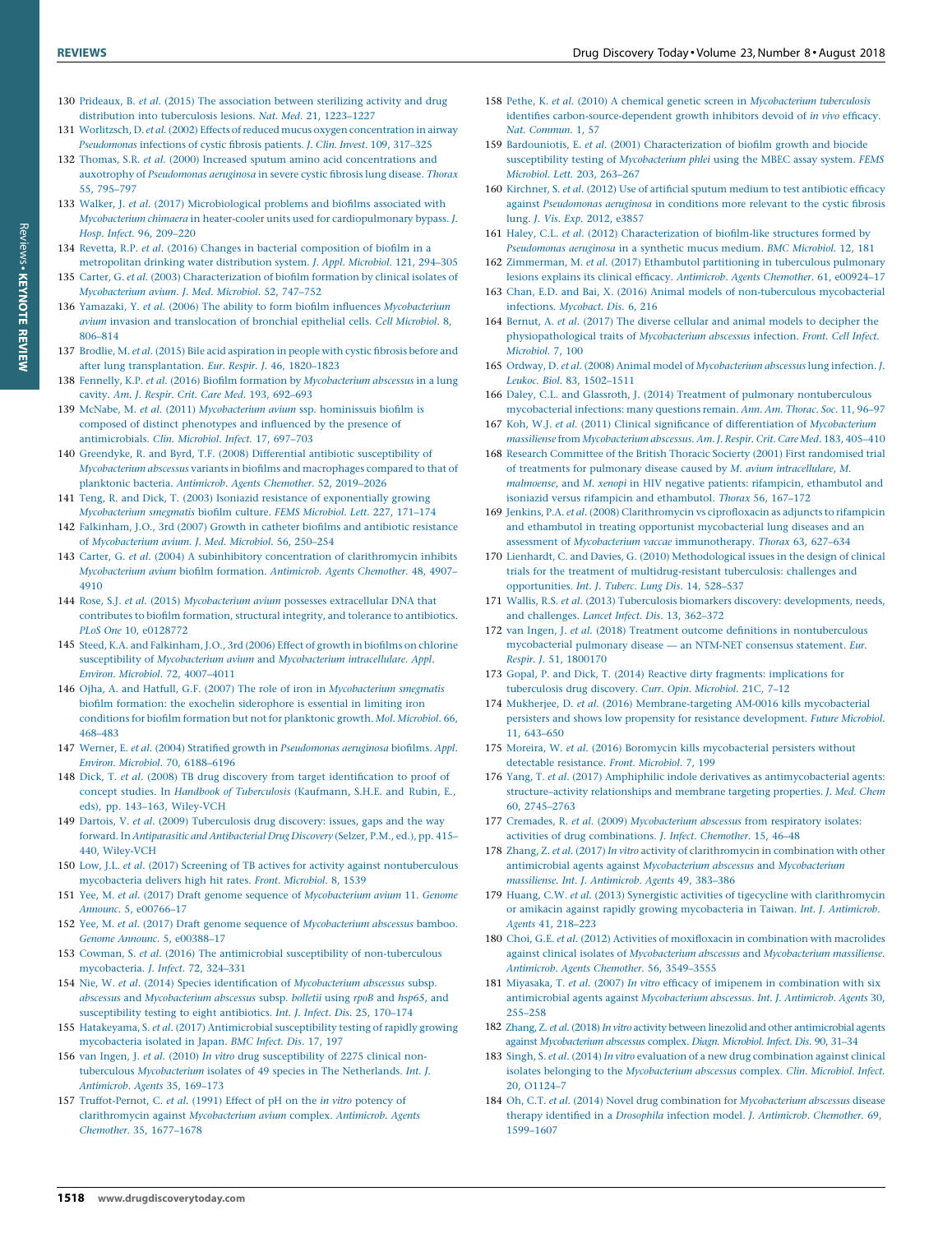- <span id="page-16-0"></span>130 Prideaux, B. et al. (2015) The [association](http://refhub.elsevier.com/S1359-6446(18)30045-X/sbref0650) between sterilizing activity and drug distribution into [tuberculosis](http://refhub.elsevier.com/S1359-6446(18)30045-X/sbref0650) lesions. Nat. Med. 21, 1223–1227
- 131 Worlitzsch, D. et al. (2002) Effects of reduced mucus oxygen [concentration](http://refhub.elsevier.com/S1359-6446(18)30045-X/sbref0655) in airway [Pseudomonas](http://refhub.elsevier.com/S1359-6446(18)30045-X/sbref0655) infections of cystic fibrosis patients. J. Clin. Invest. 109, 317–325
- 132 Thomas, S.R. et al. (2000) Increased sputum amino acid [concentrations](http://refhub.elsevier.com/S1359-6446(18)30045-X/sbref0660) and auxotrophy of [Pseudomonas](http://refhub.elsevier.com/S1359-6446(18)30045-X/sbref0660) aeruginosa in severe cystic fibrosis lung disease. Thorax 55, [795–797](http://refhub.elsevier.com/S1359-6446(18)30045-X/sbref0660)
- 133 Walker, J. et al. (2017) [Microbiological](http://refhub.elsevier.com/S1359-6446(18)30045-X/sbref0665) problems and biofilms associated with Mycobacterium chimaera in heater-cooler units used for [cardiopulmonary](http://refhub.elsevier.com/S1359-6446(18)30045-X/sbref0665) bypass. J. Hosp. Infect. 96, [209–220](http://refhub.elsevier.com/S1359-6446(18)30045-X/sbref0665)
- 134 Revetta, R.P. et al. (2016) Changes in bacterial [composition](http://refhub.elsevier.com/S1359-6446(18)30045-X/sbref0670) of biofilm in a [metropolitan](http://refhub.elsevier.com/S1359-6446(18)30045-X/sbref0670) drinking water distribution system. J. Appl. Microbiol. 121, 294–305 135 Carter, G. et al. (2003) [Characterization](http://refhub.elsevier.com/S1359-6446(18)30045-X/sbref0675) of biofilm formation by clinical isolates of
- [Mycobacterium](http://refhub.elsevier.com/S1359-6446(18)30045-X/sbref0675) avium. J. Med. Microbiol. 52, 747–752 136 Yamazaki, Y. et al. (2006) The ability to form biofilm influences [Mycobacterium](http://refhub.elsevier.com/S1359-6446(18)30045-X/sbref0680) avium invasion and [translocation](http://refhub.elsevier.com/S1359-6446(18)30045-X/sbref0680) of bronchial epithelial cells. Cell Microbiol. 8,
- [806–814](http://refhub.elsevier.com/S1359-6446(18)30045-X/sbref0680) 137 Brodlie, M. et al. (2015) Bile acid [aspiration](http://refhub.elsevier.com/S1359-6446(18)30045-X/sbref0685) in people with cystic fibrosis before and after lung [transplantation.](http://refhub.elsevier.com/S1359-6446(18)30045-X/sbref0685) Eur. Respir. J. 46, 1820–1823
- 138 Fennelly, K.P. et al. (2016) Biofilm formation by [Mycobacterium](http://refhub.elsevier.com/S1359-6446(18)30045-X/sbref0690) abscessus in a lung cavity. Am. J. Respir. Crit. Care Med. 193, [692–693](http://refhub.elsevier.com/S1359-6446(18)30045-X/sbref0690)
- 139 McNabe, M. et al. (2011) [Mycobacterium](http://refhub.elsevier.com/S1359-6446(18)30045-X/sbref0695) avium ssp. hominissuis biofilm is composed of distinct [phenotypes](http://refhub.elsevier.com/S1359-6446(18)30045-X/sbref0695) and influenced by the presence of [antimicrobials.](http://refhub.elsevier.com/S1359-6446(18)30045-X/sbref0695) Clin. Microbiol. Infect. 17, 697–703
- 140 Greendyke, R. and Byrd, T.F. (2008) Differential antibiotic [susceptibility](http://refhub.elsevier.com/S1359-6446(18)30045-X/sbref0700) of [Mycobacterium](http://refhub.elsevier.com/S1359-6446(18)30045-X/sbref0700) abscessus variants in biofilms and macrophages compared to that of planktonic bacteria. [Antimicrob.](http://refhub.elsevier.com/S1359-6446(18)30045-X/sbref0700) Agents Chemother. 52, 2019–2026
- 141 Teng, R. and Dick, T. (2003) Isoniazid resistance of [exponentially](http://refhub.elsevier.com/S1359-6446(18)30045-X/sbref0705) growing [Mycobacterium](http://refhub.elsevier.com/S1359-6446(18)30045-X/sbref0705) smegmatis biofilm culture. FEMS Microbiol. Lett. 227, 171–174
- 142 [Falkinham,](http://refhub.elsevier.com/S1359-6446(18)30045-X/sbref0710) J.O., 3rd (2007) Growth in catheter biofilms and antibiotic resistance of [Mycobacterium](http://refhub.elsevier.com/S1359-6446(18)30045-X/sbref0710) avium. J. Med. Microbiol. 56, 250–254
- 143 Carter, G. et al. (2004) A subinhibitory concentration of [clarithromycin](http://refhub.elsevier.com/S1359-6446(18)30045-X/sbref0715) inhibits [Mycobacterium](http://refhub.elsevier.com/S1359-6446(18)30045-X/sbref0715) avium biofilm formation. Antimicrob. Agents Chemother. 48, 4907– [4910](http://refhub.elsevier.com/S1359-6446(18)30045-X/sbref0715)
- 144 Rose, S.J. et al. (2015) [Mycobacterium](http://refhub.elsevier.com/S1359-6446(18)30045-X/sbref0720) avium possesses extracellular DNA that [contributes](http://refhub.elsevier.com/S1359-6446(18)30045-X/sbref0720) to biofilm formation, structural integrity, and tolerance to antibiotics. PLoS One 10, [e0128772](http://refhub.elsevier.com/S1359-6446(18)30045-X/sbref0720)
- 145 Steed, K.A. and [Falkinham,](http://refhub.elsevier.com/S1359-6446(18)30045-X/sbref0725) J.O., 3rd (2006) Effect of growth in biofilms on chlorine susceptibility of [Mycobacterium](http://refhub.elsevier.com/S1359-6446(18)30045-X/sbref0725) avium and Mycobacterium intracellulare. Appl. Environ. Microbiol. 72, [4007–4011](http://refhub.elsevier.com/S1359-6446(18)30045-X/sbref0725)
- 146 Ojha, A. and Hatfull, G.F. (2007) The role of iron in [Mycobacterium](http://refhub.elsevier.com/S1359-6446(18)30045-X/sbref0730) smegmatis biofilm formation: the exochelin [siderophore](http://refhub.elsevier.com/S1359-6446(18)30045-X/sbref0730) is essential in limiting iron conditions for biofilm formation but not for [planktonic](http://refhub.elsevier.com/S1359-6446(18)30045-X/sbref0730) growth. Mol. Microbiol. 66, [468–483](http://refhub.elsevier.com/S1359-6446(18)30045-X/sbref0730)
- 147 Werner, E. et al. (2004) Stratified growth in [Pseudomonas](http://refhub.elsevier.com/S1359-6446(18)30045-X/sbref0735) aeruginosa biofilms. Appl. Environ. Microbiol. 70, [6188–6196](http://refhub.elsevier.com/S1359-6446(18)30045-X/sbref0735)
- 148 Dick, T. et al. (2008) TB drug discovery from target [identification](http://refhub.elsevier.com/S1359-6446(18)30045-X/sbref0740) to proof of concept studies. In Handbook of Tuberculosis [\(Kaufmann,](http://refhub.elsevier.com/S1359-6446(18)30045-X/sbref0740) S.H.E. and Rubin, E., eds), pp. 143–163, Wiley-VCH
- 149 Dartois, V. et al. (2009) [Tuberculosis](http://refhub.elsevier.com/S1359-6446(18)30045-X/sbref0745) drug discovery: issues, gaps and the way forward. In Antiparasitic and [Antibacterial](http://refhub.elsevier.com/S1359-6446(18)30045-X/sbref0745) Drug Discovery (Selzer, P.M., ed.), pp. 415– 440, Wiley-VCH
- 150 Low, J.L. et al. (2017) Screening of TB actives for activity against [nontuberculous](http://refhub.elsevier.com/S1359-6446(18)30045-X/sbref0750) [mycobacteria](http://refhub.elsevier.com/S1359-6446(18)30045-X/sbref0750) delivers high hit rates. Front. Microbiol. 8, 1539
- 151 Yee, M. et al. (2017) Draft genome sequence of [Mycobacterium](http://refhub.elsevier.com/S1359-6446(18)30045-X/sbref0755) avium 11. Genome Announc. 5, [e00766–17](http://refhub.elsevier.com/S1359-6446(18)30045-X/sbref0755)
- 152 Yee, M. et al. (2017) Draft genome sequence of [Mycobacterium](http://refhub.elsevier.com/S1359-6446(18)30045-X/sbref0760) abscessus bamboo. Genome Announc. 5, [e00388–17](http://refhub.elsevier.com/S1359-6446(18)30045-X/sbref0760)
- 153 Cowman, S. et al. (2016) The antimicrobial susceptibility of [non-tuberculous](http://refhub.elsevier.com/S1359-6446(18)30045-X/sbref0765) [mycobacteria.](http://refhub.elsevier.com/S1359-6446(18)30045-X/sbref0765) J. Infect. 72, 324–331
- 154 Nie, W. et al. (2014) Species identification of [Mycobacterium](http://refhub.elsevier.com/S1359-6446(18)30045-X/sbref0770) abscessus subsp. abscessus and [Mycobacterium](http://refhub.elsevier.com/S1359-6446(18)30045-X/sbref0770) abscessus subsp. bolletii using rpoB and hsp65, and [susceptibility](http://refhub.elsevier.com/S1359-6446(18)30045-X/sbref0770) testing to eight antibiotics. Int. J. Infect. Dis. 25, 170–174
- 155 Hatakeyama, S. et al. (2017) [Antimicrobial](http://refhub.elsevier.com/S1359-6446(18)30045-X/sbref0775) susceptibility testing of rapidly growing [mycobacteria](http://refhub.elsevier.com/S1359-6446(18)30045-X/sbref0775) isolated in Japan. BMC Infect. Dis. 17, 197
- 156 van Ingen, J. et al. (2010) In vitro drug [susceptibility](http://refhub.elsevier.com/S1359-6446(18)30045-X/sbref0780) of 2275 clinical nontuberculous [Mycobacterium](http://refhub.elsevier.com/S1359-6446(18)30045-X/sbref0780) isolates of 49 species in The Netherlands. Int. J. [Antimicrob.](http://refhub.elsevier.com/S1359-6446(18)30045-X/sbref0780) Agents 35, 169–173
- 157 [Truffot-Pernot,](http://refhub.elsevier.com/S1359-6446(18)30045-X/sbref0785) C. et al. (1991) Effect of pH on the in vitro potency of [clarithromycin](http://refhub.elsevier.com/S1359-6446(18)30045-X/sbref0785) against Mycobacterium avium complex. Antimicrob. Agents Chemother. 35, [1677–1678](http://refhub.elsevier.com/S1359-6446(18)30045-X/sbref0785)
- 158 Pethe, K. et al. (2010) A chemical genetic screen in [Mycobacterium](http://refhub.elsevier.com/S1359-6446(18)30045-X/sbref0790) tuberculosis identifies [carbon-source-dependent](http://refhub.elsevier.com/S1359-6446(18)30045-X/sbref0790) growth inhibitors devoid of in vivo efficacy. Nat. [Commun.](http://refhub.elsevier.com/S1359-6446(18)30045-X/sbref0790) 1, 57
- 159 Bardouniotis, E. et al. (2001) [Characterization](http://refhub.elsevier.com/S1359-6446(18)30045-X/sbref0795) of biofilm growth and biocide susceptibility testing of [Mycobacterium](http://refhub.elsevier.com/S1359-6446(18)30045-X/sbref0795) phlei using the MBEC assay system. FEMS [Microbiol.](http://refhub.elsevier.com/S1359-6446(18)30045-X/sbref0795) Lett. 203, 263–267
- 160 Kirchner, S. et al. (2012) Use of artificial sputum medium to test [antibiotic](http://refhub.elsevier.com/S1359-6446(18)30045-X/sbref0800) efficacy against [Pseudomonas](http://refhub.elsevier.com/S1359-6446(18)30045-X/sbref0800) aeruginosa in conditions more relevant to the cystic fibrosis lung. J. Vis. Exp. 2012, [e3857](http://refhub.elsevier.com/S1359-6446(18)30045-X/sbref0800)
- 161 Haley, C.L. et al. (2012) [Characterization](http://refhub.elsevier.com/S1359-6446(18)30045-X/sbref0805) of biofilm-like structures formed by [Pseudomonas](http://refhub.elsevier.com/S1359-6446(18)30045-X/sbref0805) aeruginosa in a synthetic mucus medium. BMC Microbiol. 12, 181
- 162 [Zimmerman,](http://refhub.elsevier.com/S1359-6446(18)30045-X/sbref0810) M. et al. (2017) Ethambutol partitioning in tuberculous pulmonary lesions explains its clinical efficacy. [Antimicrob.](http://refhub.elsevier.com/S1359-6446(18)30045-X/sbref0810) Agents Chemother. 61, e00924–17
- 163 Chan, E.D. and Bai, X. (2016) Animal models of [non-tuberculous](http://refhub.elsevier.com/S1359-6446(18)30045-X/sbref0815) mycobacterial [infections.](http://refhub.elsevier.com/S1359-6446(18)30045-X/sbref0815) Mycobact. Dis. 6, 216
- 164 Bernut, A. et al. (2017) The diverse cellular and animal models to [decipher](http://refhub.elsevier.com/S1359-6446(18)30045-X/sbref0820) the [physiopathological](http://refhub.elsevier.com/S1359-6446(18)30045-X/sbref0820) traits of Mycobacterium abscessus infection. Front. Cell Infect. [Microbiol.](http://refhub.elsevier.com/S1359-6446(18)30045-X/sbref0820) 7, 100
- 165 Ordway, D. et al. (2008) Animal model of [Mycobacterium](http://refhub.elsevier.com/S1359-6446(18)30045-X/sbref0825) abscessus lung infection. J. Leukoc. Biol. 83, [1502–1511](http://refhub.elsevier.com/S1359-6446(18)30045-X/sbref0825)
- 166 Daley, C.L. and Glassroth, J. (2014) Treatment of pulmonary [nontuberculous](http://refhub.elsevier.com/S1359-6446(18)30045-X/sbref0830) [mycobacterial](http://refhub.elsevier.com/S1359-6446(18)30045-X/sbref0830) infections: many questions remain. Ann. Am. Thorac. Soc. 11, 96–97
- 167 Koh, W.J. et al. (2011) Clinical significance of [differentiation](http://refhub.elsevier.com/S1359-6446(18)30045-X/sbref0835) of Mycobacterium massiliense from [Mycobacterium](http://refhub.elsevier.com/S1359-6446(18)30045-X/sbref0835) abscessus. Am. J. Respir. Crit. Care Med. 183, 405–410
- 168 Research Committee of the British Thoracic Socierty (2001) First [randomised](http://refhub.elsevier.com/S1359-6446(18)30045-X/sbref0840) trial of treatments for pulmonary disease caused by M. avium [intracellulare](http://refhub.elsevier.com/S1359-6446(18)30045-X/sbref0840), M. malmoense, and M. xenopi in HIV negative patients: rifampicin, [ethambutol](http://refhub.elsevier.com/S1359-6446(18)30045-X/sbref0840) and isoniazid versus rifampicin and [ethambutol.](http://refhub.elsevier.com/S1359-6446(18)30045-X/sbref0840) Thorax 56, 167–172
- 169 Jenkins, P.A. et al. (2008) [Clarithromycin](http://refhub.elsevier.com/S1359-6446(18)30045-X/sbref0845) vs ciprofloxacin as adjuncts to rifampicin and ethambutol in treating opportunist [mycobacterial](http://refhub.elsevier.com/S1359-6446(18)30045-X/sbref0845) lung diseases and an assessment of Mycobacterium vaccae [immunotherapy.](http://refhub.elsevier.com/S1359-6446(18)30045-X/sbref0845) Thorax 63, 627–634
- 170 Lienhardt, C. and Davies, G. (2010) [Methodological](http://refhub.elsevier.com/S1359-6446(18)30045-X/sbref0850) issues in the design of clinical trials for the treatment of [multidrug-resistant](http://refhub.elsevier.com/S1359-6446(18)30045-X/sbref0850) tuberculosis: challenges and [opportunities.](http://refhub.elsevier.com/S1359-6446(18)30045-X/sbref0850) Int. J. Tuberc. Lung Dis. 14, 528–537
- 171 Wallis, R.S. et al. (2013) Tuberculosis biomarkers discovery: [developments,](http://refhub.elsevier.com/S1359-6446(18)30045-X/sbref0855) needs, and [challenges.](http://refhub.elsevier.com/S1359-6446(18)30045-X/sbref0855) Lancet Infect. Dis. 13, 362–372
- 172 van Ingen, J. et al. (2018) Treatment outcome definitions in [nontuberculous](http://refhub.elsevier.com/S1359-6446(18)30045-X/sbref0860) [mycobacterial](http://refhub.elsevier.com/S1359-6446(18)30045-X/sbref0860) pulmonary disease — an NTM-NET consensus statement. Eur. Respir. J. 51, [1800170](http://refhub.elsevier.com/S1359-6446(18)30045-X/sbref0860)
- 173 Gopal, P. and Dick, T. (2014) Reactive dirty fragments: [implications](http://refhub.elsevier.com/S1359-6446(18)30045-X/sbref0865) for [tuberculosis](http://refhub.elsevier.com/S1359-6446(18)30045-X/sbref0865) drug discovery. Curr. Opin. Microbiol. 21C, 7–12
- 174 Mukherjee, D. et al. (2016) [Membrane-targeting](http://refhub.elsevier.com/S1359-6446(18)30045-X/sbref0870) AM-0016 kills mycobacterial persisters and shows low propensity for resistance [development.](http://refhub.elsevier.com/S1359-6446(18)30045-X/sbref0870) Future Microbiol. 11, [643–650](http://refhub.elsevier.com/S1359-6446(18)30045-X/sbref0870)
- 175 Moreira, W. et al. (2016) Boromycin kills [mycobacterial](http://refhub.elsevier.com/S1359-6446(18)30045-X/sbref0875) persisters without detectable [resistance.](http://refhub.elsevier.com/S1359-6446(18)30045-X/sbref0875) Front. Microbiol. 7, 199
- 176 Yang, T. et al. (2017) Amphiphilic indole derivatives as [antimycobacterial](http://refhub.elsevier.com/S1359-6446(18)30045-X/sbref0880) agents: [structure–activity](http://refhub.elsevier.com/S1359-6446(18)30045-X/sbref0880) relationships and membrane targeting properties. J. Med. Chem 60, [2745–2763](http://refhub.elsevier.com/S1359-6446(18)30045-X/sbref0880)
- 177 Cremades, R. et al. (2009) [Mycobacterium](http://refhub.elsevier.com/S1359-6446(18)30045-X/sbref0885) abscessus from respiratory isolates: activities of drug [combinations.](http://refhub.elsevier.com/S1359-6446(18)30045-X/sbref0885) J. Infect. Chemother. 15, 46–48
- 178 Zhang, Z. et al. (2017) In vitro activity of [clarithromycin](http://refhub.elsevier.com/S1359-6446(18)30045-X/sbref0890) in combination with other antimicrobial agents against Mycobacterium abscessus and [Mycobacterium](http://refhub.elsevier.com/S1359-6446(18)30045-X/sbref0890) massiliense. Int. J. [Antimicrob.](http://refhub.elsevier.com/S1359-6446(18)30045-X/sbref0890) Agents 49, 383–386
- 179 Huang, C.W. et al. (2013) Synergistic activities of tigecycline with [clarithromycin](http://refhub.elsevier.com/S1359-6446(18)30045-X/sbref0895) or amikacin against rapidly growing [mycobacteria](http://refhub.elsevier.com/S1359-6446(18)30045-X/sbref0895) in Taiwan. Int. J. Antimicrob. Agents 41, [218–223](http://refhub.elsevier.com/S1359-6446(18)30045-X/sbref0895)
- 180 Choi, G.E. et al. (2012) Activities of [moxifloxacin](http://refhub.elsevier.com/S1359-6446(18)30045-X/sbref0900) in combination with macrolides against clinical isolates of Mycobacterium abscessus and [Mycobacterium](http://refhub.elsevier.com/S1359-6446(18)30045-X/sbref0900) massiliense. [Antimicrob.](http://refhub.elsevier.com/S1359-6446(18)30045-X/sbref0900) Agents Chemother. 56, 3549–3555
- 181 Miyasaka, T. et al. (2007) In vitro efficacy of imipenem in [combination](http://refhub.elsevier.com/S1359-6446(18)30045-X/sbref0905) with six antimicrobial agents against [Mycobacterium](http://refhub.elsevier.com/S1359-6446(18)30045-X/sbref0905) abscessus. Int. J. Antimicrob. Agents 30, [255–258](http://refhub.elsevier.com/S1359-6446(18)30045-X/sbref0905)
- 182 Zhang, Z. et al. (2018) In vitro activity between linezolid and other [antimicrobial](http://refhub.elsevier.com/S1359-6446(18)30045-X/sbref0910) agents against [Mycobacterium](http://refhub.elsevier.com/S1359-6446(18)30045-X/sbref0910) abscessus complex. Diagn. Microbiol. Infect. Dis. 90, 31–34
- 183 Singh, S. et al. (2014) In vitro evaluation of a new drug [combination](http://refhub.elsevier.com/S1359-6446(18)30045-X/sbref0915) against clinical isolates belonging to the [Mycobacterium](http://refhub.elsevier.com/S1359-6446(18)30045-X/sbref0915) abscessus complex. Clin. Microbiol. Infect. 20, [O1124–7](http://refhub.elsevier.com/S1359-6446(18)30045-X/sbref0915)
- 184 Oh, C.T. et al. (2014) Novel drug combination for [Mycobacterium](http://refhub.elsevier.com/S1359-6446(18)30045-X/sbref0920) abscessus disease therapy identified in a Drosophila infection model. J. [Antimicrob.](http://refhub.elsevier.com/S1359-6446(18)30045-X/sbref0920) Chemother. 69, [1599–1607](http://refhub.elsevier.com/S1359-6446(18)30045-X/sbref0920)